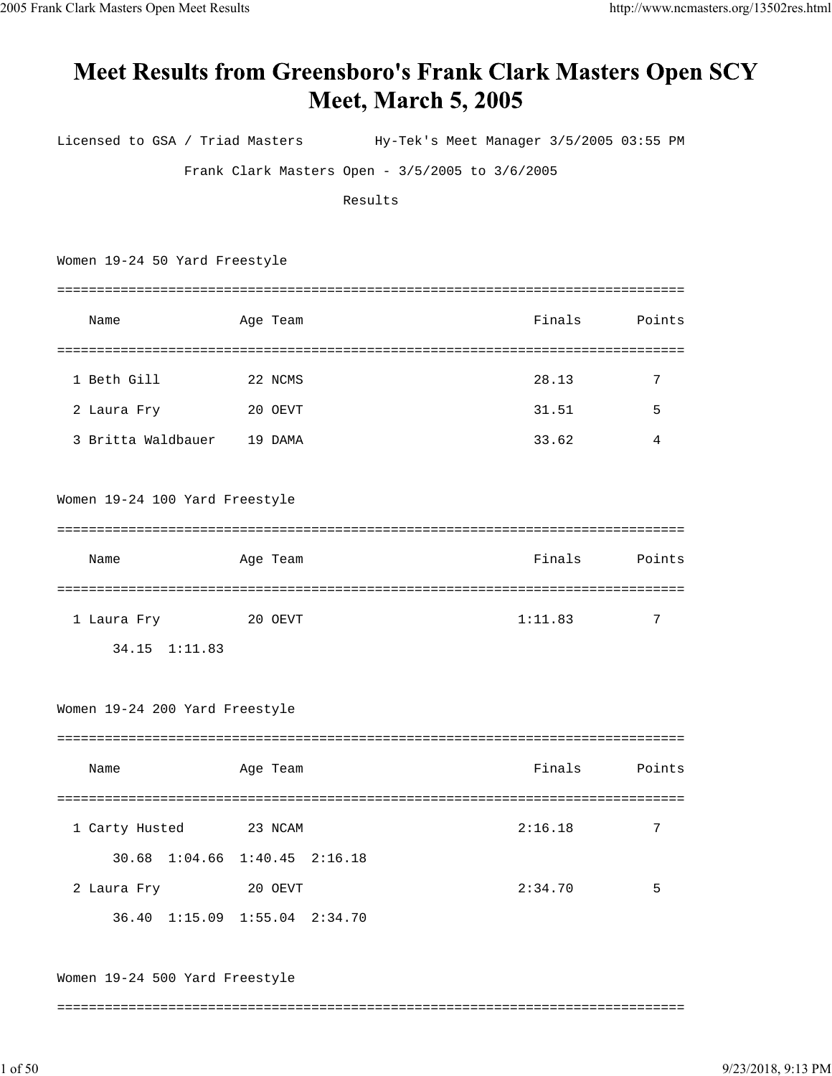## **Meet Results from Greensboro's Frank Clark Masters Open SCY Meet, March 5, 2005**

Licensed to GSA / Triad Masters Hy-Tek's Meet Manager 3/5/2005 03:55 PM Frank Clark Masters Open - 3/5/2005 to 3/6/2005 Results Women 19-24 50 Yard Freestyle =============================================================================== Name Age Team Finals Points =============================================================================== 1 Beth Gill 22 NCMS 28.13 7 2 Laura Fry 20 OEVT 31.51 5 3 Britta Waldbauer 19 DAMA 33.62 4 Women 19-24 100 Yard Freestyle =============================================================================== Name Age Team Finals Points =============================================================================== 1 Laura Fry 20 OEVT 1:11.83 7 34.15 1:11.83 Women 19-24 200 Yard Freestyle =============================================================================== Name Age Team Finals Points =============================================================================== 1 Carty Husted 23 NCAM 2:16.18 7 30.68 1:04.66 1:40.45 2:16.18 2 Laura Fry 20 OEVT 2:34.70 5 36.40 1:15.09 1:55.04 2:34.70 Women 19-24 500 Yard Freestyle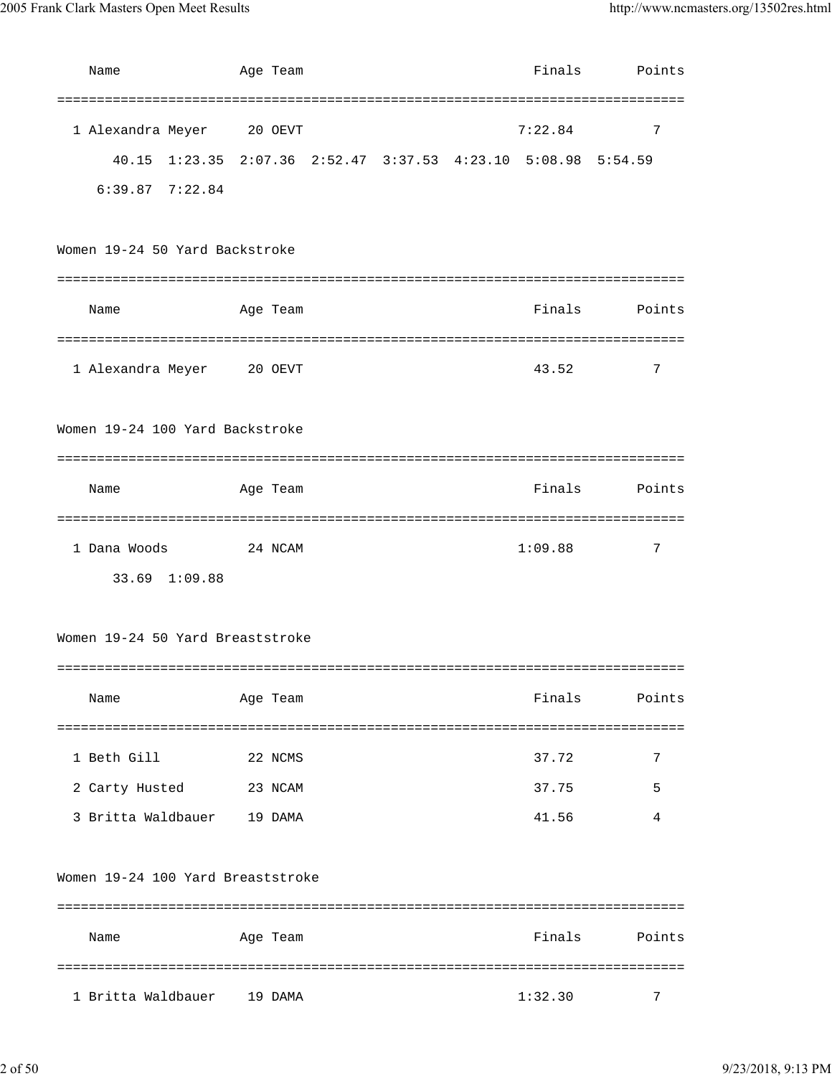| Name                              | Age Team                                                      | Finals  | Points |
|-----------------------------------|---------------------------------------------------------------|---------|--------|
|                                   |                                                               |         |        |
| 1 Alexandra Meyer                 | 20 OEVT                                                       | 7:22.84 | 7      |
|                                   | 40.15 1:23.35 2:07.36 2:52.47 3:37.53 4:23.10 5:08.98 5:54.59 |         |        |
| $6:39.87$ $7:22.84$               |                                                               |         |        |
|                                   |                                                               |         |        |
| Women 19-24 50 Yard Backstroke    |                                                               |         |        |
|                                   |                                                               |         |        |
| Name                              | Age Team                                                      | Finals  | Points |
|                                   |                                                               |         |        |
| 1 Alexandra Meyer 20 OEVT         |                                                               | 43.52   | 7      |
|                                   |                                                               |         |        |
| Women 19-24 100 Yard Backstroke   |                                                               |         |        |
|                                   |                                                               |         |        |
| Name                              | Age Team                                                      | Finals  | Points |
|                                   |                                                               |         |        |
| 1 Dana Woods                      | 24 NCAM                                                       | 1:09.88 | 7      |
| 33.69 1:09.88                     |                                                               |         |        |
|                                   |                                                               |         |        |
| Women 19-24 50 Yard Breaststroke  |                                                               |         |        |
|                                   |                                                               |         |        |
| Name                              | Age Team                                                      | Finals  | Points |
|                                   |                                                               |         |        |
| 1 Beth Gill                       | 22 NCMS                                                       | 37.72   | 7      |
| 2 Carty Husted                    | 23 NCAM                                                       | 37.75   | 5      |
| 3 Britta Waldbauer                | 19 DAMA                                                       | 41.56   | 4      |
|                                   |                                                               |         |        |
| Women 19-24 100 Yard Breaststroke |                                                               |         |        |
|                                   |                                                               |         |        |
| Name                              | Age Team                                                      | Finals  | Points |
|                                   |                                                               |         |        |
| 1 Britta Waldbauer                | 19 DAMA                                                       | 1:32.30 | 7      |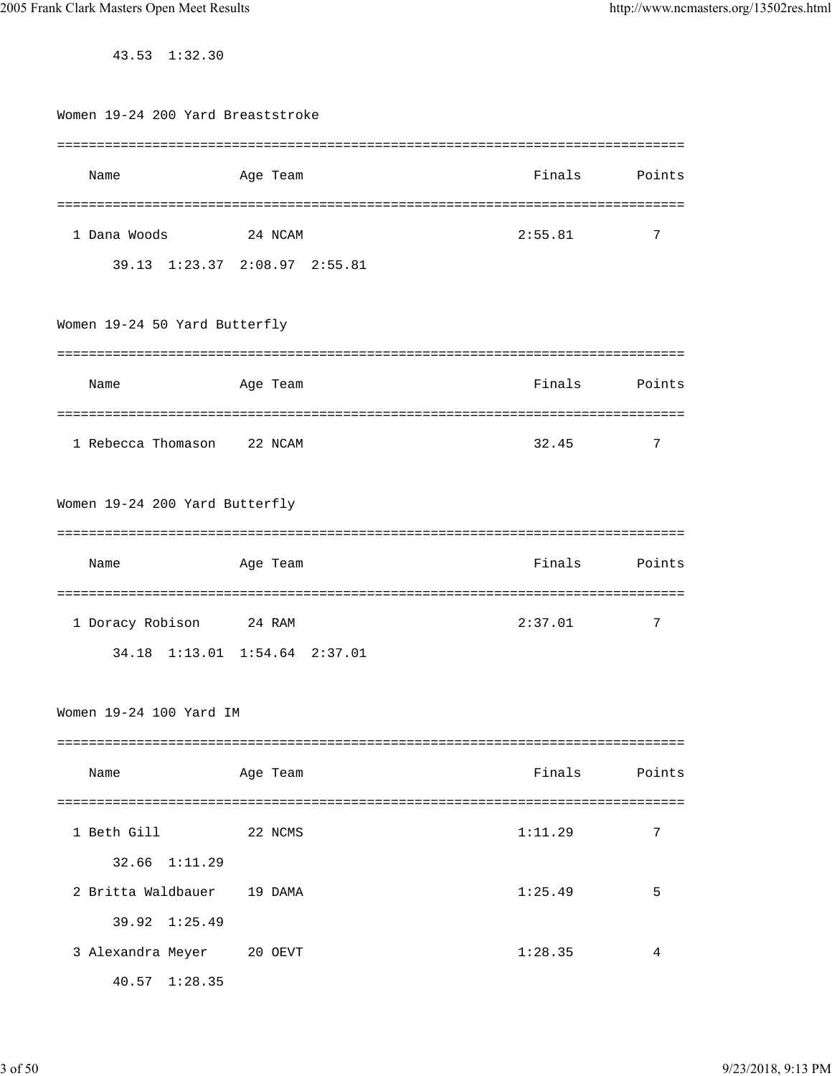43.53 1:32.30

| Women 19-24 200 Yard Breaststroke |                               |         |        |
|-----------------------------------|-------------------------------|---------|--------|
| Name                              | Age Team                      | Finals  | Points |
|                                   |                               |         |        |
| 1 Dana Woods                      | 24 NCAM                       | 2:55.81 | 7      |
|                                   | 39.13 1:23.37 2:08.97 2:55.81 |         |        |
| Women 19-24 50 Yard Butterfly     |                               |         |        |
| Name                              | Age Team                      | Finals  | Points |
| 1 Rebecca Thomason                | 22 NCAM                       | 32.45   | 7      |
| Women 19-24 200 Yard Butterfly    |                               |         |        |
|                                   |                               |         |        |
| Name                              | Age Team                      | Finals  | Points |
| 1 Doracy Robison                  | 24 RAM                        | 2:37.01 | 7      |
|                                   | 34.18 1:13.01 1:54.64 2:37.01 |         |        |
| Women 19-24 100 Yard IM           |                               |         |        |
| Name                              | Age Team                      | Finals  | Points |
| 1 Beth Gill                       | 22 NCMS                       | 1:11.29 | 7      |
| 32.66 1:11.29                     |                               |         |        |
| 2 Britta Waldbauer                | 19 DAMA                       | 1:25.49 | 5      |
| $39.92 \quad 1:25.49$             |                               |         |        |
| 3 Alexandra Meyer                 | 20 OEVT                       | 1:28.35 | 4      |
| 40.57 1:28.35                     |                               |         |        |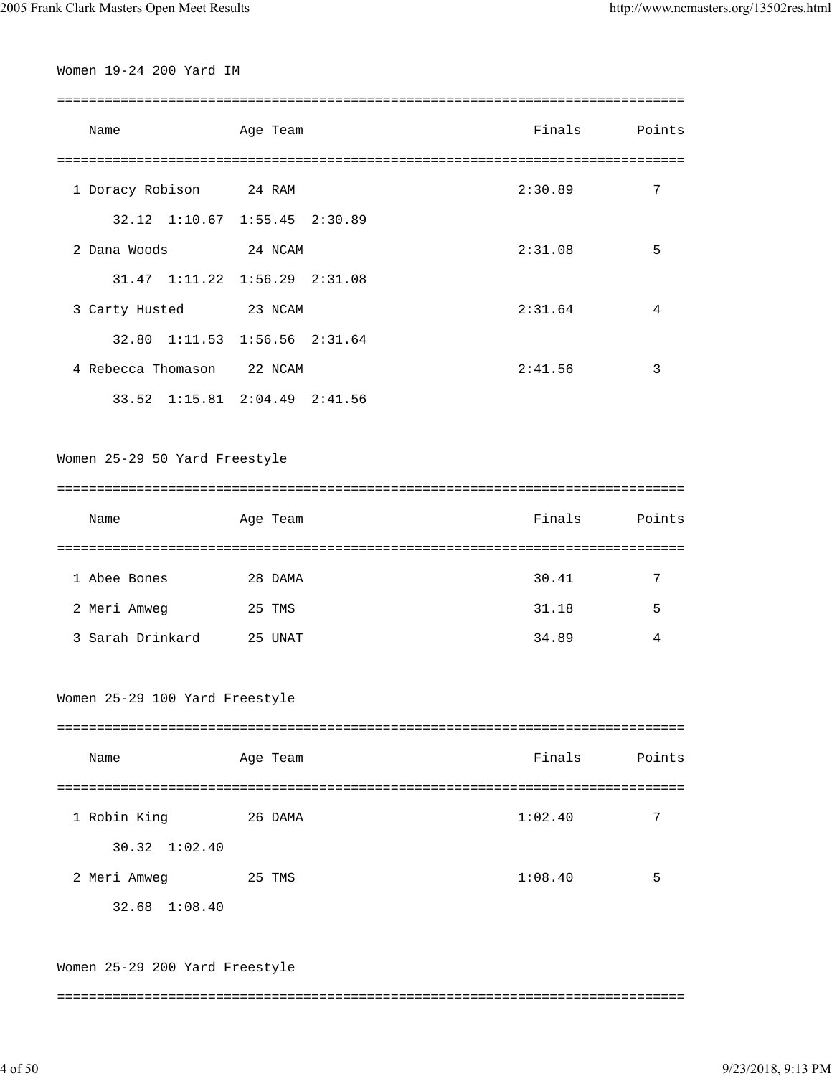Women 19-24 200 Yard IM

===============================================================================

| Name               | Age Team                              | Finals  | Points |
|--------------------|---------------------------------------|---------|--------|
| 1 Doracy Robison   | 24 RAM                                | 2:30.89 | 7      |
|                    | 32.12 1:10.67 1:55.45 2:30.89         |         |        |
| 2 Dana Woods       | 24 NCAM                               | 2:31.08 | 5      |
|                    | $31.47$ $1:11.22$ $1:56.29$ $2:31.08$ |         |        |
| 3 Carty Husted     | 23 NCAM                               | 2:31.64 | 4      |
|                    | 32.80 1:11.53 1:56.56 2:31.64         |         |        |
| 4 Rebecca Thomason | 22 NCAM                               | 2:41.56 | 3      |
|                    | 33.52 1:15.81 2:04.49 2:41.56         |         |        |

Women 25-29 50 Yard Freestyle

=============================================================================== Name Age Team Finals Points =============================================================================== 1 Abee Bones 28 DAMA 30.41 7 2 Meri Amweg 25 TMS 31.18 5 3 Sarah Drinkard 25 UNAT 34.89 4

Women 25-29 100 Yard Freestyle

| Name                  | Age Team | Finals  | Points |
|-----------------------|----------|---------|--------|
|                       |          |         |        |
| 1 Robin King          | 26 DAMA  | 1:02.40 | 7      |
| $30.32 \quad 1:02.40$ |          |         |        |
| 2 Meri Amweg          | 25 TMS   | 1:08.40 | 5      |
| $32.68$ $1:08.40$     |          |         |        |

Women 25-29 200 Yard Freestyle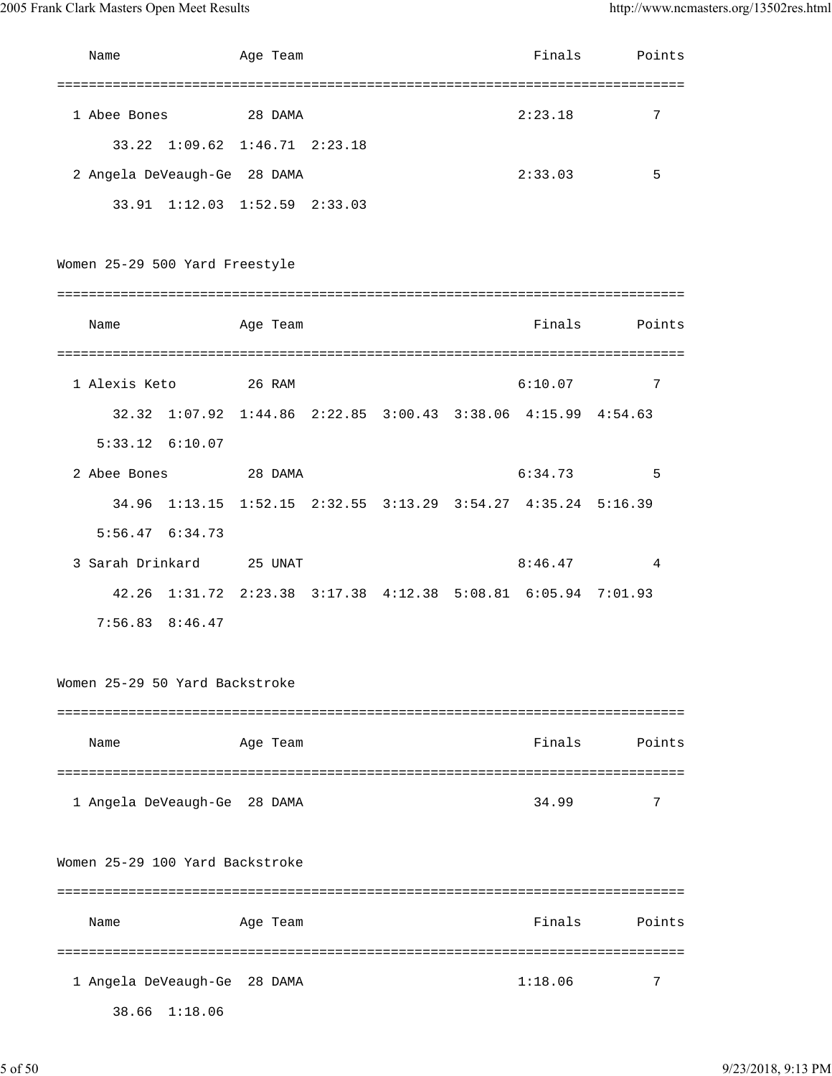| Name                            |               | Age Team                      |  | Finals                                                        | Points |
|---------------------------------|---------------|-------------------------------|--|---------------------------------------------------------------|--------|
| 1 Abee Bones                    |               | 28 DAMA                       |  | 2:23.18                                                       | 7      |
|                                 |               | 33.22 1:09.62 1:46.71 2:23.18 |  |                                                               |        |
| 2 Angela DeVeaugh-Ge 28 DAMA    |               |                               |  | 2:33.03                                                       | 5      |
|                                 |               | 33.91 1:12.03 1:52.59 2:33.03 |  |                                                               |        |
| Women 25-29 500 Yard Freestyle  |               |                               |  |                                                               |        |
|                                 |               |                               |  |                                                               |        |
| Name                            |               | Age Team                      |  | Finals                                                        | Points |
|                                 |               |                               |  |                                                               |        |
| 1 Alexis Keto                   |               | 26 RAM                        |  | 6:10.07                                                       | 7      |
|                                 |               |                               |  | 32.32 1:07.92 1:44.86 2:22.85 3:00.43 3:38.06 4:15.99 4:54.63 |        |
| $5:33.12$ $6:10.07$             |               |                               |  |                                                               |        |
| 2 Abee Bones                    |               | 28 DAMA                       |  | 6:34.73                                                       | 5      |
|                                 |               |                               |  | 34.96 1:13.15 1:52.15 2:32.55 3:13.29 3:54.27 4:35.24 5:16.39 |        |
| $5:56.47$ $6:34.73$             |               |                               |  |                                                               |        |
| 3 Sarah Drinkard                |               | 25 UNAT                       |  | 8:46.47                                                       | 4      |
| 42.26                           |               |                               |  | 1:31.72  2:23.38  3:17.38  4:12.38  5:08.81  6:05.94  7:01.93 |        |
| 7:56.83                         | 8:46.47       |                               |  |                                                               |        |
| Women 25-29 50 Yard Backstroke  |               |                               |  |                                                               |        |
|                                 |               |                               |  |                                                               |        |
| Name                            |               | Age Team                      |  | Finals                                                        | Points |
| 1 Angela DeVeaugh-Ge 28 DAMA    |               |                               |  | 34.99                                                         | 7      |
| Women 25-29 100 Yard Backstroke |               |                               |  |                                                               |        |
| Name                            |               | Age Team                      |  | Finals                                                        | Points |
| 1 Angela DeVeaugh-Ge            | 38.66 1:18.06 | 28 DAMA                       |  | 1:18.06                                                       | 7      |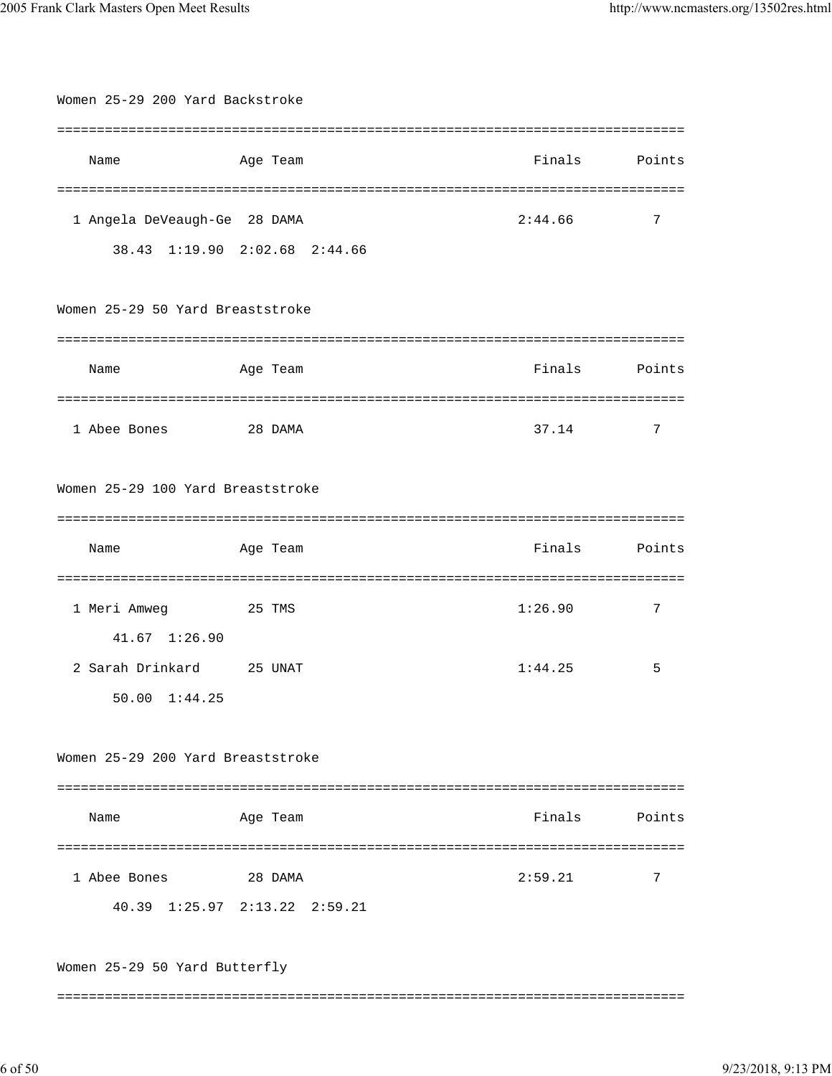| Women 25-29 200 Yard Backstroke           |                               |         |                      |
|-------------------------------------------|-------------------------------|---------|----------------------|
|                                           |                               |         |                      |
| Name                                      | Age Team                      | Finals  | Points               |
|                                           |                               |         |                      |
| 1 Angela DeVeaugh-Ge 28 DAMA              |                               | 2:44.66 | 7                    |
|                                           | 38.43 1:19.90 2:02.68 2:44.66 |         |                      |
| Women 25-29 50 Yard Breaststroke          |                               |         |                      |
| Name                                      | Age Team                      | Finals  | Points               |
| 1 Abee Bones                              | 28 DAMA                       | 37.14   | 7                    |
| Women 25-29 100 Yard Breaststroke         |                               |         |                      |
| Name                                      | Age Team                      | Finals  | Points               |
| 1 Meri Amweg                              | 25 TMS                        | 1:26.90 | ===============<br>7 |
| 41.67 1:26.90<br>2 Sarah Drinkard 25 UNAT |                               | 1:44.25 | 5                    |
| 50.00 1:44.25                             |                               |         |                      |
| Women 25-29 200 Yard Breaststroke         |                               |         |                      |
| Name                                      | Age Team                      | Finals  | Points               |
| 1 Abee Bones                              | 28 DAMA                       | 2:59.21 | 7                    |
|                                           | 40.39 1:25.97 2:13.22 2:59.21 |         |                      |
| Women 25-29 50 Yard Butterfly             |                               |         |                      |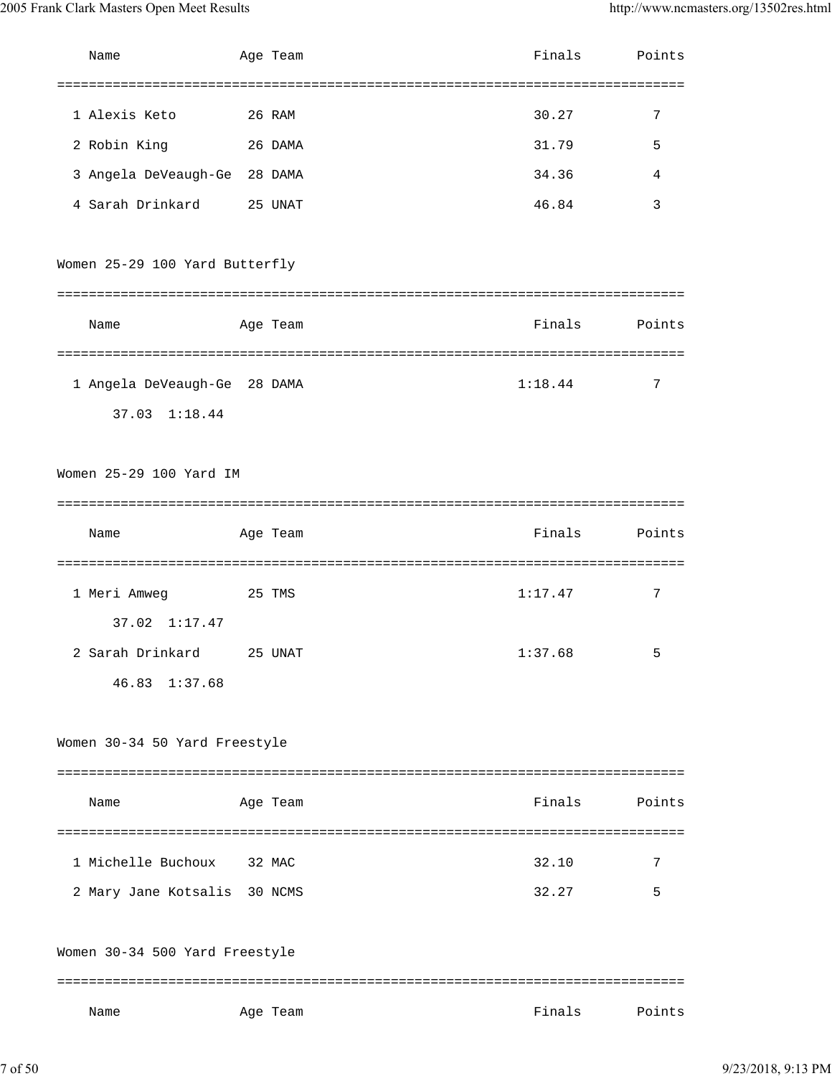| Name                                          | Age Team | Finals  | Points |
|-----------------------------------------------|----------|---------|--------|
|                                               |          |         |        |
| 1 Alexis Keto<br>26 RAM                       |          | 30.27   | 7      |
| 2 Robin King 26 DAMA                          |          | 31.79   | 5      |
| 3 Angela DeVeaugh-Ge 28 DAMA                  |          | 34.36   | 4      |
| 4 Sarah Drinkard                              | 25 UNAT  | 46.84   | 3      |
| Women 25-29 100 Yard Butterfly                |          |         |        |
| Name                                          | Age Team | Finals  | Points |
| 1 Angela DeVeaugh-Ge 28 DAMA<br>37.03 1:18.44 |          | 1:18.44 | 7      |
| Women 25-29 100 Yard IM                       |          |         |        |
|                                               |          |         |        |
| Name                                          | Age Team | Finals  | Points |
|                                               |          |         |        |
| 1 Meri Amweg<br><b>25 TMS</b>                 |          | 1:17.47 | 7      |
| $37.02 \quad 1:17.47$                         |          |         |        |
| 2 Sarah Drinkard                              | 25 UNAT  | 1:37.68 | 5      |
| 46.83 1:37.68                                 |          |         |        |
| Women 30-34 50 Yard Freestyle                 |          |         |        |
| Name                                          | Age Team | Finals  | Points |
|                                               |          |         |        |
| 1 Michelle Buchoux                            | 32 MAC   | 32.10   | 7      |
| 2 Mary Jane Kotsalis 30 NCMS                  |          | 32.27   | 5      |
| Women 30-34 500 Yard Freestyle                |          |         |        |
| Name                                          | Age Team | Finals  | Points |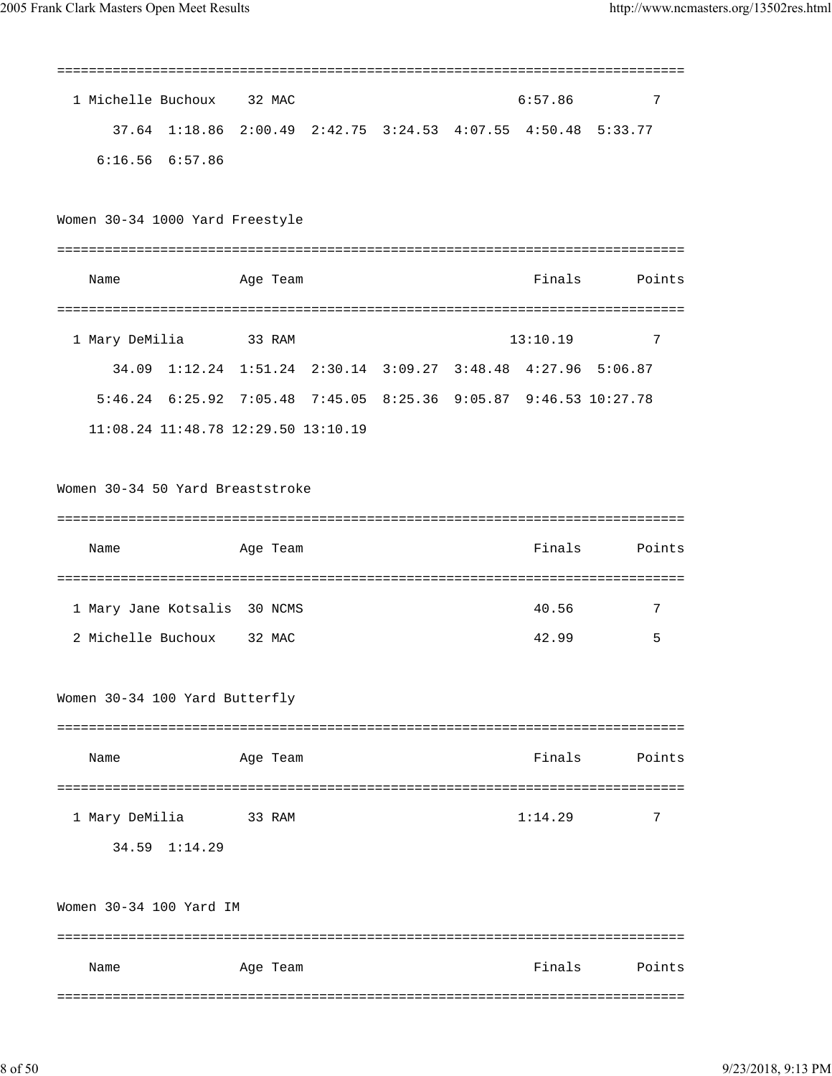| 1 Michelle Buchoux 32 MAC                                        |                                                               |  | 6:57.86  | 7      |
|------------------------------------------------------------------|---------------------------------------------------------------|--|----------|--------|
|                                                                  | 37.64 1:18.86 2:00.49 2:42.75 3:24.53 4:07.55 4:50.48 5:33.77 |  |          |        |
| $6:16.56$ $6:57.86$                                              |                                                               |  |          |        |
|                                                                  |                                                               |  |          |        |
| Women 30-34 1000 Yard Freestyle                                  |                                                               |  |          |        |
|                                                                  |                                                               |  |          |        |
| Name                                                             | Age Team                                                      |  | Finals   | Points |
|                                                                  |                                                               |  |          |        |
| 1 Mary DeMilia                                                   | 33 RAM                                                        |  | 13:10.19 | 7      |
|                                                                  | 34.09 1:12.24 1:51.24 2:30.14 3:09.27 3:48.48 4:27.96 5:06.87 |  |          |        |
| 5:46.24 6:25.92 7:05.48 7:45.05 8:25.36 9:05.87 9:46.53 10:27.78 |                                                               |  |          |        |
| 11:08.24 11:48.78 12:29.50 13:10.19                              |                                                               |  |          |        |
|                                                                  |                                                               |  |          |        |
| Women 30-34 50 Yard Breaststroke                                 |                                                               |  |          |        |
|                                                                  |                                                               |  |          |        |
| Name                                                             | Age Team                                                      |  | Finals   | Points |
|                                                                  |                                                               |  |          |        |
| 1 Mary Jane Kotsalis 30 NCMS                                     |                                                               |  | 40.56    | 7      |
| 2 Michelle Buchoux 32 MAC                                        |                                                               |  | 42.99    | 5      |
|                                                                  |                                                               |  |          |        |
| Women 30-34 100 Yard Butterfly                                   |                                                               |  |          |        |
|                                                                  |                                                               |  |          |        |
| Name                                                             | Age Team                                                      |  | Finals   | Points |
|                                                                  |                                                               |  | 1:14.29  | 7      |
| 1 Mary DeMilia<br>34.59 1:14.29                                  | 33 RAM                                                        |  |          |        |
|                                                                  |                                                               |  |          |        |
| Women 30-34 100 Yard IM                                          |                                                               |  |          |        |
|                                                                  |                                                               |  |          |        |
| Name                                                             | Age Team                                                      |  | Finals   | Points |
|                                                                  |                                                               |  |          |        |
|                                                                  |                                                               |  |          |        |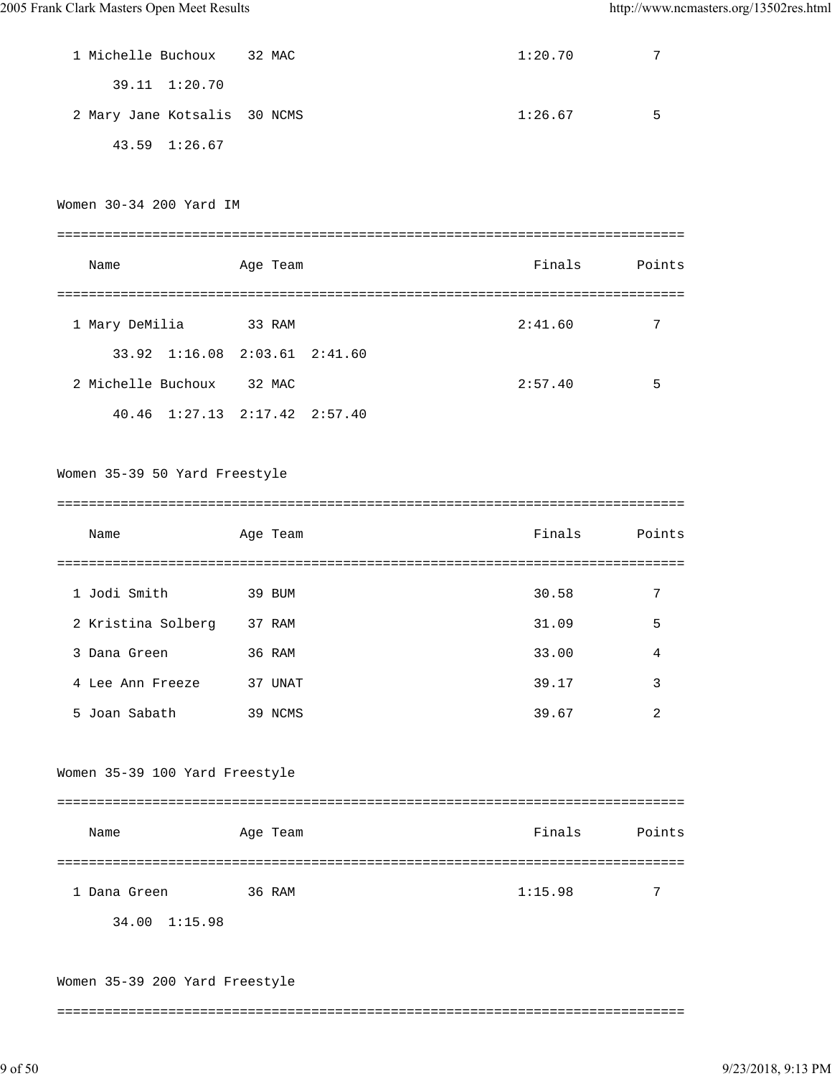| 1 Michelle Buchoux           | 32 MAC | 1:20.70 |   |
|------------------------------|--------|---------|---|
| 39.11 1:20.70                |        |         |   |
| 2 Mary Jane Kotsalis 30 NCMS |        | 1:26.67 | 5 |
| 43.59 1:26.67                |        |         |   |
|                              |        |         |   |

Women 30-34 200 Yard IM

| Name               |                                       | Age Team | Finals  | Points |
|--------------------|---------------------------------------|----------|---------|--------|
|                    |                                       |          |         |        |
| 1 Mary DeMilia     |                                       | 33 RAM   | 2:41.60 | 7      |
|                    | 33.92 1:16.08 2:03.61 2:41.60         |          |         |        |
| 2 Michelle Buchoux |                                       | 32 MAC   | 2:57.40 | 5      |
|                    | $40.46$ $1:27.13$ $2:17.42$ $2:57.40$ |          |         |        |

Women 35-39 50 Yard Freestyle

| Points         |
|----------------|
|                |
| 7              |
| 5              |
| 4              |
| 3              |
| $\overline{2}$ |
|                |

Women 35-39 100 Yard Freestyle

| Name          | Age Team | Finals  | Points |
|---------------|----------|---------|--------|
|               |          |         |        |
| 1 Dana Green  | 36 RAM   | 1:15.98 | 7      |
| 34.00 1:15.98 |          |         |        |

Women 35-39 200 Yard Freestyle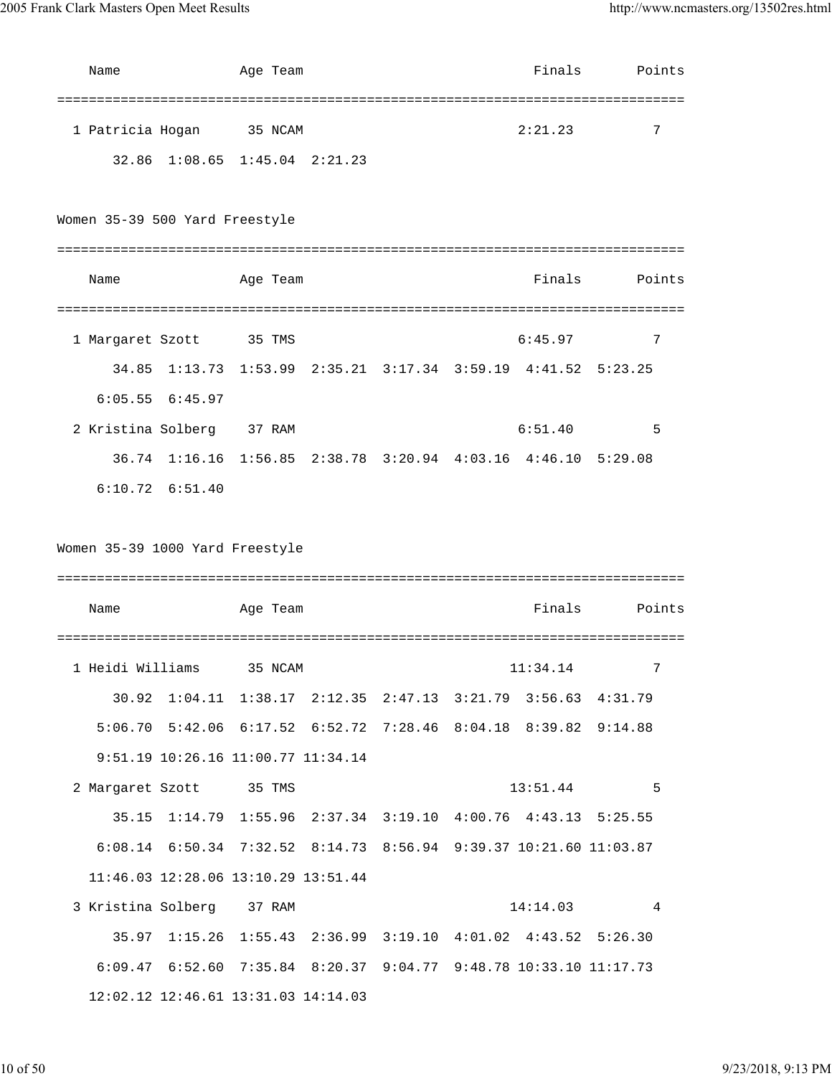| Name                           |                     | Age Team                                                          |  | Finals   | Points |
|--------------------------------|---------------------|-------------------------------------------------------------------|--|----------|--------|
| 1 Patricia Hogan               |                     | 35 NCAM                                                           |  | 2:21.23  | 7      |
|                                |                     | 32.86 1:08.65 1:45.04 2:21.23                                     |  |          |        |
| Women 35-39 500 Yard Freestyle |                     |                                                                   |  |          |        |
| Name                           |                     | Age Team                                                          |  | Finals   | Points |
| 1 Margaret Szott               |                     | 35 TMS                                                            |  | 6:45.97  | 7      |
|                                |                     | 34.85 1:13.73 1:53.99 2:35.21 3:17.34 3:59.19 4:41.52 5:23.25     |  |          |        |
|                                | $6:05.55$ $6:45.97$ |                                                                   |  |          |        |
| 2 Kristina Solberg 37 RAM      |                     |                                                                   |  | 6:51.40  | 5      |
|                                |                     | 36.74 1:16.16 1:56.85 2:38.78 3:20.94 4:03.16 4:46.10 5:29.08     |  |          |        |
|                                | $6:10.72$ $6:51.40$ |                                                                   |  |          |        |
|                                |                     | Women 35-39 1000 Yard Freestyle                                   |  |          |        |
| Name                           |                     | Age Team                                                          |  | Finals   | Points |
| 1 Heidi Williams               |                     | 35 NCAM                                                           |  | 11:34.14 |        |
|                                |                     | 30.92 1:04.11 1:38.17 2:12.35 2:47.13 3:21.79 3:56.63 4:31.79     |  |          |        |
|                                |                     | 5:06.70 5:42.06 6:17.52 6:52.72 7:28.46 8:04.18 8:39.82 9:14.88   |  |          |        |
|                                |                     | 9:51.19 10:26.16 11:00.77 11:34.14                                |  |          |        |
| 2 Margaret Szott 35 TMS        |                     |                                                                   |  | 13:51.44 | 5      |
|                                |                     | 35.15 1:14.79 1:55.96 2:37.34 3:19.10 4:00.76 4:43.13 5:25.55     |  |          |        |
|                                |                     | 6:08.14 6:50.34 7:32.52 8:14.73 8:56.94 9:39.37 10:21.60 11:03.87 |  |          |        |
|                                |                     | 11:46.03 12:28.06 13:10.29 13:51.44                               |  |          |        |
| 3 Kristina Solberg 37 RAM      |                     |                                                                   |  | 14:14.03 | 4      |
|                                |                     | 35.97 1:15.26 1:55.43 2:36.99 3:19.10 4:01.02 4:43.52 5:26.30     |  |          |        |
|                                |                     | 6:09.47 6:52.60 7:35.84 8:20.37 9:04.77 9:48.78 10:33.10 11:17.73 |  |          |        |
|                                |                     | 12:02.12 12:46.61 13:31.03 14:14.03                               |  |          |        |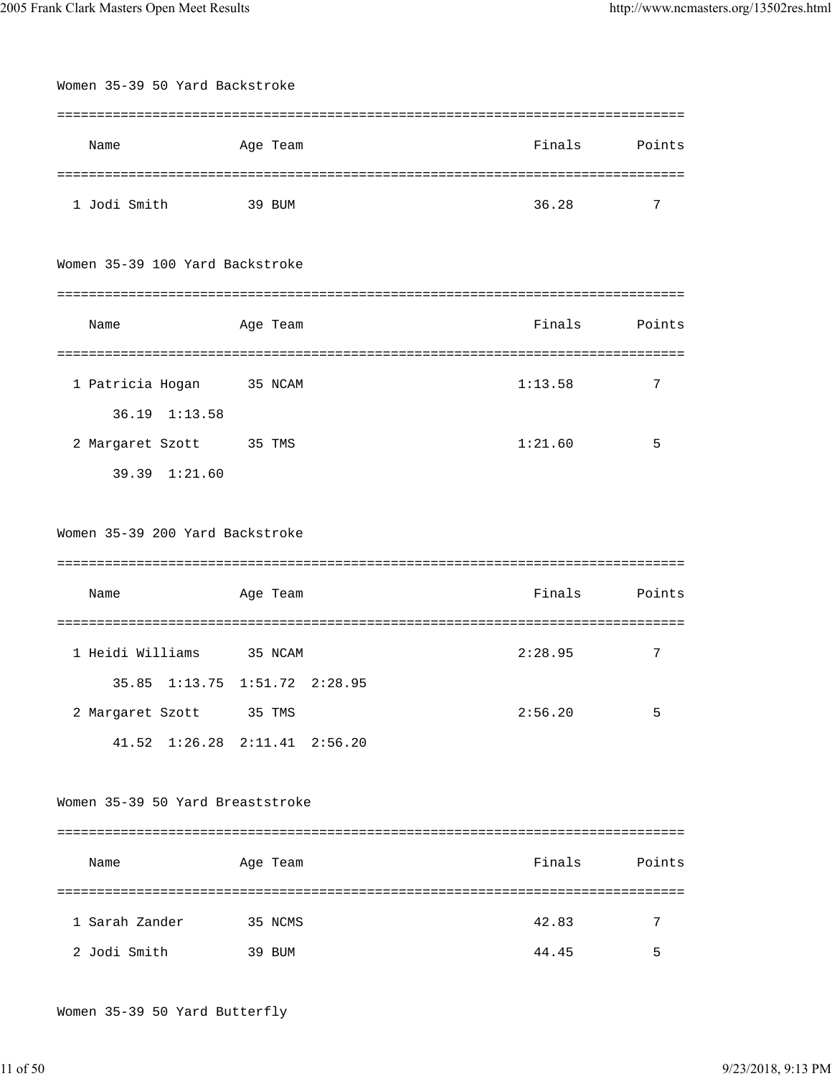| Women 35-39 50 Yard Backstroke   |          |                          |                 |        |
|----------------------------------|----------|--------------------------|-----------------|--------|
|                                  |          |                          |                 |        |
| Name                             | Age Team |                          | Finals          | Points |
|                                  |          |                          | =============== |        |
| 1 Jodi Smith                     | 39 BUM   |                          | 36.28           | 7      |
|                                  |          |                          |                 |        |
| Women 35-39 100 Yard Backstroke  |          |                          |                 |        |
|                                  |          |                          |                 |        |
| Name                             | Age Team |                          | Finals          | Points |
| =========================        |          | ------------------------ | =============   |        |
| 1 Patricia Hogan                 | 35 NCAM  |                          | 1:13.58         | 7      |
| 36.19 1:13.58                    |          |                          |                 |        |
| 2 Margaret Szott                 | 35 TMS   |                          | 1:21.60         | 5      |
| 39.39 1:21.60                    |          |                          |                 |        |
|                                  |          |                          |                 |        |
| Women 35-39 200 Yard Backstroke  |          |                          |                 |        |
|                                  |          |                          |                 |        |
| Name                             | Age Team |                          | Finals          | Points |
|                                  |          |                          |                 |        |
| 1 Heidi Williams                 | 35 NCAM  |                          | 2:28.95         | 7      |
| 35.85 1:13.75 1:51.72 2:28.95    |          |                          |                 |        |
| 2 Margaret Szott 35 TMS          |          |                          | 2:56.20         | 5      |
| 41.52 1:26.28 2:11.41 2:56.20    |          |                          |                 |        |
|                                  |          |                          |                 |        |
| Women 35-39 50 Yard Breaststroke |          |                          |                 |        |
|                                  |          |                          |                 |        |
| Name                             | Age Team |                          | Finals          | Points |
|                                  |          |                          |                 |        |
| 1 Sarah Zander                   | 35 NCMS  |                          | 42.83           | 7      |
| 2 Jodi Smith                     | 39 BUM   |                          | 44.45           | 5      |
|                                  |          |                          |                 |        |

Women 35-39 50 Yard Butterfly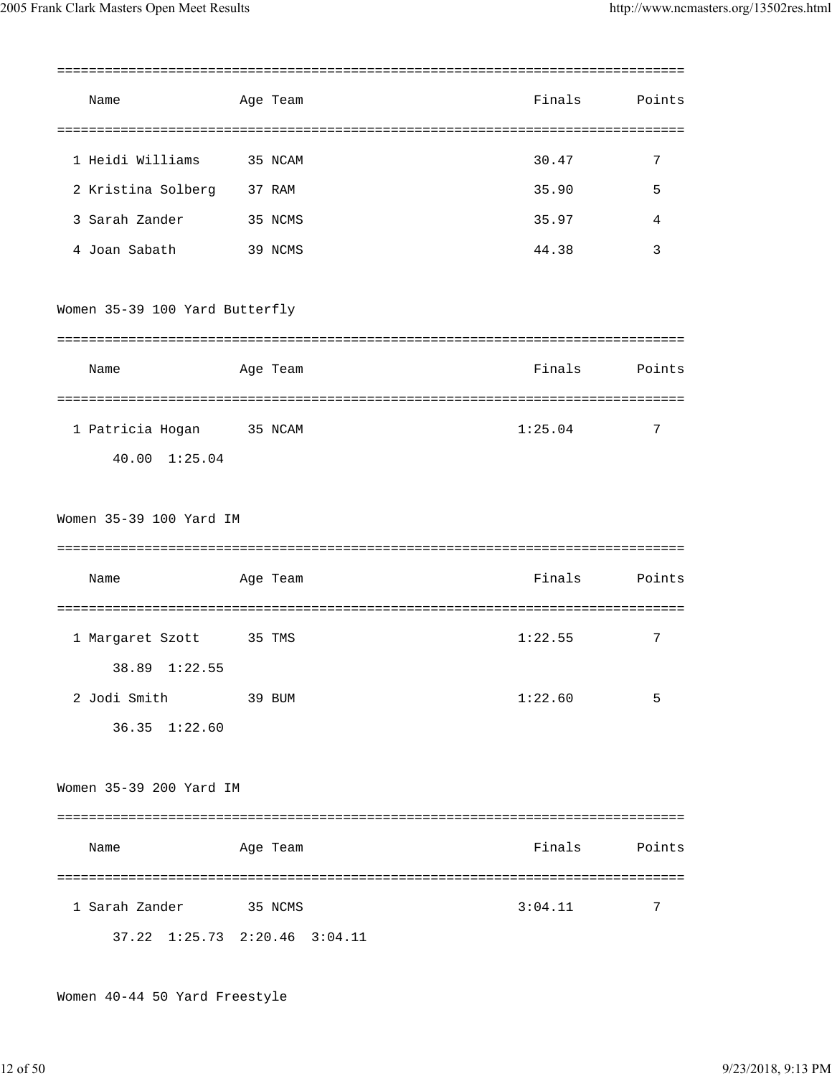|                                                 |          |         | :============= |
|-------------------------------------------------|----------|---------|----------------|
| Name                                            | Age Team | Finals  | Points         |
| 1 Heidi Williams                                | 35 NCAM  | 30.47   | 7              |
| 2 Kristina Solberg                              | 37 RAM   | 35.90   | 5              |
| 3 Sarah Zander                                  | 35 NCMS  | 35.97   | 4              |
| 4 Joan Sabath                                   | 39 NCMS  | 44.38   | $\overline{3}$ |
| Women 35-39 100 Yard Butterfly                  |          |         |                |
|                                                 |          |         |                |
| Name                                            | Age Team | Finals  | Points         |
| 1 Patricia Hogan<br>40.00 1:25.04               | 35 NCAM  | 1:25.04 | 7              |
| Women 35-39 100 Yard IM                         |          |         |                |
| Name                                            | Age Team | Finals  | Points         |
| 1 Margaret Szott<br>1:22.55<br>38.89            | 35 TMS   | 1:22.55 | 7              |
| 2 Jodi Smith<br>36.35 1:22.60                   | 39 BUM   | 1:22.60 | 5              |
| Women 35-39 200 Yard IM                         |          |         |                |
| Name                                            | Age Team | Finals  | Points         |
| 1 Sarah Zander<br>37.22 1:25.73 2:20.46 3:04.11 | 35 NCMS  | 3:04.11 | 7              |
|                                                 |          |         |                |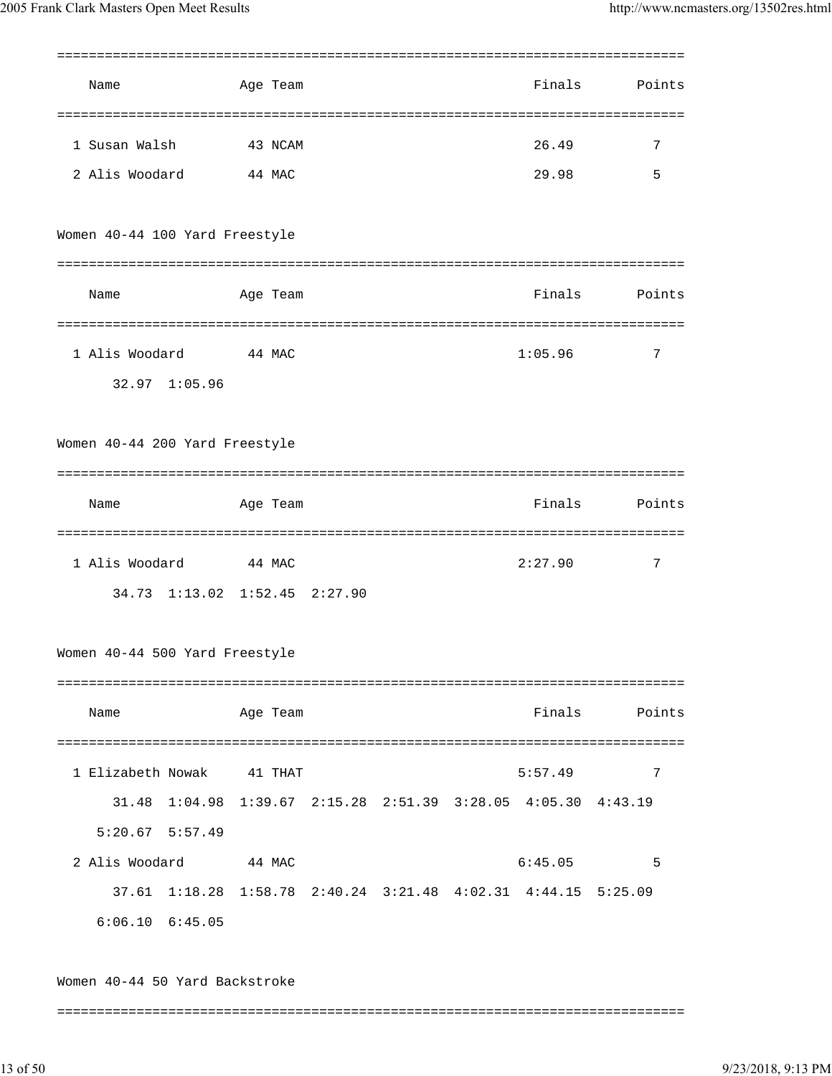| Name                                                          | Age Team |  | Finals  | Points |
|---------------------------------------------------------------|----------|--|---------|--------|
|                                                               |          |  |         |        |
| 1 Susan Walsh                                                 | 43 NCAM  |  | 26.49   | 7      |
| 2 Alis Woodard                                                | 44 MAC   |  | 29.98   | 5      |
| Women 40-44 100 Yard Freestyle                                |          |  |         |        |
|                                                               |          |  |         |        |
| Name                                                          | Age Team |  | Finals  | Points |
| 1 Alis Woodard                                                | 44 MAC   |  | 1:05.96 | 7      |
| 32.97 1:05.96                                                 |          |  |         |        |
| Women 40-44 200 Yard Freestyle                                |          |  |         |        |
|                                                               |          |  |         |        |
| Name                                                          | Age Team |  | Finals  | Points |
|                                                               |          |  |         |        |
| 1 Alis Woodard                                                | 44 MAC   |  | 2:27.90 | 7      |
| 34.73 1:13.02 1:52.45 2:27.90                                 |          |  |         |        |
| Women 40-44 500 Yard Freestyle                                |          |  |         |        |
|                                                               |          |  |         |        |
| Name                                                          | Age Team |  | Finals  | Points |
|                                                               |          |  |         |        |
| 1 Elizabeth Nowak 41 THAT                                     |          |  | 5:57.49 | 7      |
| 31.48 1:04.98 1:39.67 2:15.28 2:51.39 3:28.05 4:05.30 4:43.19 |          |  |         |        |
| $5:20.67$ $5:57.49$                                           |          |  |         |        |
| 2 Alis Woodard 44 MAC                                         |          |  | 6:45.05 | 5      |
| 37.61 1:18.28 1:58.78 2:40.24 3:21.48 4:02.31 4:44.15 5:25.09 |          |  |         |        |
| $6:06.10$ $6:45.05$                                           |          |  |         |        |
| Women 40-44 50 Yard Backstroke                                |          |  |         |        |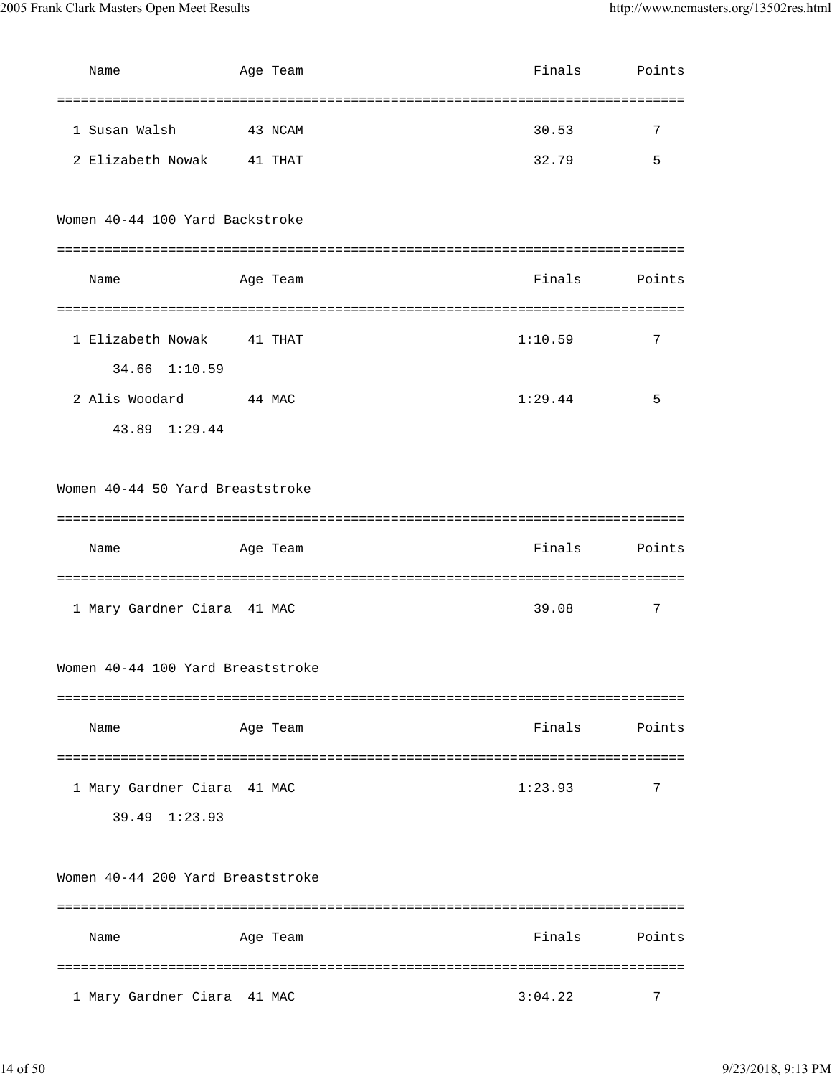| Name                              | Age Team | Finals  | Points |
|-----------------------------------|----------|---------|--------|
|                                   |          |         |        |
| 1 Susan Walsh                     | 43 NCAM  | 30.53   | 7      |
| 2 Elizabeth Nowak                 | 41 THAT  | 32.79   | 5      |
|                                   |          |         |        |
| Women 40-44 100 Yard Backstroke   |          |         |        |
|                                   |          |         |        |
| Name                              | Age Team | Finals  | Points |
|                                   |          |         |        |
| 1 Elizabeth Nowak 41 THAT         |          | 1:10.59 | 7      |
| 34.66 1:10.59                     |          |         |        |
| 2 Alis Woodard 44 MAC             |          | 1:29.44 | 5      |
| 43.89 1:29.44                     |          |         |        |
|                                   |          |         |        |
| Women 40-44 50 Yard Breaststroke  |          |         |        |
|                                   |          |         |        |
|                                   |          |         |        |
| Name                              | Age Team | Finals  | Points |
|                                   |          |         |        |
| 1 Mary Gardner Ciara 41 MAC       |          | 39.08   | 7      |
|                                   |          |         |        |
| Women 40-44 100 Yard Breaststroke |          |         |        |
|                                   |          |         |        |
| Name                              | Age Team | Finals  | Points |
|                                   |          |         |        |
| 1 Mary Gardner Ciara 41 MAC       |          | 1:23.93 | 7      |
| 39.49 1:23.93                     |          |         |        |
|                                   |          |         |        |
| Women 40-44 200 Yard Breaststroke |          |         |        |
|                                   |          |         |        |
| Name                              | Age Team | Finals  | Points |
|                                   |          |         |        |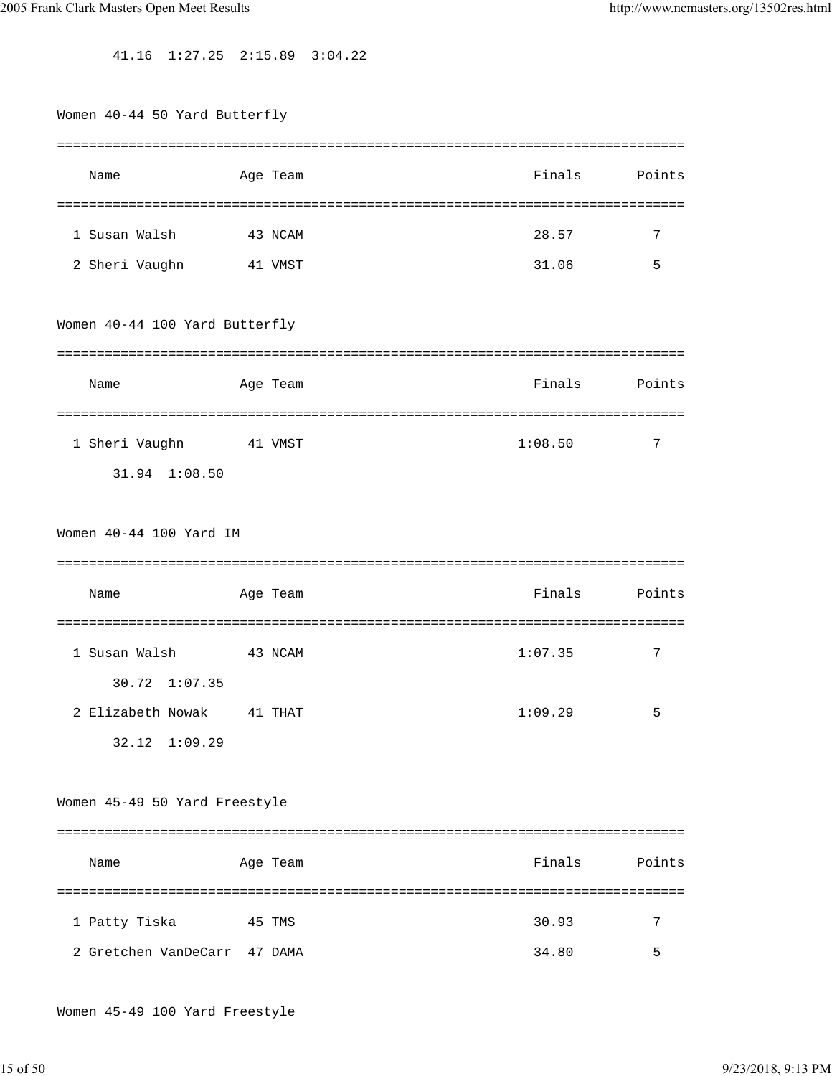41.16 1:27.25 2:15.89 3:04.22

| Women 40-44 50 Yard Butterfly      |          |         |                      |
|------------------------------------|----------|---------|----------------------|
| Name                               | Age Team | Finals  | ----------<br>Points |
|                                    |          |         |                      |
| 1 Susan Walsh                      | 43 NCAM  | 28.57   | 7                    |
| 2 Sheri Vaughn                     | 41 VMST  | 31.06   | 5                    |
| Women 40-44 100 Yard Butterfly     |          |         |                      |
| Name                               | Age Team | Finals  | Points               |
| 1 Sheri Vaughn<br>31.94 1:08.50    | 41 VMST  | 1:08.50 | 7                    |
| Women 40-44 100 Yard IM            |          |         |                      |
|                                    |          |         |                      |
| Name                               | Age Team | Finals  | Points               |
| 1 Susan Walsh<br>30.72 1:07.35     | 43 NCAM  | 1:07.35 | 7                    |
| 2 Elizabeth Nowak<br>32.12 1:09.29 | 41 THAT  | 1:09.29 | 5                    |
| Women 45-49 50 Yard Freestyle      |          |         |                      |
|                                    |          |         |                      |
| Name                               | Age Team |         | Finals<br>Points     |
|                                    |          |         |                      |
| 1 Patty Tiska                      | 45 TMS   | 30.93   | 7                    |

Women 45-49 100 Yard Freestyle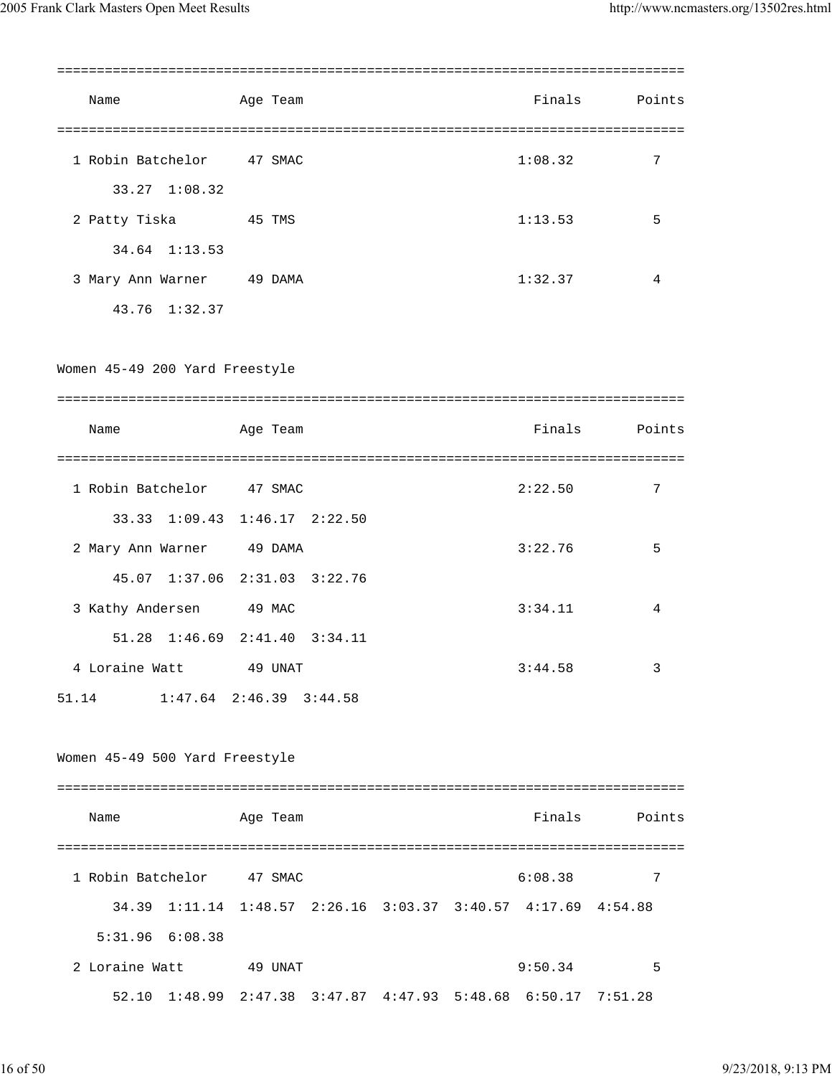| Name                                                          | Age Team |         |  | Finals                                                                | Points |
|---------------------------------------------------------------|----------|---------|--|-----------------------------------------------------------------------|--------|
| 1 Robin Batchelor 47 SMAC                                     |          |         |  | 1:08.32                                                               | 7      |
| 33.27 1:08.32                                                 |          |         |  |                                                                       |        |
| 2 Patty Tiska                                                 | 45 TMS   |         |  | 1:13.53                                                               | 5      |
| 34.64 1:13.53                                                 |          |         |  |                                                                       |        |
| 3 Mary Ann Warner 49 DAMA                                     |          |         |  | 1:32.37                                                               | 4      |
| 43.76 1:32.37                                                 |          |         |  |                                                                       |        |
| Women 45-49 200 Yard Freestyle                                |          |         |  |                                                                       |        |
|                                                               |          |         |  |                                                                       |        |
| Name                                                          | Age Team |         |  | Finals                                                                | Points |
|                                                               |          |         |  |                                                                       |        |
| 1 Robin Batchelor 47 SMAC                                     |          |         |  | 2:22.50                                                               | 7      |
| 33.33 1:09.43 1:46.17 2:22.50                                 |          |         |  |                                                                       |        |
| 2 Mary Ann Warner 49 DAMA                                     |          |         |  | 3:22.76                                                               | 5      |
| 45.07 1:37.06 2:31.03 3:22.76                                 |          |         |  |                                                                       |        |
| 3 Kathy Andersen                                              | 49 MAC   |         |  | 3:34.11                                                               | 4      |
| 51.28<br>$1:46.69$ $2:41.40$                                  |          | 3:34.11 |  |                                                                       |        |
| 4 Loraine Watt                                                | 49 UNAT  |         |  | 3:44.58                                                               | 3      |
| $1:47.64$ $2:46.39$ $3:44.58$<br>51.14                        |          |         |  |                                                                       |        |
| Women 45-49 500 Yard Freestyle                                |          |         |  |                                                                       |        |
| Name                                                          | Age Team |         |  | Finals                                                                | Points |
| 1 Robin Batchelor 47 SMAC                                     |          |         |  | 6:08.38                                                               | 7      |
| 34.39                                                         |          |         |  | $1:11.14$ $1:48.57$ $2:26.16$ $3:03.37$ $3:40.57$ $4:17.69$ $4:54.88$ |        |
| $5:31.96$ $6:08.38$                                           |          |         |  |                                                                       |        |
| 2 Loraine Watt                                                | 49 UNAT  |         |  | 9:50.34                                                               | 5      |
| 52.10 1:48.99 2:47.38 3:47.87 4:47.93 5:48.68 6:50.17 7:51.28 |          |         |  |                                                                       |        |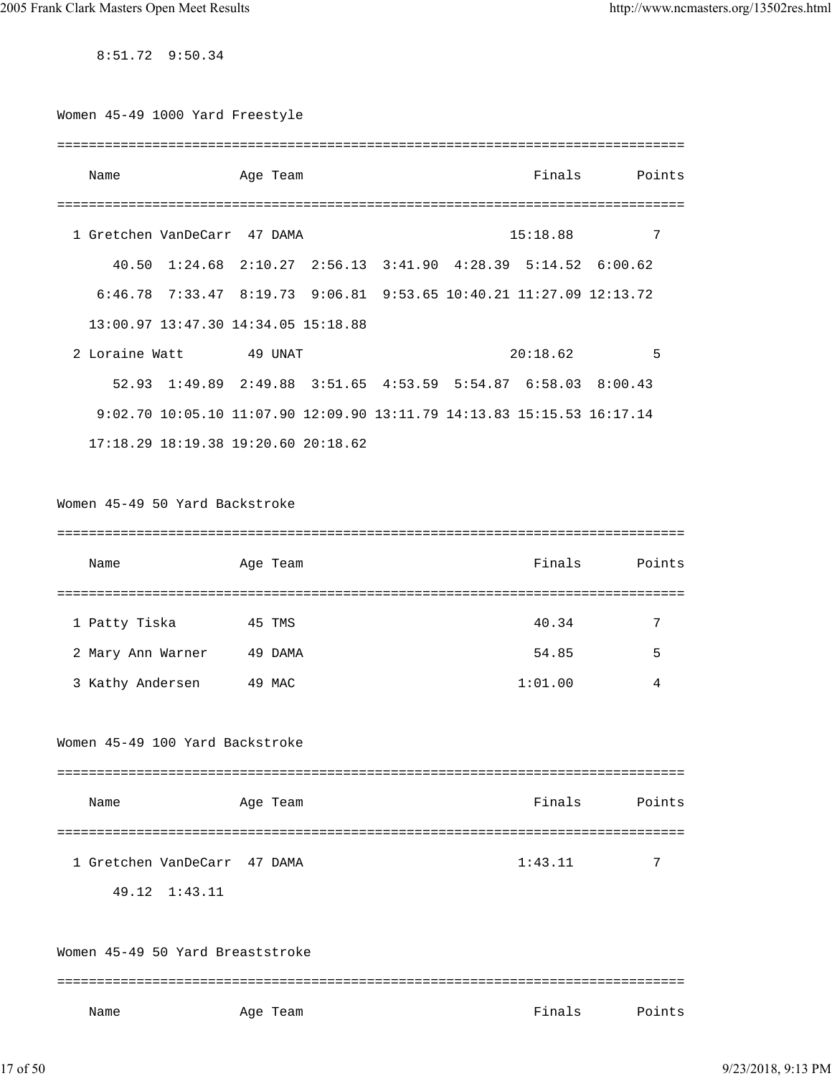8:51.72 9:50.34

| Women 45-49 1000 Yard Freestyle  |               |                                     |  |                                                                        |        |
|----------------------------------|---------------|-------------------------------------|--|------------------------------------------------------------------------|--------|
| Name                             |               | Age Team                            |  | Finals                                                                 | Points |
|                                  |               |                                     |  |                                                                        |        |
| 1 Gretchen VanDeCarr 47 DAMA     |               |                                     |  | 15:18.88                                                               | 7      |
|                                  |               |                                     |  | 40.50 1:24.68 2:10.27 2:56.13 3:41.90 4:28.39 5:14.52 6:00.62          |        |
|                                  |               |                                     |  | 6:46.78 7:33.47 8:19.73 9:06.81 9:53.65 10:40.21 11:27.09 12:13.72     |        |
|                                  |               | 13:00.97 13:47.30 14:34.05 15:18.88 |  |                                                                        |        |
| 2 Loraine Watt                   |               | 49 UNAT                             |  | 20:18.62                                                               | 5      |
|                                  |               |                                     |  | 52.93 1:49.89 2:49.88 3:51.65 4:53.59 5:54.87 6:58.03 8:00.43          |        |
|                                  |               |                                     |  | 9:02.70 10:05.10 11:07.90 12:09.90 13:11.79 14:13.83 15:15.53 16:17.14 |        |
|                                  |               | 17:18.29 18:19.38 19:20.60 20:18.62 |  |                                                                        |        |
| Women 45-49 50 Yard Backstroke   |               |                                     |  |                                                                        |        |
| Name                             |               | Age Team                            |  | Finals                                                                 | Points |
| 1 Patty Tiska                    |               | 45 TMS                              |  | 40.34                                                                  | 7      |
| 2 Mary Ann Warner                |               | 49 DAMA                             |  | 54.85                                                                  | 5      |
| 3 Kathy Andersen                 |               | 49 MAC                              |  | 1:01.00                                                                | 4      |
| Women 45-49 100 Yard Backstroke  |               |                                     |  |                                                                        |        |
|                                  |               |                                     |  |                                                                        |        |
| Name                             |               | Age Team                            |  | Finals                                                                 | Points |
|                                  |               |                                     |  |                                                                        |        |
| 1 Gretchen VanDeCarr 47 DAMA     |               |                                     |  | 1:43.11                                                                | 7      |
|                                  | 49.12 1:43.11 |                                     |  |                                                                        |        |
| Women 45-49 50 Yard Breaststroke |               |                                     |  |                                                                        |        |
|                                  |               |                                     |  |                                                                        |        |

Name **Age Team** Age Team **Finals** Points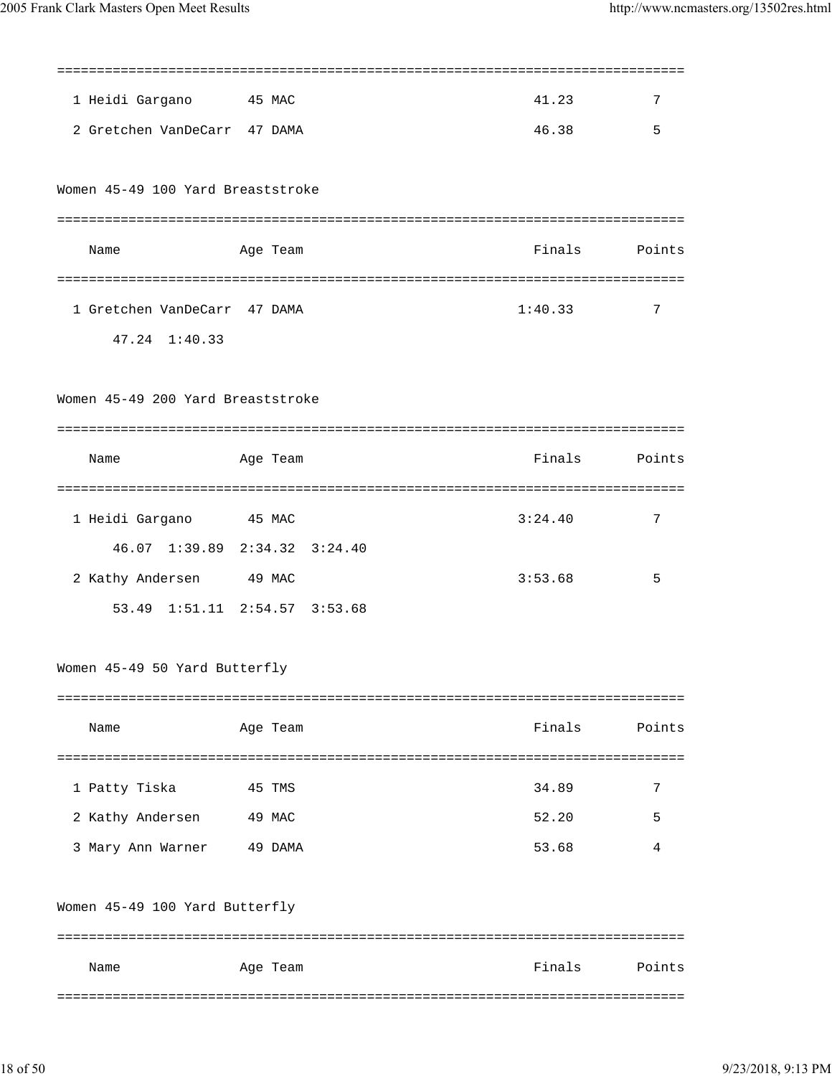| 1 Heidi Gargano                   | 45 MAC                        | 41.23   | 7      |
|-----------------------------------|-------------------------------|---------|--------|
| 2 Gretchen VanDeCarr 47 DAMA      |                               | 46.38   | 5      |
|                                   |                               |         |        |
| Women 45-49 100 Yard Breaststroke |                               |         |        |
|                                   |                               |         |        |
| Name                              | Age Team                      | Finals  | Points |
|                                   |                               |         |        |
| 1 Gretchen VanDeCarr 47 DAMA      |                               | 1:40.33 | 7      |
| 47.24 1:40.33                     |                               |         |        |
|                                   |                               |         |        |
| Women 45-49 200 Yard Breaststroke |                               |         |        |
|                                   |                               |         |        |
| Name                              | Age Team                      | Finals  | Points |
|                                   |                               |         |        |
| 1 Heidi Gargano                   | 45 MAC                        | 3:24.40 | 7      |
|                                   | 46.07 1:39.89 2:34.32 3:24.40 |         |        |
| 2 Kathy Andersen 49 MAC           |                               | 3:53.68 | 5      |
|                                   | 53.49 1:51.11 2:54.57 3:53.68 |         |        |
|                                   |                               |         |        |
| Women 45-49 50 Yard Butterfly     |                               |         |        |
|                                   |                               |         |        |
| Name                              | Age Team                      | Finals  | Points |
|                                   |                               |         |        |
| 1 Patty Tiska                     | 45 TMS                        | 34.89   | 7      |
| 2 Kathy Andersen                  | 49 MAC                        | 52.20   | 5      |
| 3 Mary Ann Warner                 | 49 DAMA                       | 53.68   | 4      |
|                                   |                               |         |        |
| Women 45-49 100 Yard Butterfly    |                               |         |        |
|                                   |                               |         |        |
| Name                              | Age Team                      | Finals  | Points |
|                                   |                               |         |        |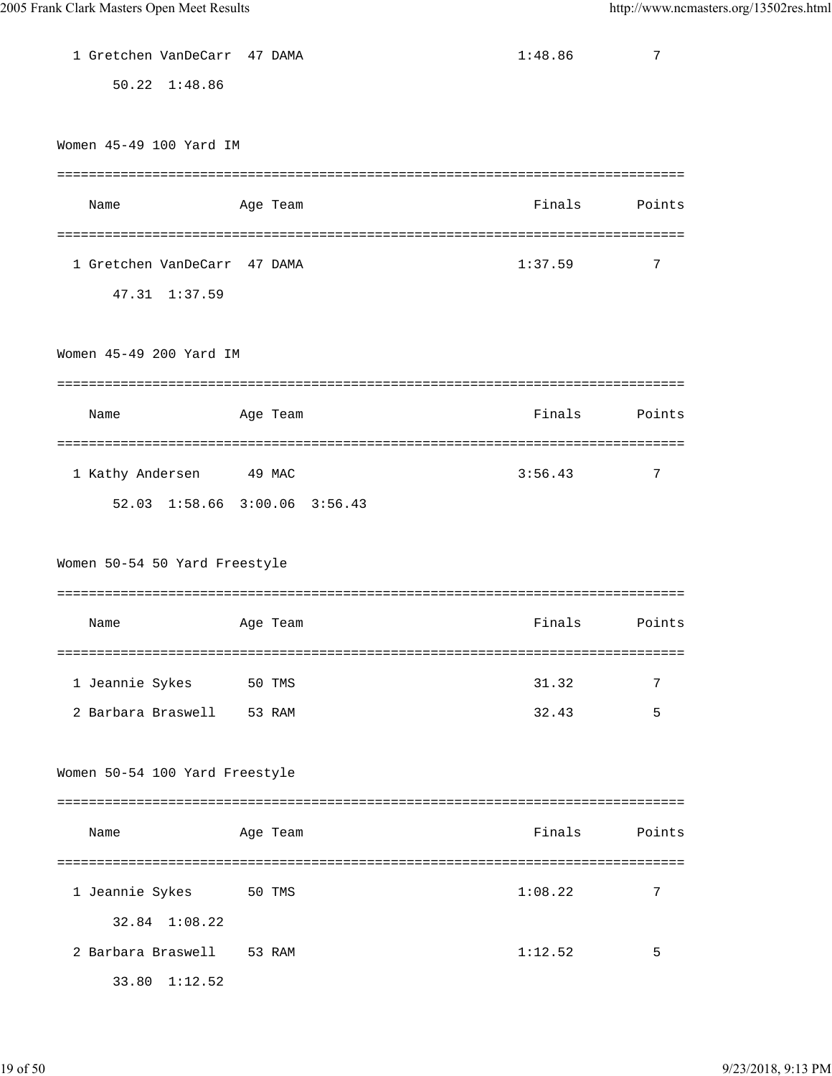| 1 Gretchen VanDeCarr 47 DAMA   |          | 1:48.86 | 7            |
|--------------------------------|----------|---------|--------------|
| 50.22 1:48.86                  |          |         |              |
|                                |          |         |              |
| Women 45-49 100 Yard IM        |          |         |              |
|                                |          |         |              |
| Name                           | Age Team | Finals  | Points       |
|                                |          |         |              |
| 1 Gretchen VanDeCarr 47 DAMA   |          | 1:37.59 | 7            |
| 47.31 1:37.59                  |          |         |              |
|                                |          |         |              |
| Women 45-49 200 Yard IM        |          |         |              |
|                                |          |         |              |
| Name                           | Age Team | Finals  | Points       |
| =======================        |          |         | ============ |
| 1 Kathy Andersen               | 49 MAC   | 3:56.43 | 7            |
| 52.03 1:58.66 3:00.06 3:56.43  |          |         |              |
|                                |          |         |              |
| Women 50-54 50 Yard Freestyle  |          |         |              |
|                                |          |         |              |
| Name                           | Age Team | Finals  | Points       |
|                                |          |         |              |
| 1 Jeannie Sykes 50 TMS         |          | 31.32   | 7            |
| 2 Barbara Braswell 53 RAM      |          | 32.43   | 5            |
|                                |          |         |              |
| Women 50-54 100 Yard Freestyle |          |         |              |
|                                |          |         |              |
| Name                           | Age Team | Finals  | Points       |
|                                |          |         |              |
| 1 Jeannie Sykes                | 50 TMS   | 1:08.22 | 7            |
| 32.84 1:08.22                  |          |         |              |
| 2 Barbara Braswell 53 RAM      |          | 1:12.52 | 5            |
| 33.80 1:12.52                  |          |         |              |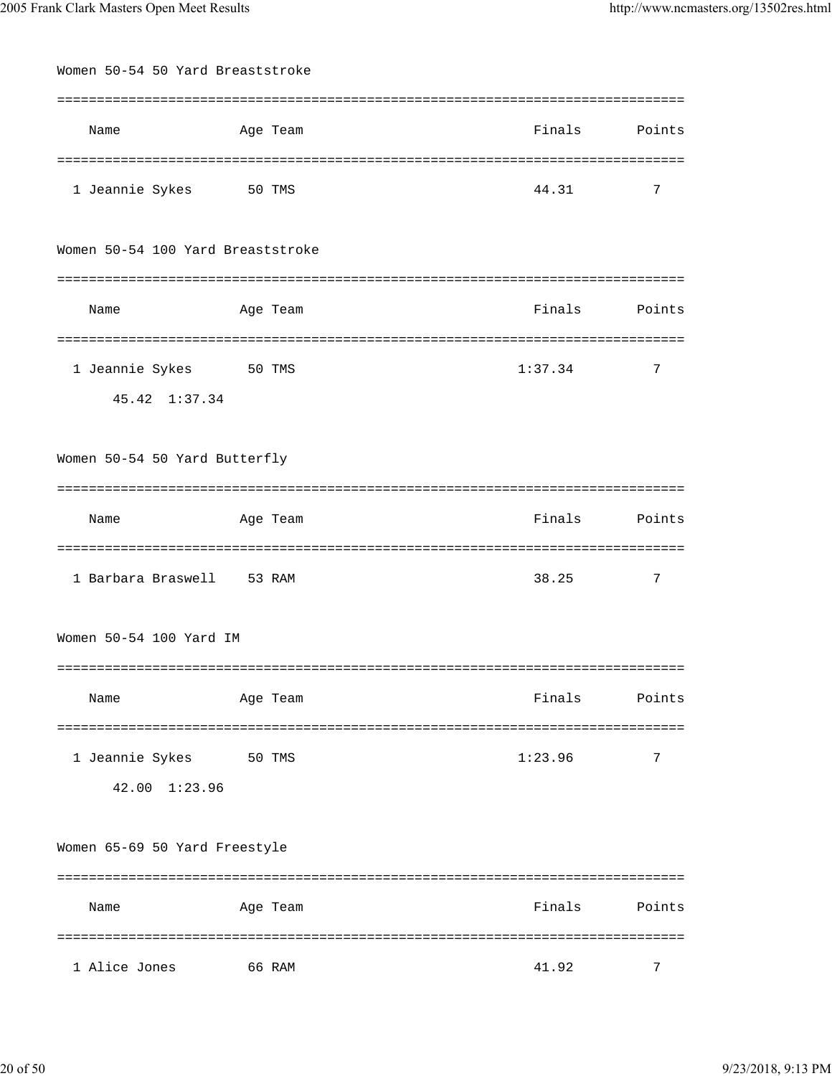| Women 50-54 50 Yard Breaststroke  |          |                                |        |
|-----------------------------------|----------|--------------------------------|--------|
|                                   |          | ============================== |        |
| Name                              | Age Team | Finals Points                  |        |
|                                   |          | ============                   |        |
| 1 Jeannie Sykes 50 TMS            |          | 44.31                          | 7      |
| Women 50-54 100 Yard Breaststroke |          |                                |        |
|                                   |          |                                |        |
| Name                              | Age Team | Finals Points                  |        |
|                                   |          | =====                          |        |
| 1 Jeannie Sykes 50 TMS            |          | 1:37.34                        | 7      |
| 45.42 1:37.34                     |          |                                |        |
| Women 50-54 50 Yard Butterfly     |          |                                |        |
|                                   |          |                                |        |
| Name                              | Age Team | Finals                         | Points |
|                                   |          |                                |        |
| 1 Barbara Braswell 53 RAM         |          | 38.25                          | 7      |
| Women 50-54 100 Yard IM           |          |                                |        |
|                                   |          |                                |        |
| Name                              | Age Team | Finals                         | Points |
|                                   |          | ============================== |        |
| 1 Jeannie Sykes                   | 50 TMS   | 1:23.96                        | 7      |
| 42.00<br>1:23.96                  |          |                                |        |
| Women 65-69 50 Yard Freestyle     |          |                                |        |
|                                   |          |                                |        |
| Name                              | Age Team | Finals                         | Points |
|                                   |          |                                |        |
| 1 Alice Jones                     | 66 RAM   | 41.92                          | 7      |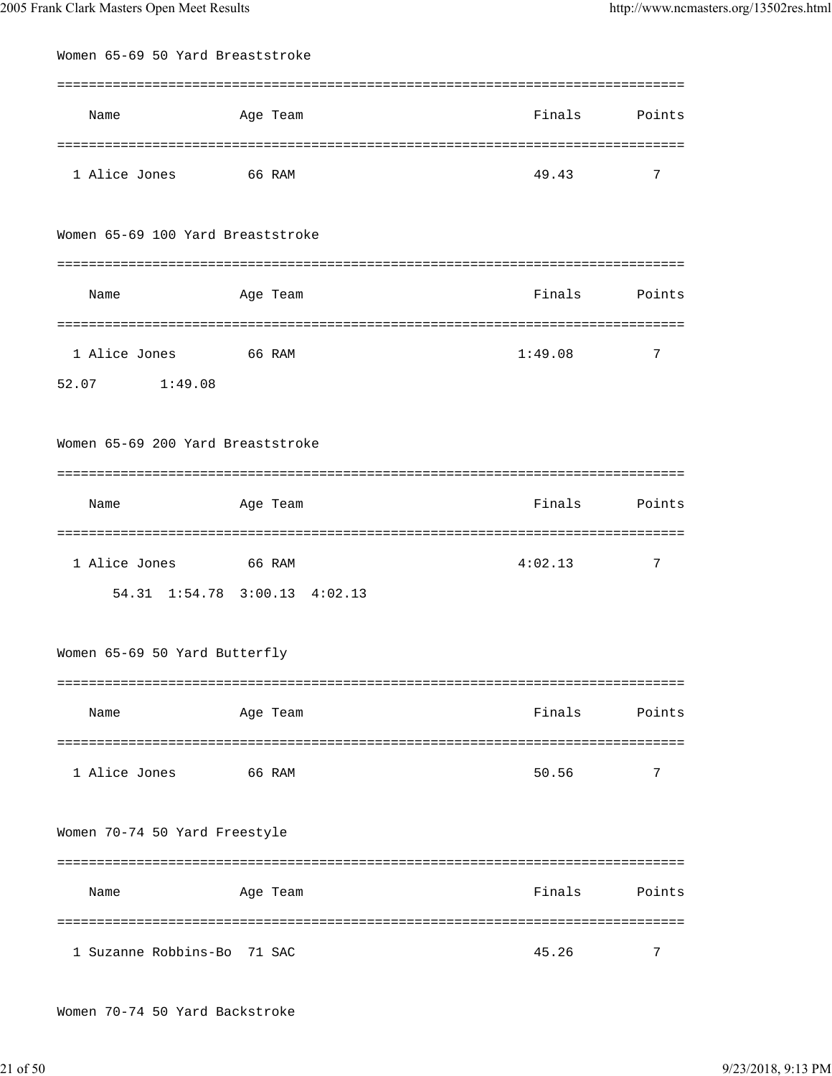| Women 65-69 50 Yard Breaststroke  |                               |                 |        |  |  |
|-----------------------------------|-------------------------------|-----------------|--------|--|--|
|                                   |                               |                 |        |  |  |
| Name                              | Age Team                      | Finals Points   |        |  |  |
|                                   |                               |                 |        |  |  |
| 1 Alice Jones                     | 66 RAM                        | 49.43           | 7      |  |  |
| Women 65-69 100 Yard Breaststroke |                               |                 |        |  |  |
|                                   |                               |                 |        |  |  |
| Name                              | Age Team                      | Finals Points   |        |  |  |
|                                   |                               |                 |        |  |  |
| 1 Alice Jones 66 RAM              |                               | 1:49.08         | 7      |  |  |
| 52.07<br>1:49.08                  |                               |                 |        |  |  |
| Women 65-69 200 Yard Breaststroke |                               |                 |        |  |  |
|                                   |                               |                 |        |  |  |
| Name                              | Age Team                      | Finals          | Points |  |  |
|                                   |                               | =============== |        |  |  |
| 1 Alice Jones 66 RAM              |                               | 4:02.13         | 7      |  |  |
|                                   | 54.31 1:54.78 3:00.13 4:02.13 |                 |        |  |  |
| Women 65-69 50 Yard Butterfly     |                               |                 |        |  |  |
|                                   |                               |                 |        |  |  |
| Name                              | Age Team                      | Finals          | Points |  |  |
| 1 Alice Jones                     | 66 RAM                        | 50.56           | 7      |  |  |
|                                   |                               |                 |        |  |  |
| Women 70-74 50 Yard Freestyle     |                               |                 |        |  |  |
|                                   |                               |                 |        |  |  |
| Name                              | Age Team                      | Finals          | Points |  |  |
| 1 Suzanne Robbins-Bo              | 71 SAC                        | 45.26           | 7      |  |  |
|                                   |                               |                 |        |  |  |

Women 70-74 50 Yard Backstroke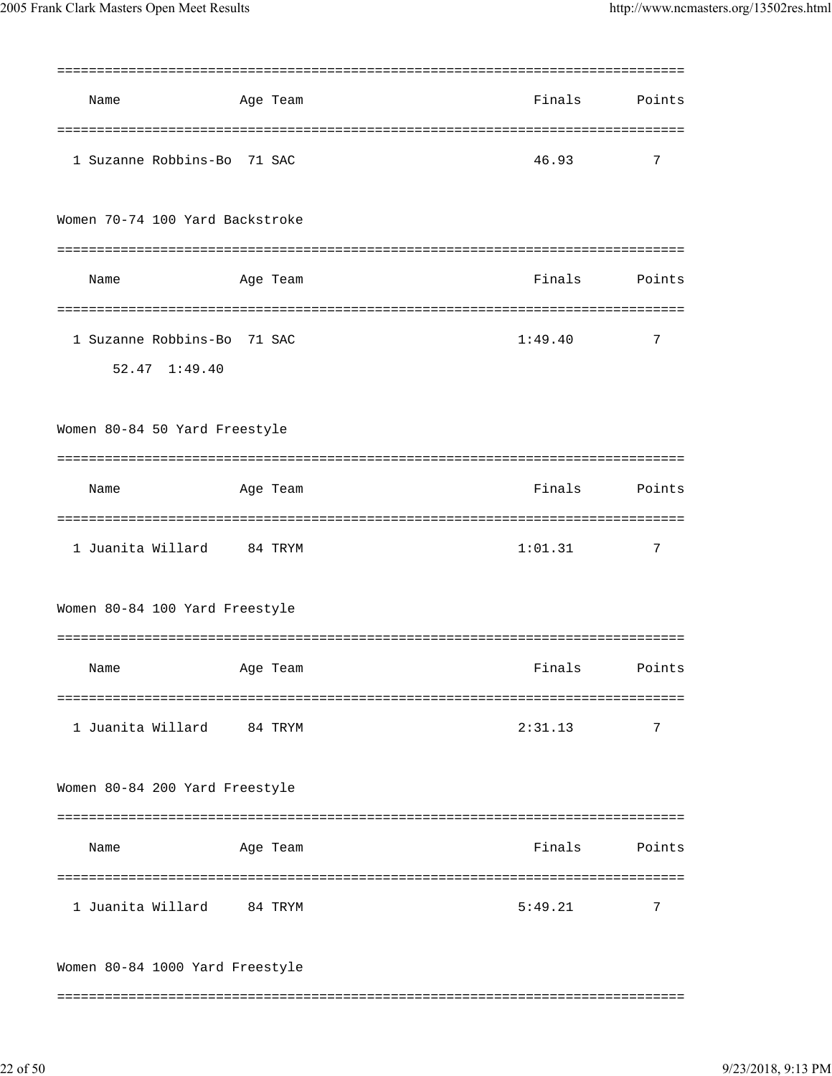|                                 |         |          | =============== |        |
|---------------------------------|---------|----------|-----------------|--------|
| Name                            |         | Age Team | Finals          | Points |
|                                 |         |          |                 |        |
| 1 Suzanne Robbins-Bo 71 SAC     |         |          | 46.93           | 7      |
| Women 70-74 100 Yard Backstroke |         |          |                 |        |
|                                 |         |          |                 |        |
| Name                            |         | Age Team | Finals          | Points |
|                                 |         |          |                 |        |
| 1 Suzanne Robbins-Bo 71 SAC     |         |          | 1:49.40         | 7      |
| 52.47 1:49.40                   |         |          |                 |        |
|                                 |         |          |                 |        |
| Women 80-84 50 Yard Freestyle   |         |          |                 |        |
|                                 |         |          |                 |        |
| Name                            |         | Age Team | Finals          | Points |
|                                 |         |          |                 |        |
| 1 Juanita Willard               | 84 TRYM |          | 1:01.31         | 7      |
| Women 80-84 100 Yard Freestyle  |         |          |                 |        |
|                                 |         |          |                 |        |
|                                 |         |          |                 |        |
| Name                            |         | Age Team | Finals          | Points |
| 1 Juanita Willard 84 TRYM       |         |          | 2:31.13         | 7      |
|                                 |         |          |                 |        |
| Women 80-84 200 Yard Freestyle  |         |          |                 |        |
|                                 |         |          |                 |        |
| Name                            |         | Age Team | Finals          | Points |
|                                 |         |          |                 |        |
| 1 Juanita Willard 84 TRYM       |         |          | 5:49.21         | 7      |
| Women 80-84 1000 Yard Freestyle |         |          |                 |        |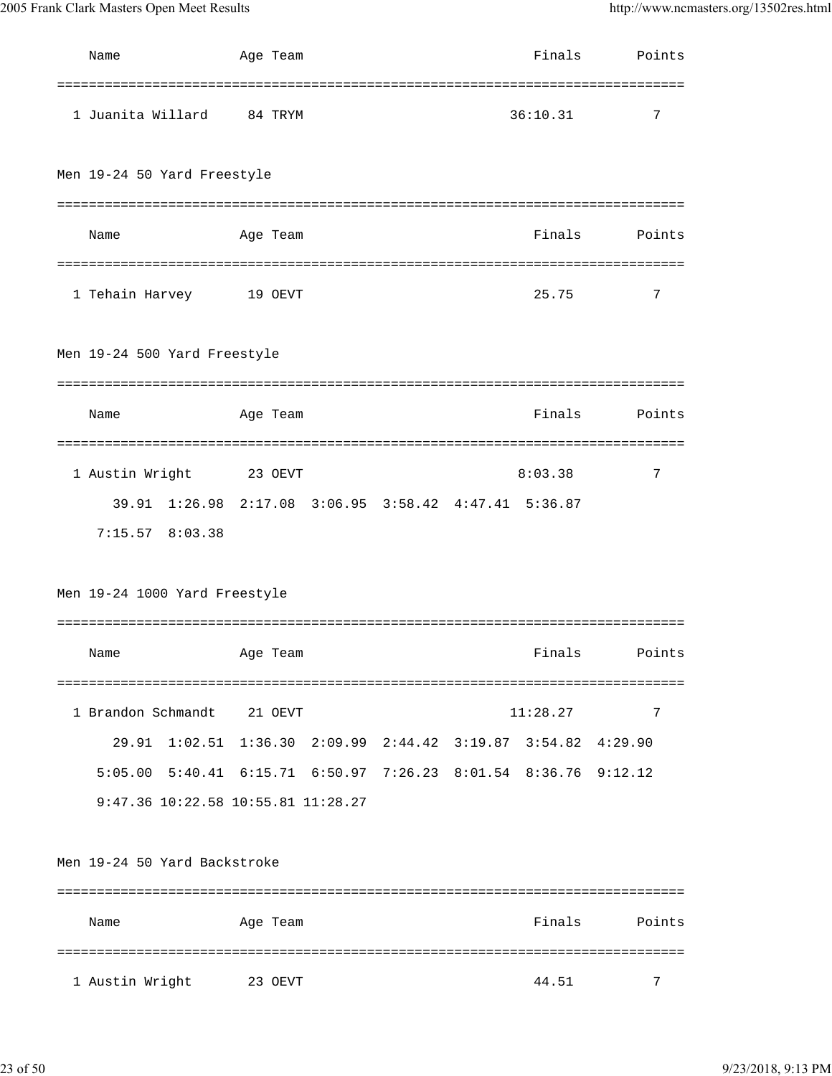| Name                                                                     | Age Team                                                              |  | Finals   | Points |
|--------------------------------------------------------------------------|-----------------------------------------------------------------------|--|----------|--------|
| 1 Juanita Willard                                                        | 84 TRYM                                                               |  | 36:10.31 | 7      |
| Men 19-24 50 Yard Freestyle                                              |                                                                       |  |          |        |
| Name                                                                     | Age Team                                                              |  | Finals   | Points |
| 1 Tehain Harvey                                                          | 19 OEVT                                                               |  | 25.75    | 7      |
| Men 19-24 500 Yard Freestyle                                             |                                                                       |  |          |        |
| Name                                                                     | Age Team                                                              |  | Finals   | Points |
| 1 Austin Wright<br>39.91 1:26.98 2:17.08 3:06.95 3:58.42 4:47.41 5:36.87 | 23 OEVT                                                               |  | 8:03.38  | 7      |
| $7:15.57$ 8:03.38                                                        |                                                                       |  |          |        |
| Men 19-24 1000 Yard Freestyle                                            |                                                                       |  |          |        |
|                                                                          |                                                                       |  |          |        |
| Name                                                                     | Age Team                                                              |  | Finals   | Points |
|                                                                          |                                                                       |  |          |        |
| 1 Brandon Schmandt                                                       | 21 OEVT                                                               |  | 11:28.27 | 7      |
| 29.91                                                                    | $1:02.51$ $1:36.30$ $2:09.99$ $2:44.42$ $3:19.87$ $3:54.82$ $4:29.90$ |  |          |        |
| 5:05.00 5:40.41 6:15.71 6:50.97 7:26.23 8:01.54 8:36.76 9:12.12          |                                                                       |  |          |        |
| 9:47.36 10:22.58 10:55.81 11:28.27                                       |                                                                       |  |          |        |
| Men 19-24 50 Yard Backstroke                                             |                                                                       |  |          |        |
| Name                                                                     | Age Team                                                              |  | Finals   | Points |
| 1 Austin Wright                                                          | 23 OEVT                                                               |  | 44.51    | 7      |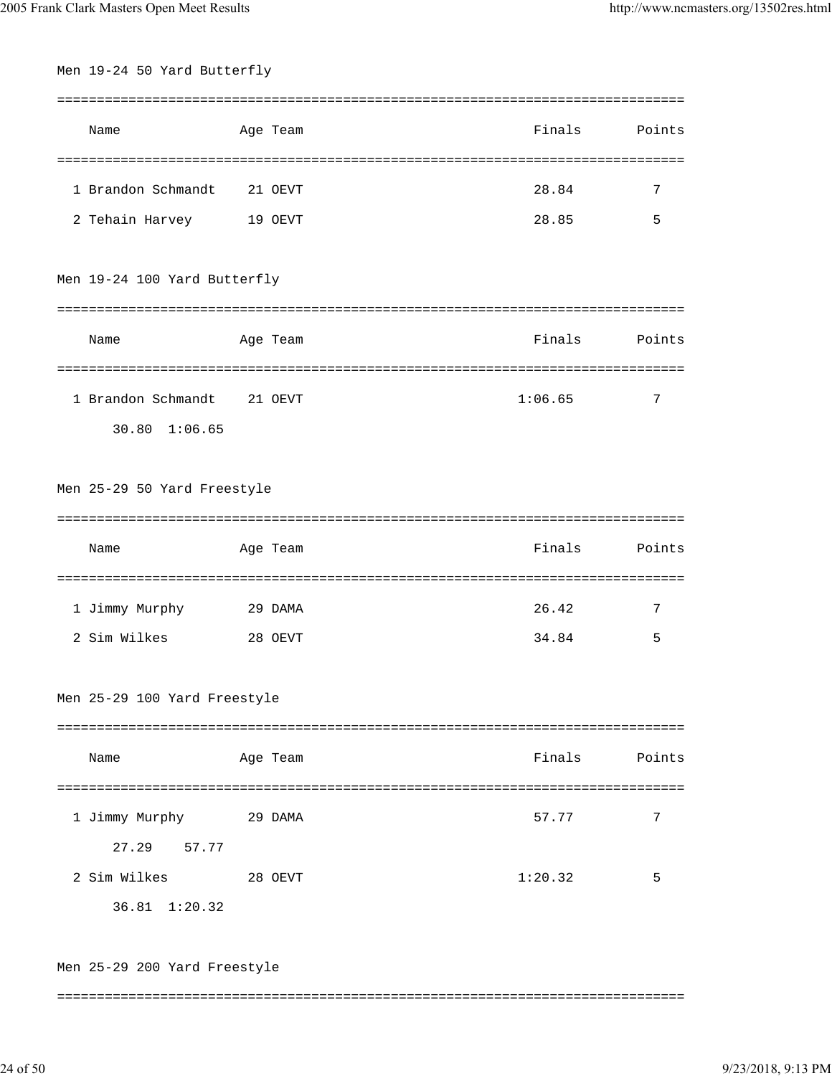| Men 19-24 50 Yard Butterfly  |          |         |        |
|------------------------------|----------|---------|--------|
|                              |          |         |        |
| Name                         | Age Team | Finals  | Points |
|                              |          |         |        |
| 1 Brandon Schmandt           | 21 OEVT  | 28.84   | 7      |
| 2 Tehain Harvey              | 19 OEVT  | 28.85   | 5      |
| Men 19-24 100 Yard Butterfly |          |         |        |
| Name                         | Age Team | Finals  | Points |
| 1 Brandon Schmandt           | 21 OEVT  | 1:06.65 | 7      |
| 30.80 1:06.65                |          |         |        |
| Men 25-29 50 Yard Freestyle  |          |         |        |
| Name                         | Age Team | Finals  | Points |
|                              |          |         |        |
| 1 Jimmy Murphy               | 29 DAMA  | 26.42   | 7      |
| 2 Sim Wilkes                 | 28 OEVT  | 34.84   | 5      |
| Men 25-29 100 Yard Freestyle |          |         |        |
| Name                         | Age Team | Finals  | Points |
|                              |          |         |        |
| 1 Jimmy Murphy 29 DAMA       |          | 57.77   | 7      |
| 27.29 57.77                  |          |         |        |
| 2 Sim Wilkes                 | 28 OEVT  | 1:20.32 | 5      |
| 36.81 1:20.32                |          |         |        |
| Men 25-29 200 Yard Freestyle |          |         |        |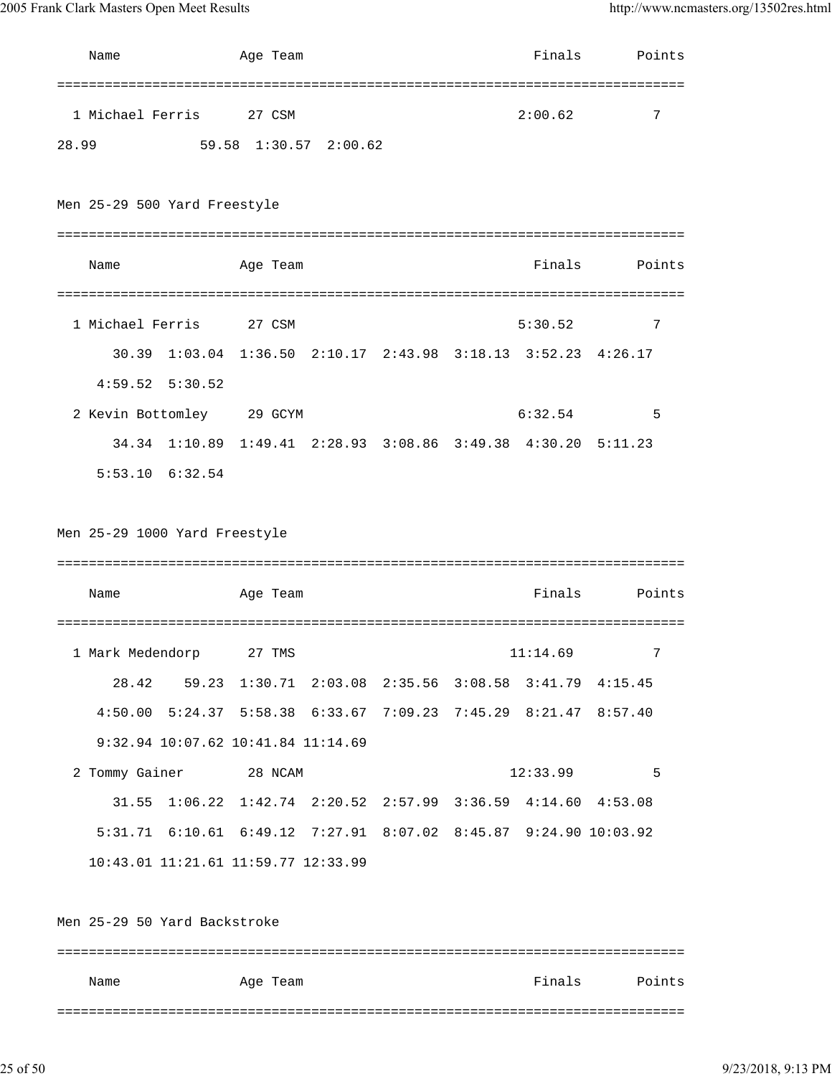2005 Frank Clark Masters Open Meet Results http://www.ncmasters.org/13502res.html

|       | Name                                                             | Age Team                                                      |  | Finals   | Points        |
|-------|------------------------------------------------------------------|---------------------------------------------------------------|--|----------|---------------|
| 28.99 | 1 Michael Ferris                                                 | 27 CSM<br>59.58 1:30.57 2:00.62                               |  | 2:00.62  | 7             |
|       | Men 25-29 500 Yard Freestyle                                     |                                                               |  |          |               |
|       | Name                                                             | Age Team                                                      |  | Finals   | Points        |
|       | 1 Michael Ferris                                                 | 27 CSM                                                        |  | 5:30.52  | 7             |
|       |                                                                  | 30.39 1:03.04 1:36.50 2:10.17 2:43.98 3:18.13 3:52.23 4:26.17 |  |          |               |
|       | $4:59.52$ $5:30.52$                                              |                                                               |  |          |               |
|       | 2 Kevin Bottomley 29 GCYM                                        |                                                               |  | 6:32.54  | 5             |
|       |                                                                  | 34.34 1:10.89 1:49.41 2:28.93 3:08.86 3:49.38 4:30.20         |  |          | 5:11.23       |
|       | $5:53.10$ $6:32.54$                                              |                                                               |  |          |               |
|       | Men 25-29 1000 Yard Freestyle<br>Name                            | Age Team                                                      |  | Finals   | Points        |
|       |                                                                  | 27 TMS                                                        |  |          |               |
|       | 1 Mark Medendorp                                                 | 28.42 59.23 1:30.71 2:03.08 2:35.56 3:08.58 3:41.79 4:15.45   |  | 11:14.69 |               |
|       | 4:50.00 5:24.37 5:58.38 6:33.67 7:09.23 7:45.29 8:21.47 8:57.40  |                                                               |  |          |               |
|       | 9:32.94 10:07.62 10:41.84 11:14.69                               |                                                               |  |          |               |
|       | 2 Tommy Gainer 28 NCAM                                           |                                                               |  | 12:33.99 | $\sim$ 5      |
|       |                                                                  | 31.55 1:06.22 1:42.74 2:20.52 2:57.99 3:36.59 4:14.60 4:53.08 |  |          |               |
|       | 5:31.71 6:10.61 6:49.12 7:27.91 8:07.02 8:45.87 9:24.90 10:03.92 |                                                               |  |          |               |
|       | 10:43.01 11:21.61 11:59.77 12:33.99                              |                                                               |  |          |               |
|       | Men 25-29 50 Yard Backstroke                                     |                                                               |  |          |               |
|       | Name                                                             | Age Team                                                      |  |          | Finals Points |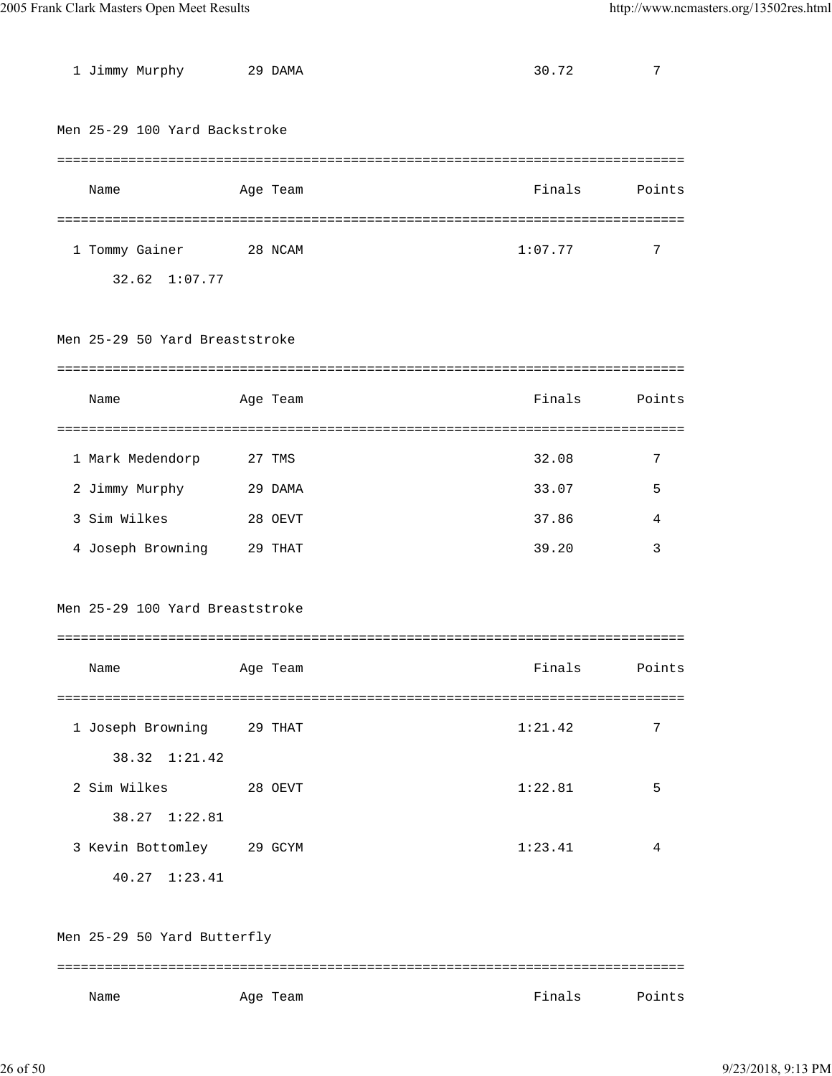| 1 Jimmy Murphy                  | 29 DAMA  | 30.72   | 7      |
|---------------------------------|----------|---------|--------|
| Men 25-29 100 Yard Backstroke   |          |         |        |
|                                 |          |         |        |
| Name                            | Age Team | Finals  | Points |
|                                 |          |         |        |
| 1 Tommy Gainer<br>28 NCAM       |          | 1:07.77 | 7      |
| 32.62 1:07.77                   |          |         |        |
|                                 |          |         |        |
| Men 25-29 50 Yard Breaststroke  |          |         |        |
|                                 |          |         |        |
| Name                            | Age Team | Finals  | Points |
|                                 |          |         |        |
| 1 Mark Medendorp                | 27 TMS   | 32.08   | 7      |
| 2 Jimmy Murphy                  | 29 DAMA  | 33.07   | 5      |
| 3 Sim Wilkes                    | 28 OEVT  | 37.86   | 4      |
| 4 Joseph Browning               | 29 THAT  | 39.20   | 3      |
|                                 |          |         |        |
| Men 25-29 100 Yard Breaststroke |          |         |        |
|                                 |          |         |        |
| Name                            | Age Team | Finals  | Points |
|                                 |          |         |        |
| 1 Joseph Browning 29 THAT       |          | 1:21.42 | 7      |
| 38.32 1:21.42                   |          |         |        |
| 2 Sim Wilkes<br>28 OEVT         |          | 1:22.81 | 5      |
| 38.27 1:22.81                   |          |         |        |
| 3 Kevin Bottomley 29 GCYM       |          | 1:23.41 | 4      |
| 40.27 1:23.41                   |          |         |        |
|                                 |          |         |        |
| Men 25-29 50 Yard Butterfly     |          |         |        |
|                                 |          |         |        |
| Name                            | Age Team | Finals  | Points |
|                                 |          |         |        |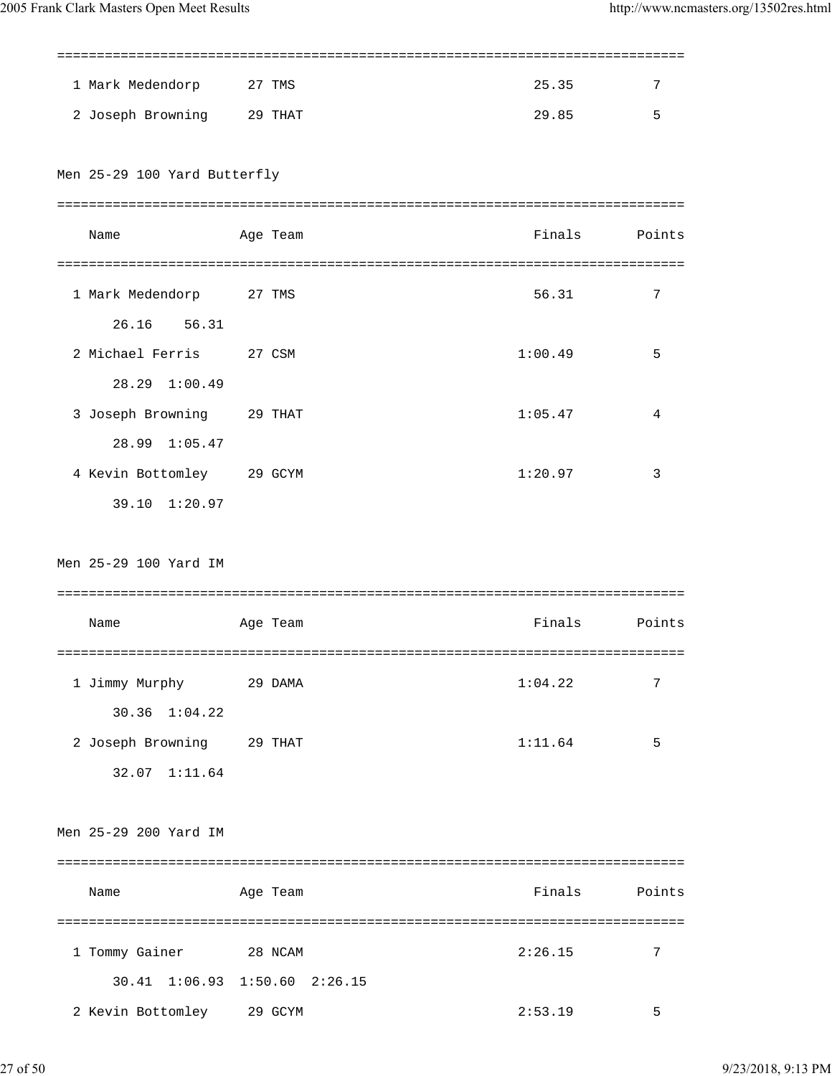| 1 Mark Medendorp              | 27 TMS   | 25.35         | 7      |
|-------------------------------|----------|---------------|--------|
| 2 Joseph Browning 29 THAT     |          | 29.85         | 5      |
|                               |          |               |        |
| Men 25-29 100 Yard Butterfly  |          |               |        |
|                               |          |               |        |
| Name                          | Age Team | Finals        | Points |
|                               |          |               |        |
| 1 Mark Medendorp 27 TMS       |          | 56.31         | 7      |
| 26.16 56.31                   |          |               |        |
| 2 Michael Ferris 27 CSM       |          | 1:00.49       | 5      |
| 28.29 1:00.49                 |          |               |        |
| 3 Joseph Browning 29 THAT     |          | 1:05.47       | 4      |
| 28.99 1:05.47                 |          |               |        |
| 4 Kevin Bottomley 29 GCYM     |          | 1:20.97       | 3      |
| 39.10 1:20.97                 |          |               |        |
|                               |          |               |        |
| Men 25-29 100 Yard IM         |          |               |        |
|                               |          |               |        |
| Name                          | Age Team | Finals        | Points |
|                               |          |               |        |
| 1 Jimmy Murphy 29 DAMA        |          | 1:04.22       | 7      |
| $30.36$ $1:04.22$             |          |               |        |
| 2 Joseph Browning 29 THAT     |          | 1:11.64       | 5      |
| 32.07 1:11.64                 |          |               |        |
|                               |          |               |        |
| Men 25-29 200 Yard IM         |          |               |        |
|                               |          |               |        |
| Name                          | Age Team | Finals Points |        |
|                               |          |               |        |
| 1 Tommy Gainer                | 28 NCAM  | 2:26.15       | 7      |
| 30.41 1:06.93 1:50.60 2:26.15 |          |               |        |
| 2 Kevin Bottomley 29 GCYM     |          | 2:53.19       | 5      |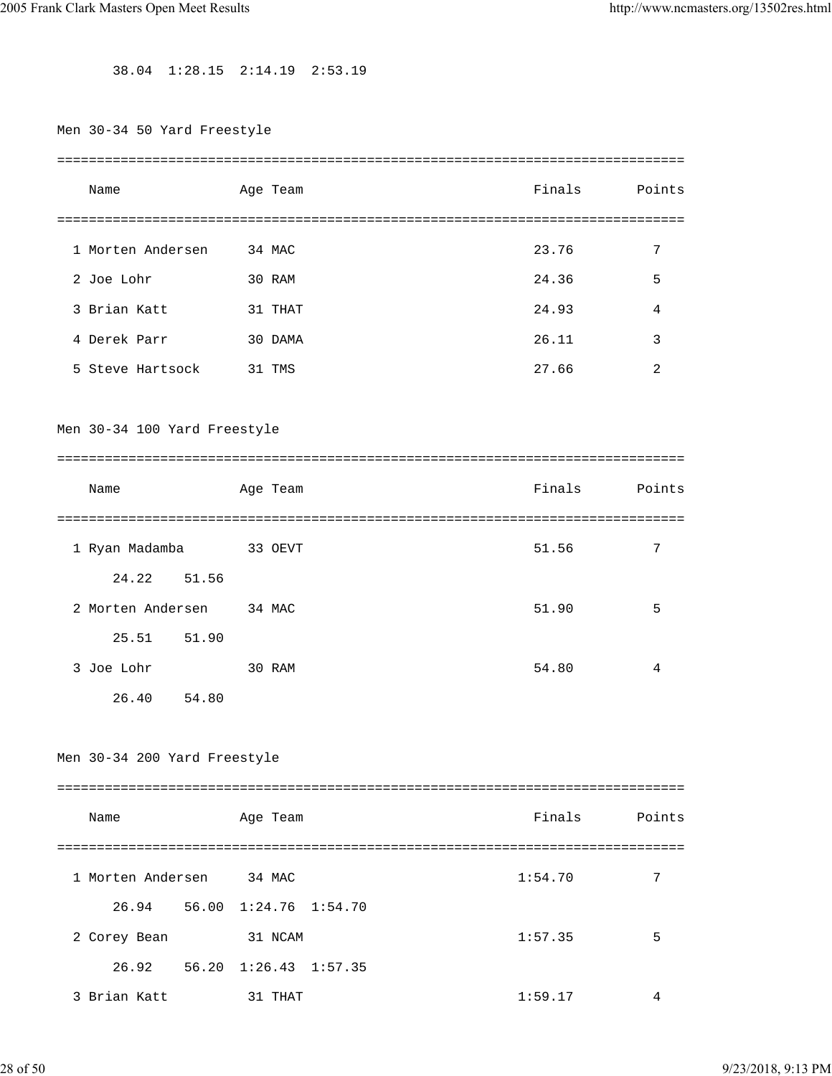38.04 1:28.15 2:14.19 2:53.19

| Men 30-34 50 Yard Freestyle  |          |         |        |
|------------------------------|----------|---------|--------|
| Name                         | Age Team | Finals  | Points |
|                              |          |         |        |
| 1 Morten Andersen            | 34 MAC   | 23.76   | 7      |
| 2 Joe Lohr                   | 30 RAM   | 24.36   | 5      |
| 3 Brian Katt                 | 31 THAT  | 24.93   | 4      |
| 4 Derek Parr                 | 30 DAMA  | 26.11   | 3      |
| 5 Steve Hartsock 31 TMS      |          | 27.66   | 2      |
| Men 30-34 100 Yard Freestyle |          |         |        |
|                              |          |         |        |
| Name                         | Age Team | Finals  | Points |
|                              |          |         |        |
| 1 Ryan Madamba               | 33 OEVT  | 51.56   | 7      |
| 24.22 51.56                  |          |         |        |
| 2 Morten Andersen 34 MAC     |          | 51.90   | 5      |
| 25.51 51.90                  |          |         |        |
| 3 Joe Lohr                   | 30 RAM   | 54.80   | 4      |
| 54.80<br>26.40               |          |         |        |
| Men 30-34 200 Yard Freestyle |          |         |        |
| Name                         | Age Team | Finals  | Points |
|                              |          |         |        |
| 1 Morten Andersen 34 MAC     |          | 1:54.70 | 7      |
| 26.94 56.00 1:24.76 1:54.70  |          |         |        |
| 2 Corey Bean                 | 31 NCAM  | 1:57.35 | 5      |
| 26.92 56.20 1:26.43 1:57.35  |          |         |        |
| 3 Brian Katt                 | 31 THAT  | 1:59.17 | 4      |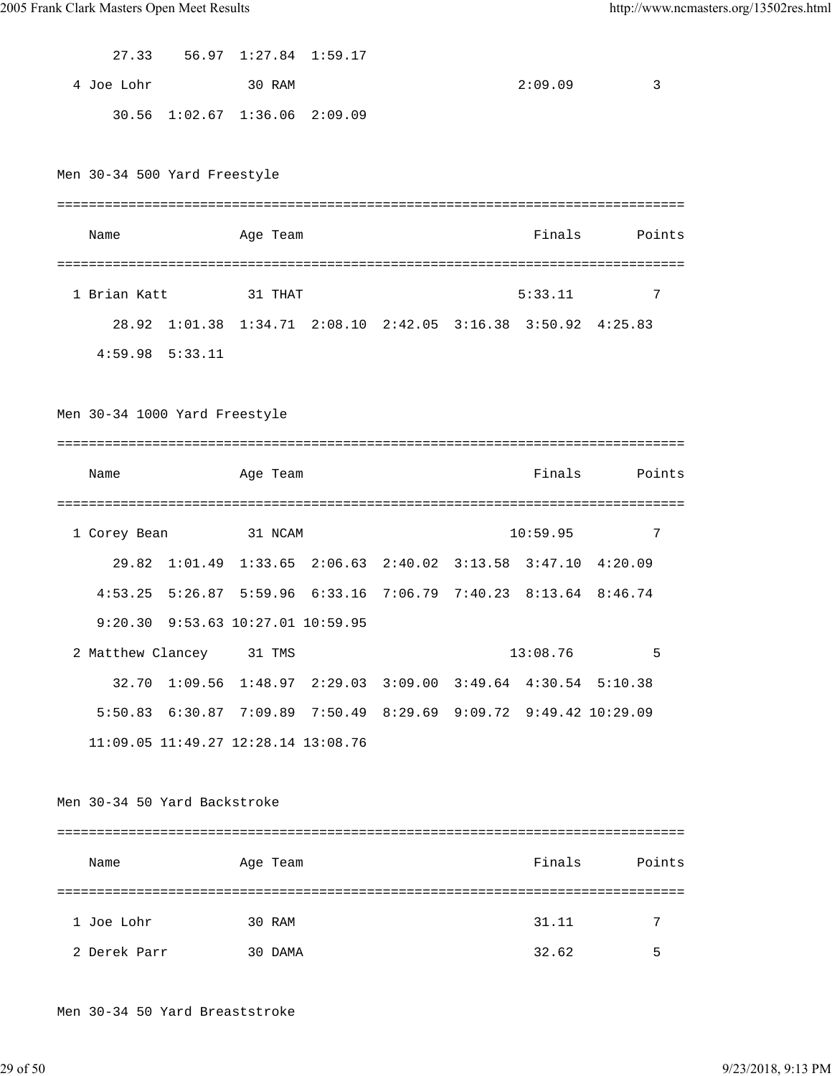| 27.33      | 56.97 1:27.84 1:59.17         |  |         |      |
|------------|-------------------------------|--|---------|------|
| 4 Joe Lohr | 30 RAM                        |  | 2:09.09 | ્ર ર |
|            | 30.56 1:02.67 1:36.06 2:09.09 |  |         |      |

Men 30-34 500 Yard Freestyle

| Name         |                                                               | Age Team |  | Finals  | Points |
|--------------|---------------------------------------------------------------|----------|--|---------|--------|
|              |                                                               |          |  |         |        |
| 1 Brian Katt |                                                               | 31 THAT  |  | 5:33.11 | 7      |
|              | 28.92 1:01.38 1:34.71 2:08.10 2:42.05 3:16.38 3:50.92 4:25.83 |          |  |         |        |
|              | $4:59.98$ $5:33.11$                                           |          |  |         |        |

Men 30-34 1000 Yard Freestyle

| Name         |                              | Age Team                                    |                                                                       |  | Finals   | Points |
|--------------|------------------------------|---------------------------------------------|-----------------------------------------------------------------------|--|----------|--------|
|              |                              |                                             |                                                                       |  |          |        |
| 1 Corey Bean |                              | 31 NCAM                                     |                                                                       |  | 10:59.95 | 7      |
| 29.82        |                              |                                             | $1:01.49$ $1:33.65$ $2:06.63$ $2:40.02$ $3:13.58$ $3:47.10$ $4:20.09$ |  |          |        |
|              |                              |                                             | 4:53.25 5:26.87 5:59.96 6:33.16 7:06.79 7:40.23 8:13.64 8:46.74       |  |          |        |
|              |                              | $9:20.30$ $9:53.63$ $10:27.01$ $10:59.95$   |                                                                       |  |          |        |
|              |                              | 2 Matthew Clancey 31 TMS                    |                                                                       |  | 13:08.76 | 5      |
|              |                              |                                             | 32.70 1:09.56 1:48.97 2:29.03 3:09.00 3:49.64 4:30.54 5:10.38         |  |          |        |
|              |                              |                                             | 5:50.83 6:30.87 7:09.89 7:50.49 8:29.69 9:09.72 9:49.42 10:29.09      |  |          |        |
|              |                              | $11:09.05$ $11:49.27$ $12:28.14$ $13:08.76$ |                                                                       |  |          |        |
|              |                              |                                             |                                                                       |  |          |        |
|              | Men 30-34 50 Yard Backstroke |                                             |                                                                       |  |          |        |
|              |                              |                                             |                                                                       |  |          |        |
| Name         |                              | Age Team                                    |                                                                       |  | Finals   | Points |
|              |                              |                                             |                                                                       |  |          |        |

Men 30-34 50 Yard Breaststroke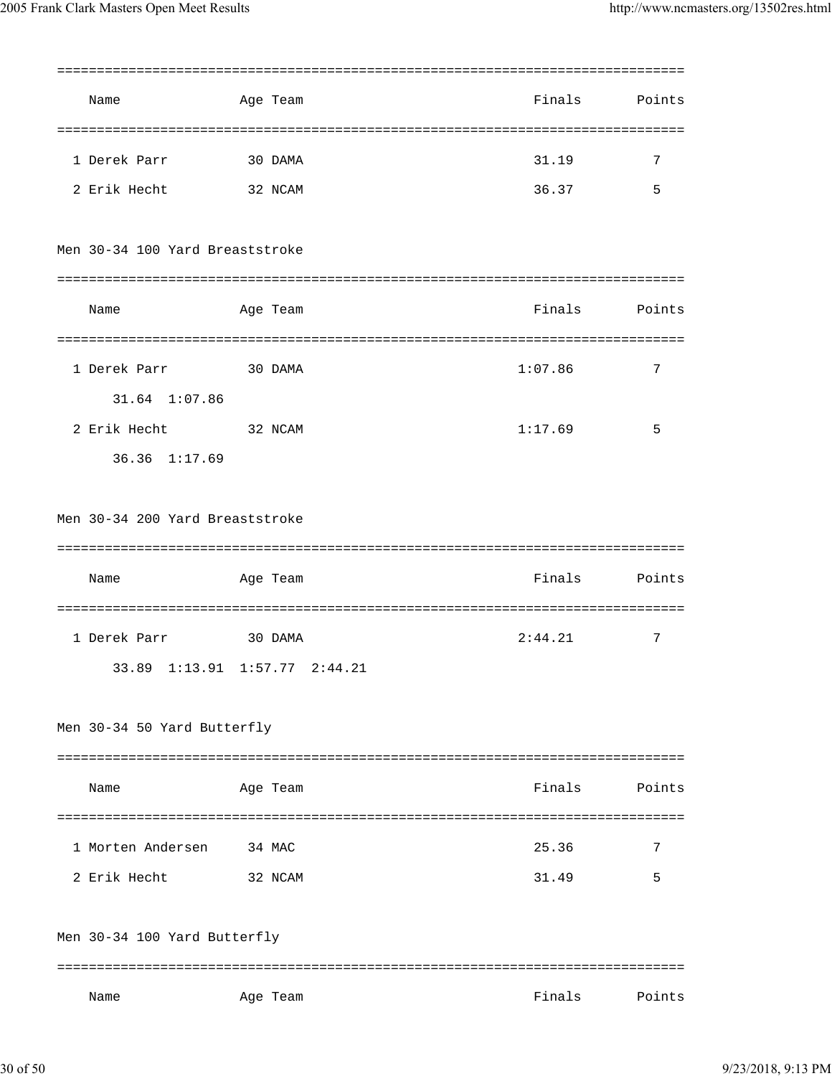| Name                            | Age Team |                         | Finals  | Points |
|---------------------------------|----------|-------------------------|---------|--------|
|                                 |          |                         |         |        |
| 1 Derek Parr                    | 30 DAMA  |                         | 31.19   | 7      |
| 2 Erik Hecht                    | 32 NCAM  |                         | 36.37   | 5      |
| Men 30-34 100 Yard Breaststroke |          |                         |         |        |
| Name                            | Age Team |                         | Finals  | Points |
| 1 Derek Parr                    | 30 DAMA  |                         | 1:07.86 | 7      |
| 31.64 1:07.86                   |          |                         |         |        |
| 2 Erik Hecht                    | 32 NCAM  |                         | 1:17.69 | 5      |
| 36.36 1:17.69                   |          |                         |         |        |
|                                 |          |                         |         |        |
| Men 30-34 200 Yard Breaststroke |          |                         |         |        |
|                                 |          |                         |         |        |
|                                 |          |                         |         |        |
| Name                            | Age Team |                         | Finals  | Points |
|                                 |          |                         |         |        |
| 1 Derek Parr                    | 30 DAMA  |                         | 2:44.21 | 7      |
| 33.89                           |          | 1:13.91 1:57.77 2:44.21 |         |        |
| Men 30-34 50 Yard Butterfly     |          |                         |         |        |
|                                 |          |                         |         |        |
| Name                            | Age Team |                         | Finals  | Points |
|                                 |          |                         |         |        |
| 1 Morten Andersen               | 34 MAC   |                         | 25.36   | 7      |
| 2 Erik Hecht                    | 32 NCAM  |                         | 31.49   | 5      |
|                                 |          |                         |         |        |
| Men 30-34 100 Yard Butterfly    |          |                         |         |        |
|                                 |          |                         |         |        |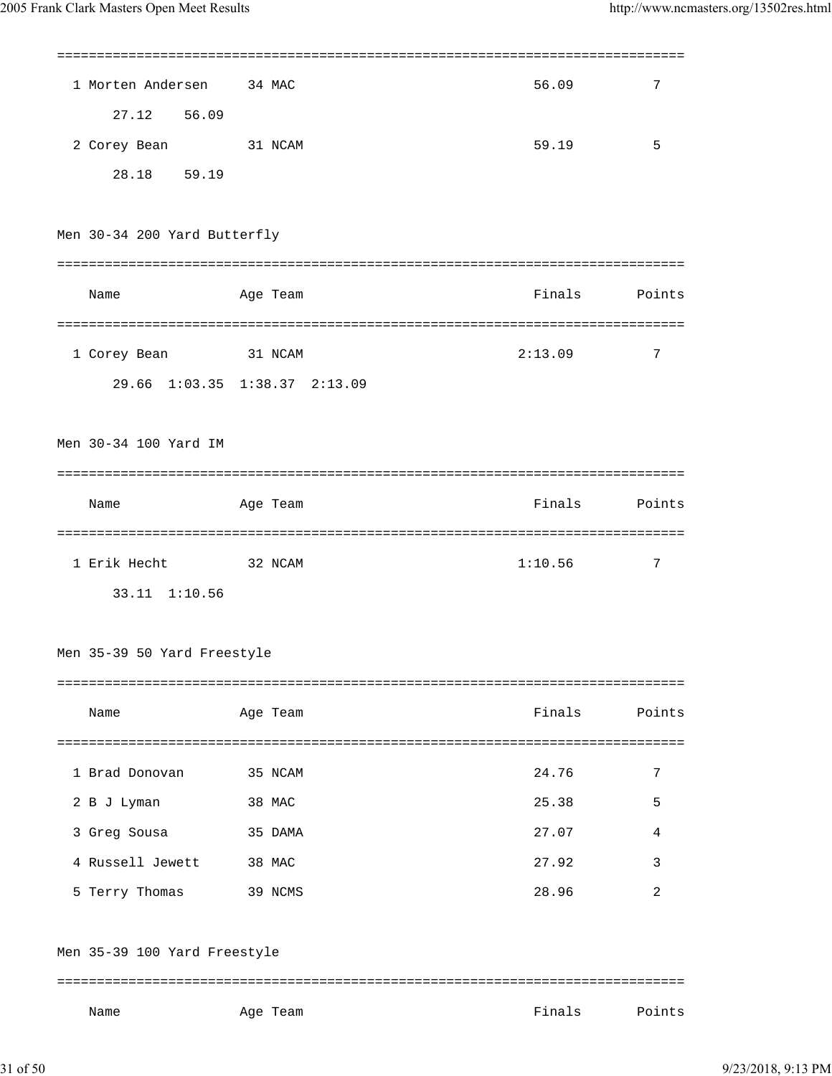| 1 Morten Andersen 34 MAC     |                               | 56.09   | 7      |
|------------------------------|-------------------------------|---------|--------|
| 27.12 56.09                  |                               |         |        |
| 2 Corey Bean                 | 31 NCAM                       | 59.19   | 5      |
| 28.18 59.19                  |                               |         |        |
|                              |                               |         |        |
| Men 30-34 200 Yard Butterfly |                               |         |        |
|                              |                               |         |        |
| Name                         | Age Team                      | Finals  | Points |
|                              |                               |         |        |
| 1 Corey Bean                 | 31 NCAM                       | 2:13.09 | 7      |
|                              | 29.66 1:03.35 1:38.37 2:13.09 |         |        |
|                              |                               |         |        |
| Men 30-34 100 Yard IM        |                               |         |        |
|                              |                               |         |        |
| Name                         | Age Team                      | Finals  | Points |
|                              |                               |         |        |
|                              |                               |         |        |
| 1 Erik Hecht 32 NCAM         |                               | 1:10.56 | 7      |
| 33.11 1:10.56                |                               |         |        |
|                              |                               |         |        |
| Men 35-39 50 Yard Freestyle  |                               |         |        |
|                              |                               |         |        |
| Name                         | Age Team                      | Finals  | Points |
|                              |                               |         |        |
| 1 Brad Donovan               | 35 NCAM                       | 24.76   | 7      |
| 2 B J Lyman                  | 38 MAC                        | 25.38   | 5      |
| 3 Greg Sousa                 | 35 DAMA                       | 27.07   | 4      |
| 4 Russell Jewett             | 38 MAC                        | 27.92   | 3      |
| 5 Terry Thomas               | 39 NCMS                       | 28.96   | 2      |
|                              |                               |         |        |
| Men 35-39 100 Yard Freestyle |                               |         |        |
|                              |                               |         |        |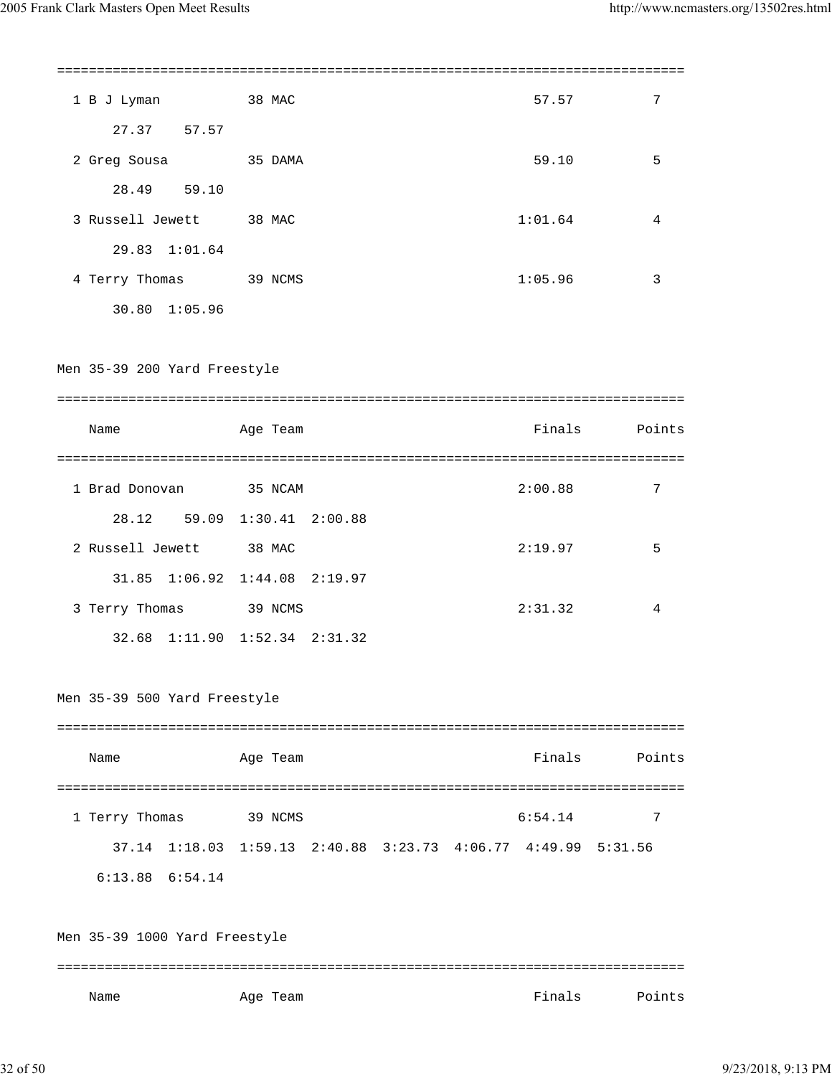| 1 B J Lyman 38 MAC            |                                                                       |  | 57.57   | 7             |
|-------------------------------|-----------------------------------------------------------------------|--|---------|---------------|
| 27.37 57.57                   |                                                                       |  |         |               |
| 2 Greg Sousa 35 DAMA          |                                                                       |  | 59.10   | 5             |
| 28.49 59.10                   |                                                                       |  |         |               |
| 3 Russell Jewett 38 MAC       |                                                                       |  | 1:01.64 | 4             |
| 29.83 1:01.64                 |                                                                       |  |         |               |
| 4 Terry Thomas 39 NCMS        |                                                                       |  | 1:05.96 | 3             |
| 30.80 1:05.96                 |                                                                       |  |         |               |
| Men 35-39 200 Yard Freestyle  |                                                                       |  |         |               |
| Name                          | Age Team                                                              |  |         | Finals Points |
|                               |                                                                       |  |         |               |
| 1 Brad Donovan 35 NCAM        |                                                                       |  | 2:00.88 | 7             |
| 28.12 59.09 1:30.41 2:00.88   |                                                                       |  |         |               |
| 2 Russell Jewett 38 MAC       |                                                                       |  | 2:19.97 | 5             |
| 31.85 1:06.92 1:44.08 2:19.97 |                                                                       |  |         |               |
| 3 Terry Thomas 39 NCMS        |                                                                       |  | 2:31.32 | 4             |
| 32.68 1:11.90 1:52.34 2:31.32 |                                                                       |  |         |               |
| Men 35-39 500 Yard Freestyle  |                                                                       |  |         |               |
| Name                          | Age Team                                                              |  | Finals  | Points        |
| 1 Terry Thomas                | 39 NCMS                                                               |  | 6:54.14 | 7             |
| 37.14                         | $1:18.03$ $1:59.13$ $2:40.88$ $3:23.73$ $4:06.77$ $4:49.99$ $5:31.56$ |  |         |               |
| $6:13.88$ $6:54.14$           |                                                                       |  |         |               |
| Men 35-39 1000 Yard Freestyle |                                                                       |  |         |               |
|                               |                                                                       |  |         |               |
| Name                          | Age Team                                                              |  | Finals  | Points        |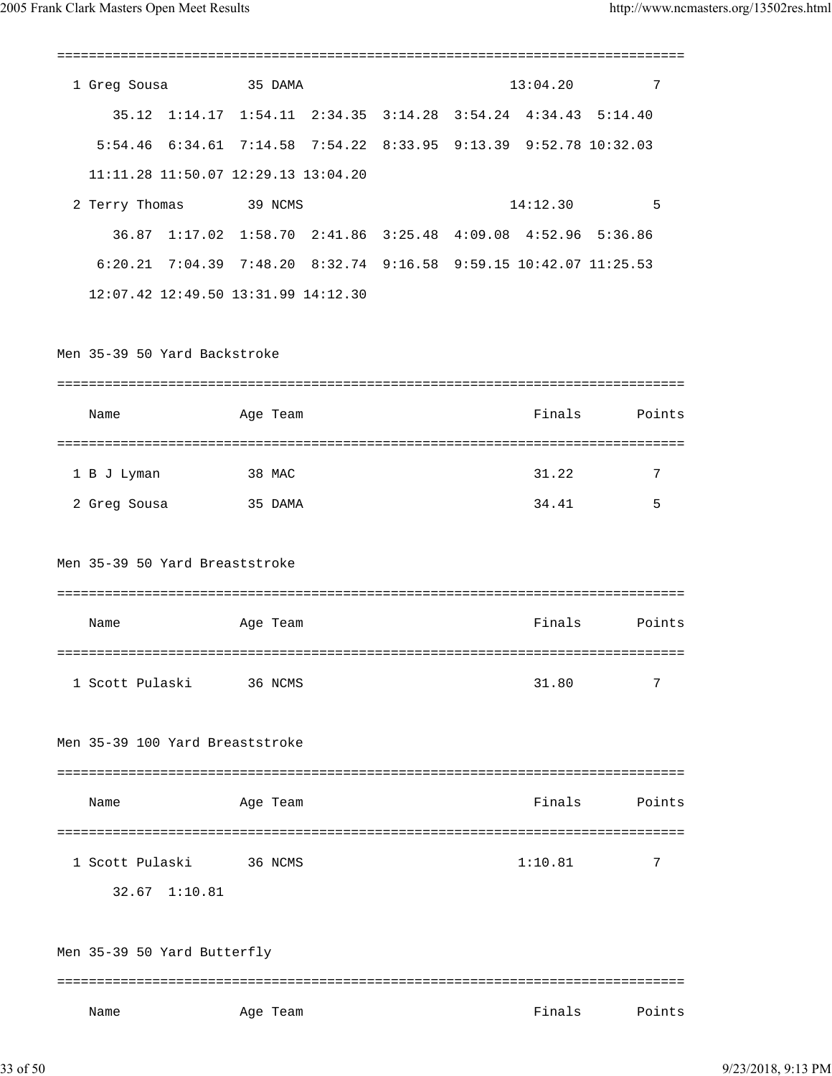| 1 Greg Sousa                                                      | 35 DAMA  |  |          | $13:04.20$ 7 |
|-------------------------------------------------------------------|----------|--|----------|--------------|
| 35.12 1:14.17 1:54.11 2:34.35 3:14.28 3:54.24 4:34.43 5:14.40     |          |  |          |              |
| 5:54.46 6:34.61 7:14.58 7:54.22 8:33.95 9:13.39 9:52.78 10:32.03  |          |  |          |              |
| 11:11.28 11:50.07 12:29.13 13:04.20                               |          |  |          |              |
| 2 Terry Thomas 39 NCMS                                            |          |  | 14:12.30 | $\sim$ 5     |
| 36.87 1:17.02 1:58.70 2:41.86 3:25.48 4:09.08 4:52.96 5:36.86     |          |  |          |              |
| 6:20.21 7:04.39 7:48.20 8:32.74 9:16.58 9:59.15 10:42.07 11:25.53 |          |  |          |              |
| 12:07.42 12:49.50 13:31.99 14:12.30                               |          |  |          |              |
|                                                                   |          |  |          |              |
| Men 35-39 50 Yard Backstroke                                      |          |  |          |              |
|                                                                   |          |  |          |              |
| Name                                                              | Age Team |  | Finals   | Points       |
|                                                                   |          |  |          |              |
| 1 B J Lyman                                                       | 38 MAC   |  | 31.22    | 7            |
| 2 Greg Sousa                                                      | 35 DAMA  |  | 34.41    | 5            |
| Men 35-39 50 Yard Breaststroke                                    |          |  |          |              |
| Name                                                              | Age Team |  | Finals   | Points       |
| 1 Scott Pulaski                                                   | 36 NCMS  |  | 31.80    | 7            |
| Men 35-39 100 Yard Breaststroke                                   |          |  |          |              |
| Name                                                              | Age Team |  | Finals   | Points       |
| 1 Scott Pulaski<br>32.67 1:10.81                                  | 36 NCMS  |  | 1:10.81  | 7            |
| Men 35-39 50 Yard Butterfly                                       |          |  |          |              |
| Name                                                              | Age Team |  | Finals   | Points       |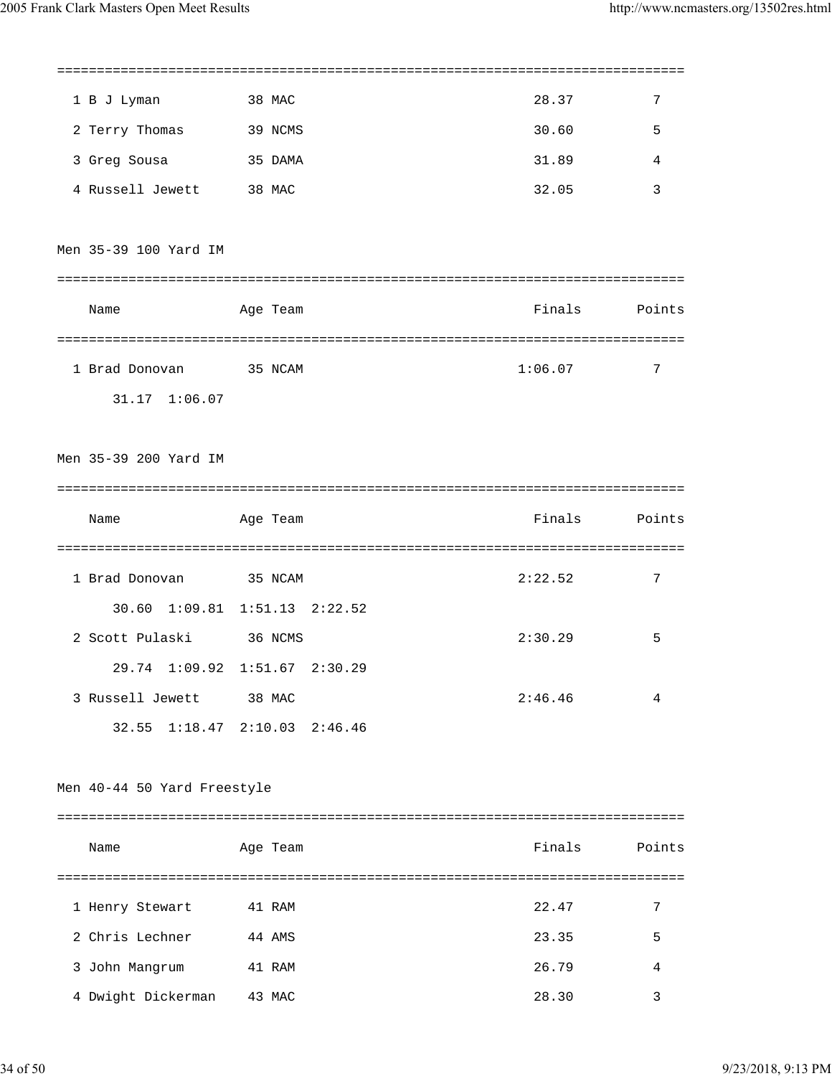| 1 B J Lyman                        | 38 MAC                        | 28.37   | 7      |
|------------------------------------|-------------------------------|---------|--------|
| 2 Terry Thomas                     | 39 NCMS                       | 30.60   | 5      |
| 3 Greg Sousa                       | 35 DAMA                       | 31.89   | 4      |
| 4 Russell Jewett 38 MAC            |                               | 32.05   | 3      |
| Men 35-39 100 Yard IM              |                               |         |        |
|                                    |                               |         |        |
| Name                               | Age Team                      | Finals  | Points |
|                                    |                               |         |        |
| 1 Brad Donovan 35 NCAM             |                               | 1:06.07 | 7      |
| 31.17 1:06.07                      |                               |         |        |
| Men 35-39 200 Yard IM              |                               |         |        |
| Name                               | Age Team                      | Finals  | Points |
|                                    |                               |         |        |
| 1 Brad Donovan 35 NCAM             |                               | 2:22.52 | 7      |
|                                    | 30.60 1:09.81 1:51.13 2:22.52 |         |        |
| 2 Scott Pulaski 36 NCMS            | 29.74 1:09.92 1:51.67 2:30.29 | 2:30.29 | 5      |
| 3 Russell Jewett 38 MAC            |                               | 2:46.46 | 4      |
|                                    | 32.55 1:18.47 2:10.03 2:46.46 |         |        |
|                                    |                               |         |        |
| Men 40-44 50 Yard Freestyle        |                               |         |        |
|                                    |                               |         |        |
| Name                               | Age Team                      | Finals  | Points |
|                                    |                               | 22.47   | 7      |
| 1 Henry Stewart<br>2 Chris Lechner | 41 RAM<br>44 AMS              | 23.35   | 5      |
| 3 John Mangrum                     | 41 RAM                        | 26.79   | 4      |
|                                    |                               |         |        |

4 Dwight Dickerman 43 MAC 28.30 3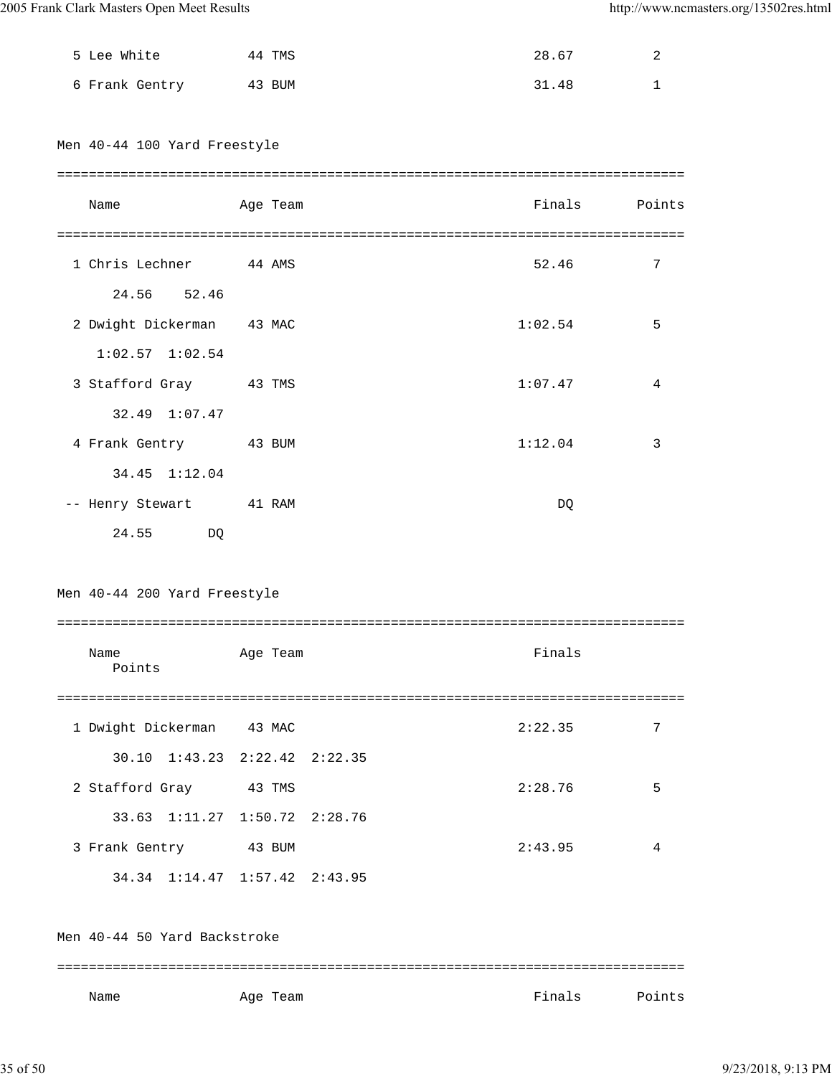| 5 Lee White                                                                              | 44 TMS   | 28.67   | 2      |
|------------------------------------------------------------------------------------------|----------|---------|--------|
| 6 Frank Gentry 43 BUM                                                                    |          | 31.48   | 1      |
| Men 40-44 100 Yard Freestyle                                                             |          |         |        |
| Name                                                                                     | Age Team | Finals  | Points |
| 1 Chris Lechner 44 AMS<br>24.56 52.46                                                    |          | 52.46   | 7      |
| 2 Dwight Dickerman 43 MAC<br>$1:02.57$ $1:02.54$                                         |          | 1:02.54 | 5      |
| 3 Stafford Gray 43 TMS<br>32.49 1:07.47                                                  |          | 1:07.47 | 4      |
| 4 Frank Gentry 43 BUM<br>34.45 1:12.04                                                   |          | 1:12.04 | 3      |
| -- Henry Stewart 41 RAM<br>24.55<br>DQ                                                   |          | DQ      |        |
| Men 40-44 200 Yard Freestyle                                                             |          |         |        |
| Name<br>Points                                                                           | Age Team | Finals  |        |
| 1 Dwight Dickerman 43 MAC                                                                |          | 2:22.35 | 7      |
| 30.10 1:43.23 2:22.42 2:22.35<br>2 Stafford Gray 43 TMS<br>33.63 1:11.27 1:50.72 2:28.76 |          | 2:28.76 | 5      |
| 3 Frank Gentry 43 BUM<br>34.34 1:14.47 1:57.42 2:43.95                                   |          | 2:43.95 | 4      |

Men 40-44 50 Yard Backstroke =============================================================================== Name **Age Team** Age Team **Finals** Points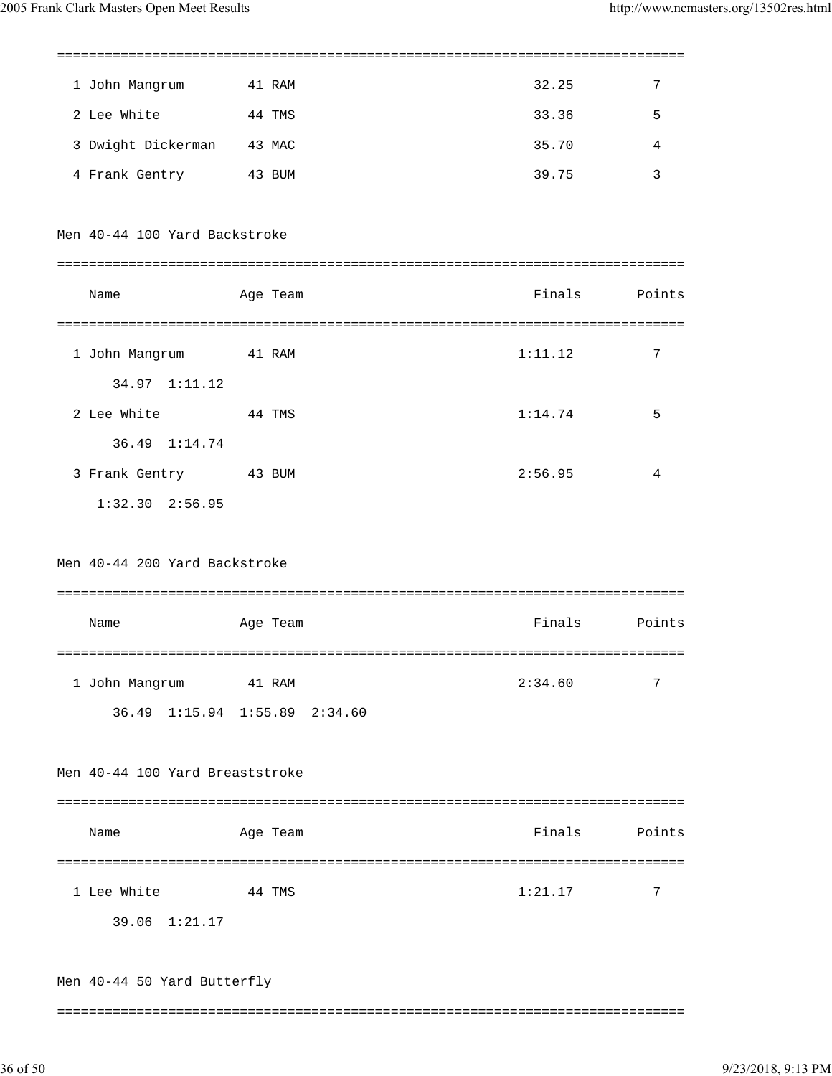| 1 John Mangrum 41 RAM                                         |          | 32.25         | $\overline{7}$  |
|---------------------------------------------------------------|----------|---------------|-----------------|
| 2 Lee White                                                   | 44 TMS   | 33.36         | 5               |
| 3 Dwight Dickerman 43 MAC                                     |          | 35.70         | 4               |
| 4 Frank Gentry 43 BUM                                         |          | 39.75         | 3               |
| Men 40-44 100 Yard Backstroke                                 |          |               |                 |
| Name                                                          | Age Team | Finals Points |                 |
| 1 John Mangrum 41 RAM                                         |          | 1:11.12       | $7\phantom{.0}$ |
| 34.97 1:11.12<br>2 Lee White<br>44 TMS                        |          | 1:14.74       | 5               |
| 36.49 1:14.74<br>3 Frank Gentry 43 BUM<br>$1:32.30$ $2:56.95$ |          | 2:56.95       | 4               |
| Men 40-44 200 Yard Backstroke<br>Name                         | Age Team | Finals        | Points          |
|                                                               |          |               |                 |
| 1 John Mangrum<br>36.49 1:15.94 1:55.89 2:34.60               | 41 RAM   | 2:34.60       | 7               |
| Men 40-44 100 Yard Breaststroke                               |          |               |                 |
| Name                                                          | Age Team | Finals        | Points          |
| 1 Lee White<br>39.06 1:21.17                                  | 44 TMS   | 1:21.17       | 7               |
| Men 40-44 50 Yard Butterfly                                   |          |               |                 |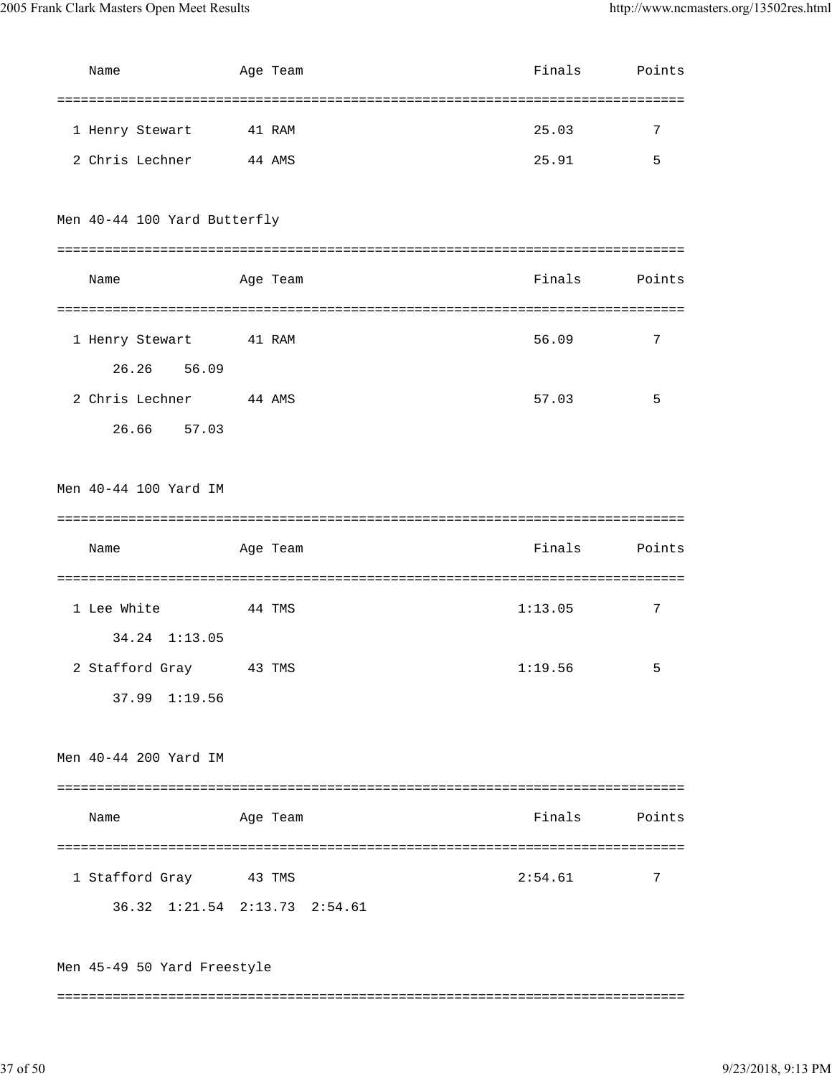| Name                          |        | Age Team | Finals        | Points         |
|-------------------------------|--------|----------|---------------|----------------|
|                               |        |          |               |                |
| 1 Henry Stewart               | 41 RAM |          | 25.03         | 7              |
| 2 Chris Lechner 44 AMS        |        |          | 25.91         | 5              |
|                               |        |          |               |                |
| Men 40-44 100 Yard Butterfly  |        |          |               |                |
|                               |        |          |               |                |
| Name                          |        | Age Team | Finals        | Points         |
|                               |        |          |               |                |
| 1 Henry Stewart 41 RAM        |        |          | 56.09         | 7              |
| 26.26 56.09                   |        |          |               |                |
| 2 Chris Lechner 44 AMS        |        |          | 57.03         | 5              |
| 26.66 57.03                   |        |          |               |                |
|                               |        |          |               |                |
| Men 40-44 100 Yard IM         |        |          |               |                |
|                               |        |          |               |                |
| Name                          |        | Age Team | Finals        | Points         |
|                               |        |          |               |                |
| 1 Lee White<br>44 TMS         |        |          | 1:13.05       | $\overline{7}$ |
| 34.24 1:13.05                 |        |          |               |                |
| 2 Stafford Gray               | 43 TMS |          | 1:19.56       | 5              |
| 37.99 1:19.56                 |        |          |               |                |
|                               |        |          |               |                |
| Men 40-44 200 Yard IM         |        |          |               |                |
|                               |        |          |               |                |
| Name                          |        | Age Team | Finals Points |                |
|                               |        |          |               |                |
| 1 Stafford Gray 43 TMS        |        |          | 2:54.61       | 7              |
| 36.32 1:21.54 2:13.73 2:54.61 |        |          |               |                |
|                               |        |          |               |                |
| Men 45-49 50 Yard Freestyle   |        |          |               |                |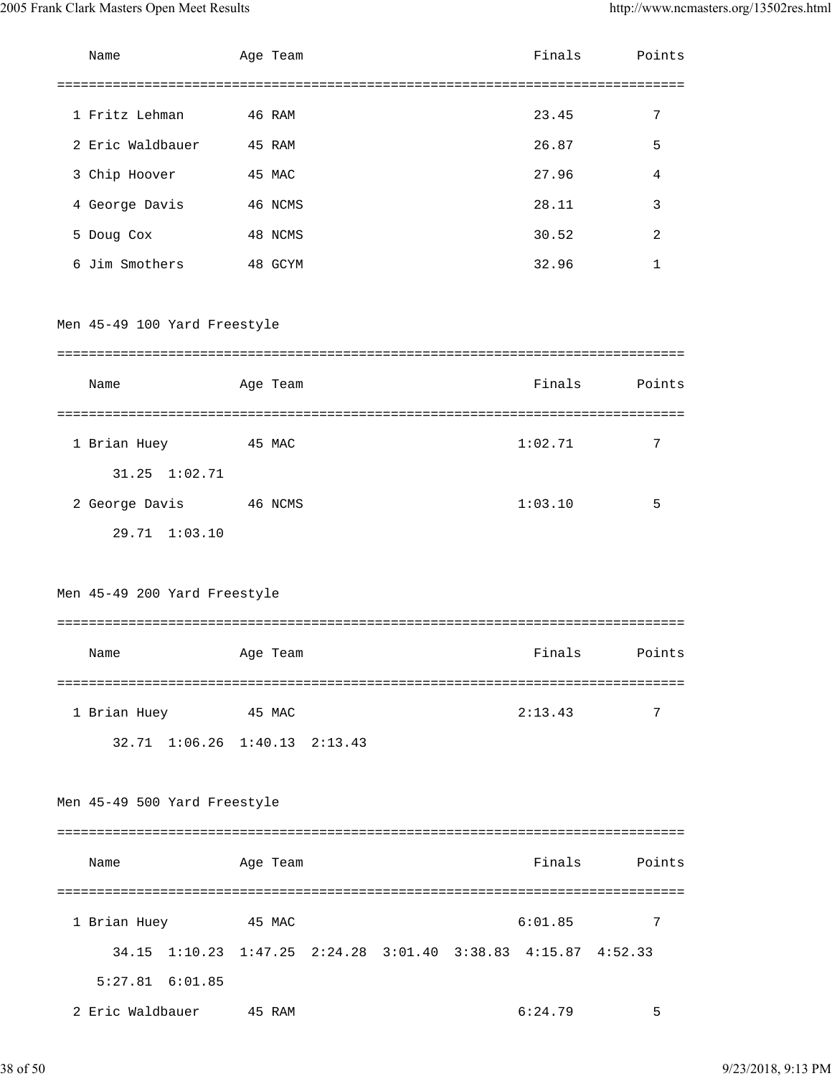| Name                                                          | Age Team |  | Finals  | Points |
|---------------------------------------------------------------|----------|--|---------|--------|
|                                                               |          |  |         |        |
| 1 Fritz Lehman                                                | 46 RAM   |  | 23.45   | 7      |
| 2 Eric Waldbauer                                              | 45 RAM   |  | 26.87   | 5      |
| 3 Chip Hoover                                                 | 45 MAC   |  | 27.96   | 4      |
| 4 George Davis                                                | 46 NCMS  |  | 28.11   | 3      |
| 5 Doug Cox                                                    | 48 NCMS  |  | 30.52   | 2      |
| 6 Jim Smothers                                                | 48 GCYM  |  | 32.96   | 1      |
|                                                               |          |  |         |        |
| Men 45-49 100 Yard Freestyle                                  |          |  |         |        |
|                                                               |          |  |         |        |
| Name                                                          | Age Team |  | Finals  | Points |
| 1 Brian Huey                                                  | 45 MAC   |  | 1:02.71 | 7      |
| 31.25 1:02.71                                                 |          |  |         |        |
| 2 George Davis                                                | 46 NCMS  |  | 1:03.10 | 5      |
| 29.71 1:03.10                                                 |          |  |         |        |
|                                                               |          |  |         |        |
| Men 45-49 200 Yard Freestyle                                  |          |  |         |        |
|                                                               |          |  |         |        |
| Name                                                          | Age Team |  | Finals  | Points |
|                                                               |          |  |         |        |
| 1 Brian Huey                                                  | 45 MAC   |  | 2:13.43 | 7      |
| 32.71 1:06.26 1:40.13 2:13.43                                 |          |  |         |        |
|                                                               |          |  |         |        |
| Men 45-49 500 Yard Freestyle                                  |          |  |         |        |
|                                                               |          |  |         |        |
| Name                                                          | Age Team |  | Finals  | Points |
| 1 Brian Huey                                                  | 45 MAC   |  | 6:01.85 | 7      |
| 34.15 1:10.23 1:47.25 2:24.28 3:01.40 3:38.83 4:15.87 4:52.33 |          |  |         |        |
| 5:27.81 6:01.85                                               |          |  |         |        |
| 2 Eric Waldbauer                                              | 45 RAM   |  | 6:24.79 | 5      |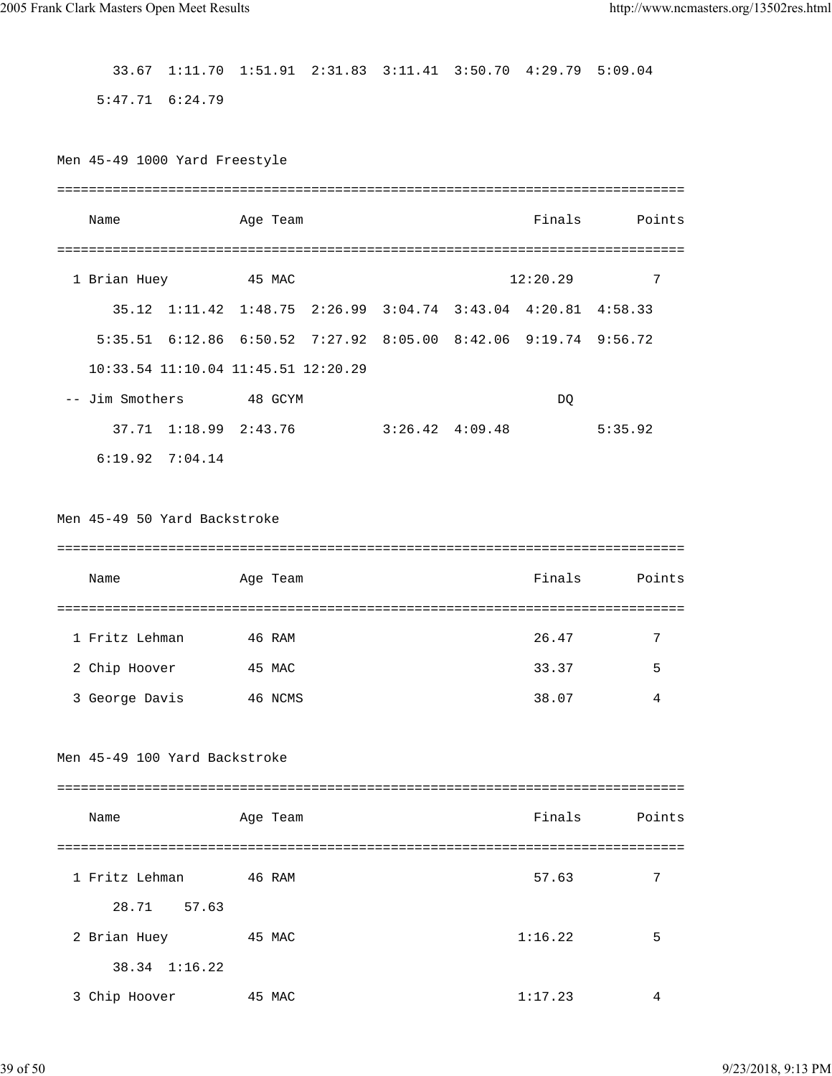33.67 1:11.70 1:51.91 2:31.83 3:11.41 3:50.70 4:29.79 5:09.04

5:47.71 6:24.79

Men 45-49 1000 Yard Freestyle

| Name                                                            | Age Team |                         |          | Finals Points |
|-----------------------------------------------------------------|----------|-------------------------|----------|---------------|
|                                                                 |          |                         |          |               |
| 1 Brian Huey                                                    | 45 MAC   |                         | 12:20.29 | 7             |
| 35.12 1:11.42 1:48.75 2:26.99 3:04.74 3:43.04 4:20.81 4:58.33   |          |                         |          |               |
| 5:35.51 6:12.86 6:50.52 7:27.92 8:05.00 8:42.06 9:19.74 9:56.72 |          |                         |          |               |
| 10:33.54 11:10.04 11:45.51 12:20.29                             |          |                         |          |               |
| -- Jim Smothers 48 GCYM                                         |          |                         | DQ.      |               |
| 37.71 1:18.99 2:43.76                                           |          | $3:26.42 \quad 4:09.48$ |          | 5:35.92       |
| $6:19.92$ $7:04.14$                                             |          |                         |          |               |
|                                                                 |          |                         |          |               |
| Men 45-49 50 Yard Backstroke                                    |          |                         |          |               |
|                                                                 |          |                         |          |               |
| Name                                                            | Age Team |                         |          | Finals Points |
|                                                                 |          |                         |          |               |
| 1 Fritz Lehman                                                  | 46 RAM   |                         | 26.47    | 7             |
| 2 Chip Hoover 45 MAC                                            |          |                         | 33.37    | 5             |
| 3 George Davis 46 NCMS                                          |          |                         | 38.07    | 4             |
|                                                                 |          |                         |          |               |
| Men 45-49 100 Yard Backstroke                                   |          |                         |          |               |
|                                                                 |          |                         |          |               |
| Name                                                            | Age Team |                         | Finals   | Points        |
|                                                                 |          |                         |          |               |
| 1 Fritz Lehman                                                  | 46 RAM   |                         | 57.63    | 7             |
| 28.71<br>57.63                                                  |          |                         |          |               |

 2 Brian Huey 45 MAC 1:16.22 5 38.34 1:16.22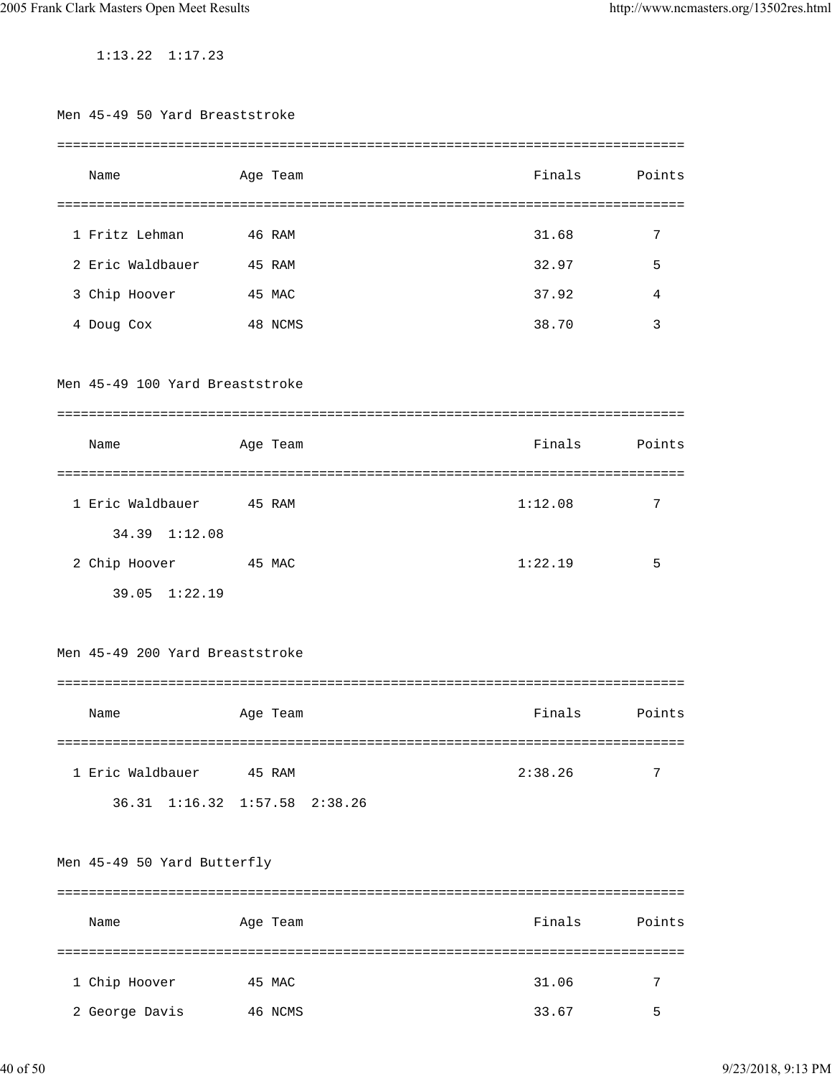1:13.22 1:17.23

| Men 45-49 50 Yard Breaststroke  |                                                 |                                              |              |
|---------------------------------|-------------------------------------------------|----------------------------------------------|--------------|
| Name                            | Age Team                                        | Finals                                       | Points       |
|                                 |                                                 |                                              |              |
| 1 Fritz Lehman                  | 46 RAM                                          | 31.68                                        | 7            |
| 2 Eric Waldbauer                | 45 RAM                                          | 32.97                                        | 5            |
| 3 Chip Hoover                   | 45 MAC                                          | 37.92                                        | 4            |
| 4 Doug Cox                      | 48 NCMS                                         | 38.70                                        | 3            |
| Men 45-49 100 Yard Breaststroke |                                                 |                                              |              |
|                                 |                                                 |                                              |              |
| Name                            | Age Team                                        | Finals                                       | Points       |
|                                 |                                                 |                                              |              |
| 1 Eric Waldbauer                | 45 RAM                                          | 1:12.08                                      | 7            |
| 34.39 1:12.08                   |                                                 |                                              |              |
| 2 Chip Hoover                   | 45 MAC                                          | 1:22.19                                      | 5            |
| 39.05 1:22.19                   |                                                 |                                              |              |
| Men 45-49 200 Yard Breaststroke |                                                 |                                              |              |
| Name                            | Age Team                                        | Finals                                       | Points       |
| 1 Eric Waldbauer                | =====================================<br>45 RAM | =================================<br>2:38.26 | 7            |
| 36.31 1:16.32 1:57.58           | 2:38.26                                         |                                              |              |
| Men 45-49 50 Yard Butterfly     |                                                 |                                              |              |
| Name                            | Age Team                                        | Finals                                       | Points       |
|                                 |                                                 |                                              | ============ |
| 1 Chip Hoover                   | 45 MAC                                          | 31.06                                        | 7            |
| 2 George Davis                  | 46 NCMS                                         | 33.67                                        | 5            |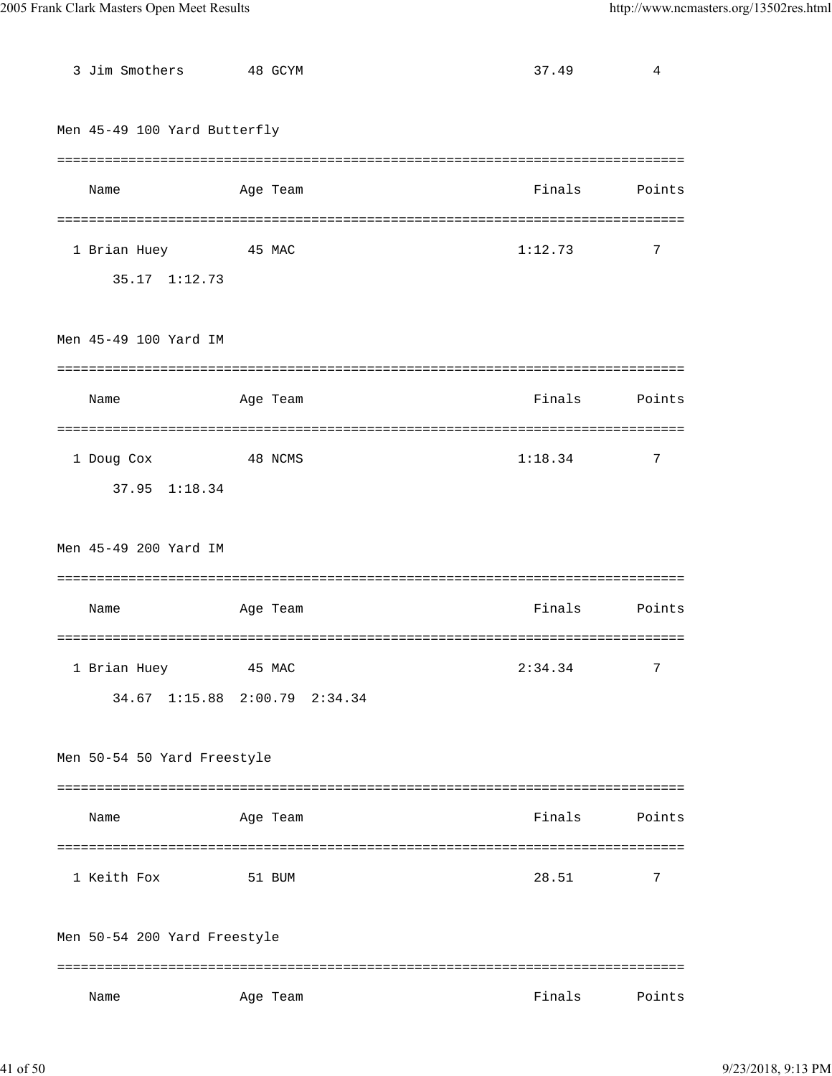| 3 Jim Smothers               | 48 GCYM                       | 37.49   | 4              |
|------------------------------|-------------------------------|---------|----------------|
| Men 45-49 100 Yard Butterfly |                               |         |                |
|                              |                               |         |                |
| Name                         | Age Team                      | Finals  | Points         |
|                              |                               |         |                |
| 1 Brian Huey                 | 45 MAC                        | 1:12.73 | 7              |
| 35.17 1:12.73                |                               |         |                |
|                              |                               |         |                |
| Men 45-49 100 Yard IM        |                               |         |                |
|                              |                               |         |                |
| Name                         | Age Team                      | Finals  | Points         |
|                              |                               |         |                |
| 1 Doug Cox                   | 48 NCMS                       | 1:18.34 | 7              |
| 37.95 1:18.34                |                               |         |                |
|                              |                               |         |                |
| Men 45-49 200 Yard IM        |                               |         |                |
| Name                         | Age Team                      | Finals  | Points         |
|                              |                               |         |                |
| 1 Brian Huey                 | 45 MAC                        | 2:34.34 | $7\phantom{.}$ |
|                              | 34.67 1:15.88 2:00.79 2:34.34 |         |                |
|                              |                               |         |                |
| Men 50-54 50 Yard Freestyle  |                               |         |                |
|                              |                               |         |                |
| Name                         | Age Team                      | Finals  | Points         |
|                              |                               |         |                |
| 1 Keith Fox                  | 51 BUM                        | 28.51   | 7              |
|                              |                               |         |                |
| Men 50-54 200 Yard Freestyle |                               |         |                |
|                              |                               |         |                |
| Name                         | Age Team                      | Finals  | Points         |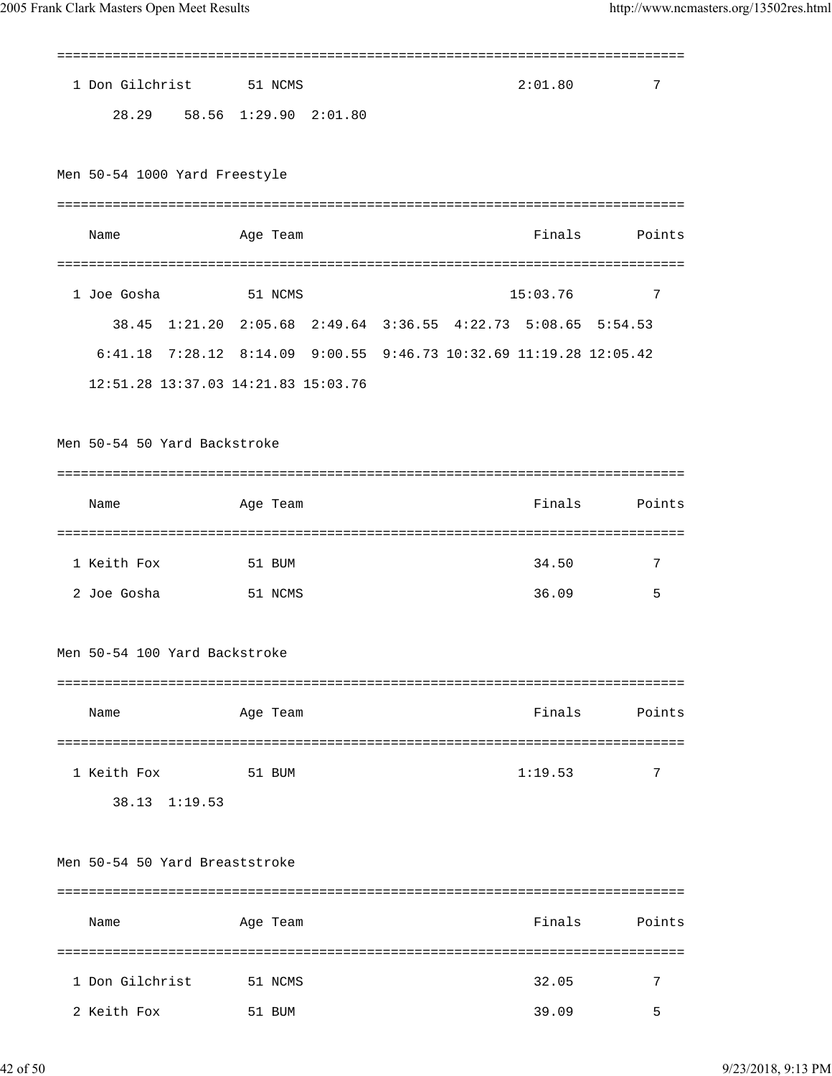| 1 Don Gilchrist                                                    | 51 NCMS  |         |  | 2:01.80  | 7                    |
|--------------------------------------------------------------------|----------|---------|--|----------|----------------------|
| 28.29 58.56 1:29.90                                                |          | 2:01.80 |  |          |                      |
| Men 50-54 1000 Yard Freestyle                                      |          |         |  |          |                      |
| Name                                                               | Age Team |         |  | Finals   | Points               |
| 1 Joe Gosha                                                        | 51 NCMS  |         |  | 15:03.76 | 7                    |
| 38.45 1:21.20 2:05.68 2:49.64 3:36.55 4:22.73 5:08.65 5:54.53      |          |         |  |          |                      |
| 6:41.18 7:28.12 8:14.09 9:00.55 9:46.73 10:32.69 11:19.28 12:05.42 |          |         |  |          |                      |
| 12:51.28 13:37.03 14:21.83 15:03.76                                |          |         |  |          |                      |
| Men 50-54 50 Yard Backstroke                                       |          |         |  |          |                      |
|                                                                    |          |         |  |          |                      |
| Name                                                               | Age Team |         |  | Finals   | Points               |
|                                                                    |          |         |  |          |                      |
| 1 Keith Fox                                                        | 51 BUM   |         |  | 34.50    | 7                    |
| 2 Joe Gosha                                                        | 51 NCMS  |         |  | 36.09    | 5                    |
| Men 50-54 100 Yard Backstroke                                      |          |         |  |          |                      |
|                                                                    |          |         |  |          |                      |
| Name                                                               | Age Team |         |  | Finals   | Points<br>========== |
| 1 Keith Fox                                                        | 51 BUM   |         |  | 1:19.53  | 7                    |
| 38.13 1:19.53                                                      |          |         |  |          |                      |
| Men 50-54 50 Yard Breaststroke                                     |          |         |  |          |                      |
| Name                                                               | Age Team |         |  | Finals   | Points               |
| 1 Don Gilchrist                                                    | 51 NCMS  |         |  | 32.05    | 7                    |

2 Keith Fox 51 BUM 39.09 5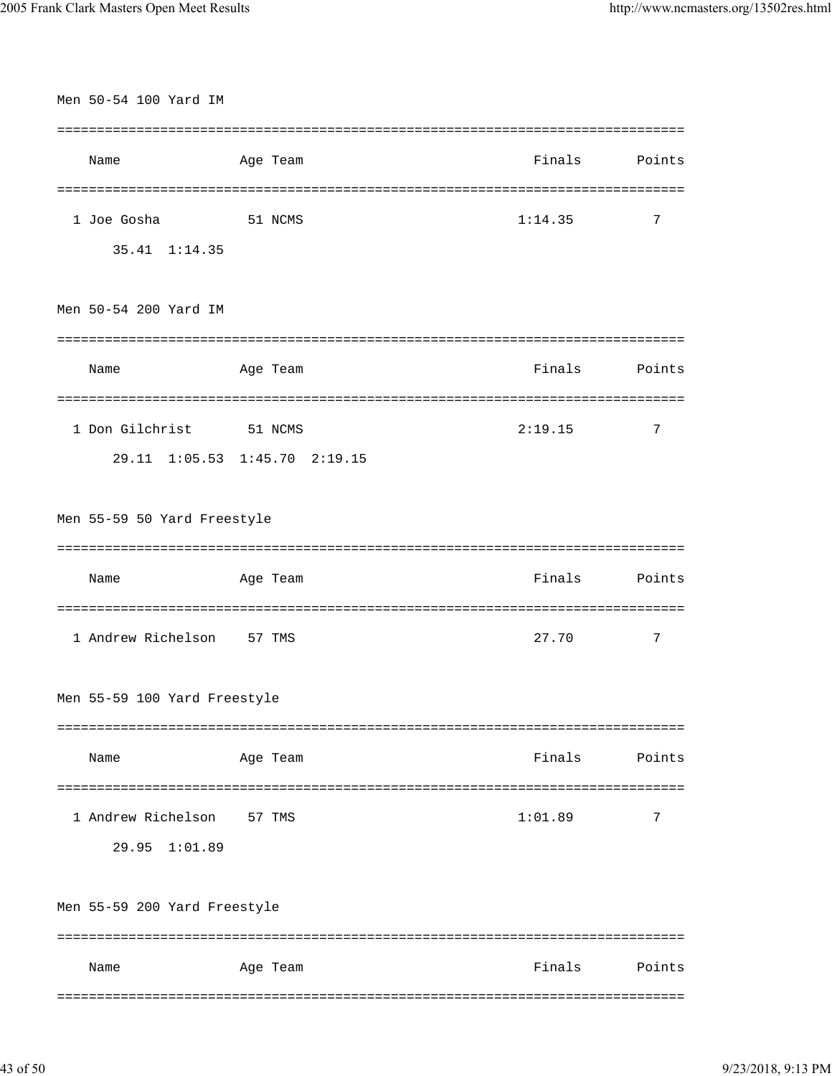| Men 50-54 100 Yard IM        |                               |                       |             |
|------------------------------|-------------------------------|-----------------------|-------------|
|                              |                               |                       |             |
| Name                         | Age Team                      | Finals                | Points      |
|                              |                               |                       |             |
| 1 Joe Gosha                  | 51 NCMS                       | 1:14.35               | 7           |
| 35.41 1:14.35                |                               |                       |             |
|                              |                               |                       |             |
| Men 50-54 200 Yard IM        |                               |                       |             |
|                              |                               |                       |             |
| Name                         | Age Team                      | Finals                | Points      |
|                              |                               |                       |             |
| 1 Don Gilchrist 51 NCMS      |                               | 2:19.15               | 7           |
|                              | 29.11 1:05.53 1:45.70 2:19.15 |                       |             |
|                              |                               |                       |             |
| Men 55-59 50 Yard Freestyle  |                               |                       |             |
|                              |                               |                       |             |
|                              |                               |                       |             |
| Name                         | Age Team                      | Finals                |             |
| ========================     |                               | ===================== | Points      |
| 1 Andrew Richelson 57 TMS    |                               | 27.70                 | 7           |
|                              |                               |                       |             |
| Men 55-59 100 Yard Freestyle |                               |                       |             |
|                              |                               |                       |             |
| Name                         | Age Team                      | Finals                |             |
|                              |                               |                       |             |
| 1 Andrew Richelson           | 57 TMS                        | 1:01.89               | Points<br>7 |
| 29.95 1:01.89                |                               |                       |             |
|                              |                               |                       |             |
| Men 55-59 200 Yard Freestyle |                               |                       |             |
|                              |                               |                       |             |
| Name                         | Age Team                      | Finals                | Points      |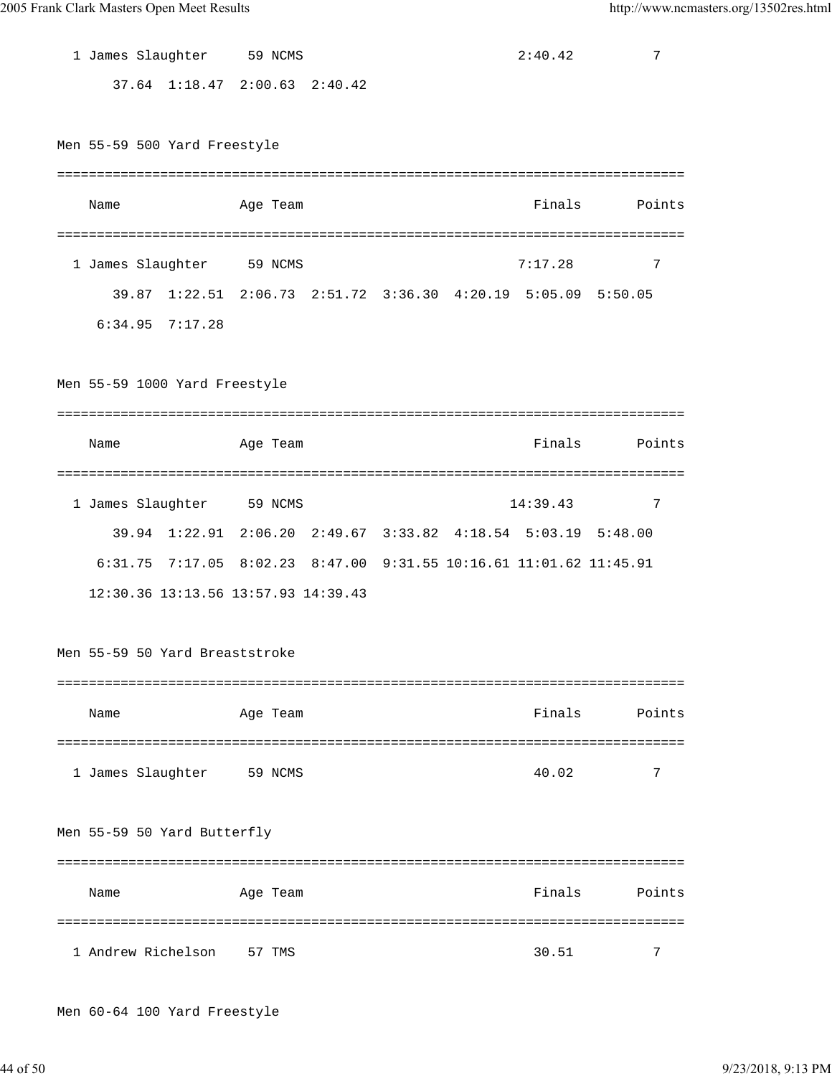| 1 James Slaughter 59 NCMS      |                                                                    |  | 2:40.42  | 7             |
|--------------------------------|--------------------------------------------------------------------|--|----------|---------------|
|                                | 37.64 1:18.47 2:00.63 2:40.42                                      |  |          |               |
|                                |                                                                    |  |          |               |
| Men 55-59 500 Yard Freestyle   |                                                                    |  |          |               |
|                                |                                                                    |  |          |               |
| Name                           | Age Team                                                           |  |          | Finals Points |
|                                |                                                                    |  |          |               |
| 1 James Slaughter 59 NCMS      |                                                                    |  | 7:17.28  | 7             |
|                                | 39.87 1:22.51 2:06.73 2:51.72 3:36.30 4:20.19 5:05.09 5:50.05      |  |          |               |
| $6:34.95$ $7:17.28$            |                                                                    |  |          |               |
|                                |                                                                    |  |          |               |
| Men 55-59 1000 Yard Freestyle  |                                                                    |  |          |               |
|                                |                                                                    |  |          |               |
| Name                           | Age Team                                                           |  | Finals   | Points        |
|                                |                                                                    |  |          |               |
| 1 James Slaughter 59 NCMS      |                                                                    |  | 14:39.43 | 7             |
|                                | 39.94 1:22.91 2:06.20 2:49.67 3:33.82 4:18.54 5:03.19 5:48.00      |  |          |               |
|                                | 6:31.75 7:17.05 8:02.23 8:47.00 9:31.55 10:16.61 11:01.62 11:45.91 |  |          |               |
|                                | 12:30.36 13:13.56 13:57.93 14:39.43                                |  |          |               |
|                                |                                                                    |  |          |               |
| Men 55-59 50 Yard Breaststroke |                                                                    |  |          |               |
|                                |                                                                    |  |          |               |
| Name                           | Age Team                                                           |  | Finals   | Points        |
|                                |                                                                    |  |          |               |
| 1 James Slaughter              | 59 NCMS                                                            |  | 40.02    | 7             |
|                                |                                                                    |  |          |               |
| Men 55-59 50 Yard Butterfly    |                                                                    |  |          |               |
|                                |                                                                    |  |          |               |
| Name                           | Age Team                                                           |  | Finals   | Points        |
|                                |                                                                    |  |          |               |
|                                |                                                                    |  |          |               |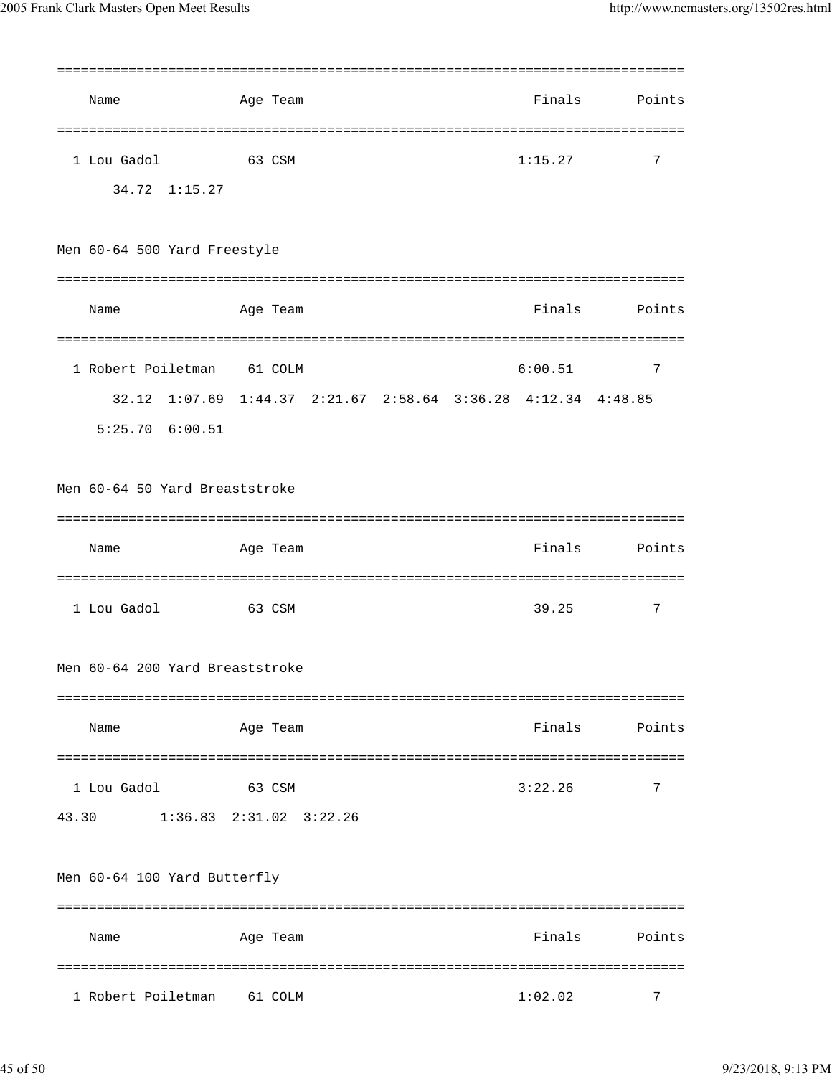| Name                            | Age Team                                                      | Finals  | Points |  |  |  |
|---------------------------------|---------------------------------------------------------------|---------|--------|--|--|--|
|                                 |                                                               |         |        |  |  |  |
| 1 Lou Gadol                     | 63 CSM                                                        | 1:15.27 | 7      |  |  |  |
| 34.72 1:15.27                   |                                                               |         |        |  |  |  |
| Men 60-64 500 Yard Freestyle    |                                                               |         |        |  |  |  |
|                                 |                                                               |         |        |  |  |  |
|                                 |                                                               |         |        |  |  |  |
| Name                            | Age Team                                                      | Finals  | Points |  |  |  |
|                                 |                                                               |         |        |  |  |  |
| 1 Robert Poiletman 61 COLM      |                                                               | 6:00.51 | 7      |  |  |  |
|                                 | 32.12 1:07.69 1:44.37 2:21.67 2:58.64 3:36.28 4:12.34 4:48.85 |         |        |  |  |  |
| $5:25.70$ $6:00.51$             |                                                               |         |        |  |  |  |
|                                 |                                                               |         |        |  |  |  |
| Men 60-64 50 Yard Breaststroke  |                                                               |         |        |  |  |  |
|                                 |                                                               |         |        |  |  |  |
| Name                            | Age Team                                                      | Finals  | Points |  |  |  |
|                                 |                                                               |         |        |  |  |  |
| 1 Lou Gadol                     | 63 CSM                                                        | 39.25   | 7      |  |  |  |
|                                 |                                                               |         |        |  |  |  |
| Men 60-64 200 Yard Breaststroke |                                                               |         |        |  |  |  |
|                                 |                                                               |         |        |  |  |  |
| Name                            | Age Team                                                      | Finals  | Points |  |  |  |
|                                 |                                                               |         |        |  |  |  |
| 1 Lou Gadol                     | 63 CSM                                                        | 3:22.26 | 7      |  |  |  |
| 43.30                           | $1:36.83$ $2:31.02$ $3:22.26$                                 |         |        |  |  |  |
|                                 |                                                               |         |        |  |  |  |
| Men 60-64 100 Yard Butterfly    |                                                               |         |        |  |  |  |
|                                 |                                                               |         |        |  |  |  |
| Name                            | Age Team                                                      | Finals  | Points |  |  |  |
|                                 |                                                               |         |        |  |  |  |
| 1 Robert Poiletman              | 61 COLM                                                       | 1:02.02 | 7      |  |  |  |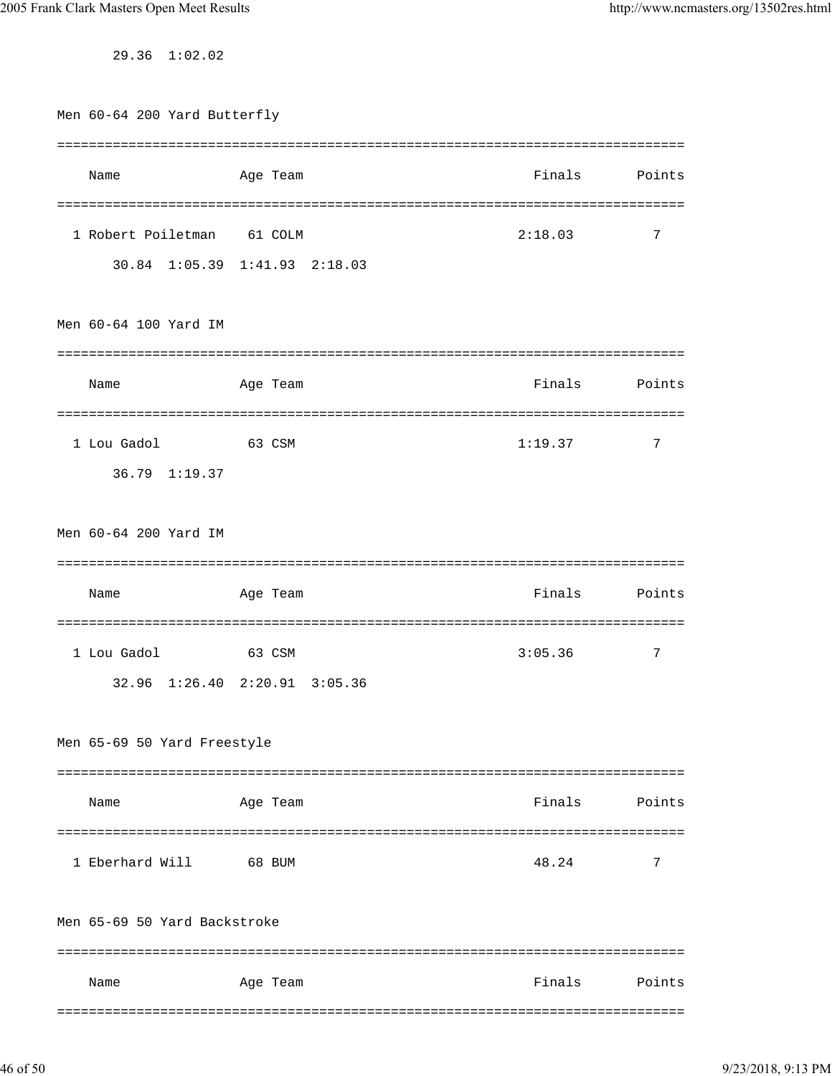29.36 1:02.02

| Men 60-64 200 Yard Butterfly |                               |         |             |  |  |  |
|------------------------------|-------------------------------|---------|-------------|--|--|--|
|                              |                               |         |             |  |  |  |
| Name                         | Age Team                      | Finals  | Points      |  |  |  |
|                              |                               |         |             |  |  |  |
| 1 Robert Poiletman           | 61 COLM                       | 2:18.03 | 7           |  |  |  |
|                              | 30.84 1:05.39 1:41.93 2:18.03 |         |             |  |  |  |
|                              |                               |         |             |  |  |  |
| Men 60-64 100 Yard IM        |                               |         |             |  |  |  |
|                              |                               |         |             |  |  |  |
| Name                         | Age Team                      | Finals  | Points      |  |  |  |
|                              |                               |         |             |  |  |  |
| 1 Lou Gadol                  | 63 CSM                        | 1:19.37 | 7           |  |  |  |
| 36.79 1:19.37                |                               |         |             |  |  |  |
|                              |                               |         |             |  |  |  |
|                              |                               |         |             |  |  |  |
| Men 60-64 200 Yard IM        |                               |         |             |  |  |  |
|                              |                               |         |             |  |  |  |
| Name                         | Age Team                      | Finals  | Points      |  |  |  |
|                              |                               |         |             |  |  |  |
| 1 Lou Gadol                  | 63 CSM                        | 3:05.36 | 7           |  |  |  |
| 32.96 1:26.40 2:20.91        | 3:05.36                       |         |             |  |  |  |
|                              |                               |         |             |  |  |  |
| Men 65-69 50 Yard Freestyle  |                               |         |             |  |  |  |
|                              |                               |         |             |  |  |  |
| Name                         | Age Team                      | Finals  | Points      |  |  |  |
|                              |                               |         |             |  |  |  |
| 1 Eberhard Will              | 68 BUM                        | 48.24   | 7           |  |  |  |
|                              |                               |         |             |  |  |  |
| Men 65-69 50 Yard Backstroke |                               |         |             |  |  |  |
|                              |                               |         | =========== |  |  |  |
| Name                         | Age Team                      | Finals  | Points      |  |  |  |
|                              |                               |         |             |  |  |  |
|                              |                               |         |             |  |  |  |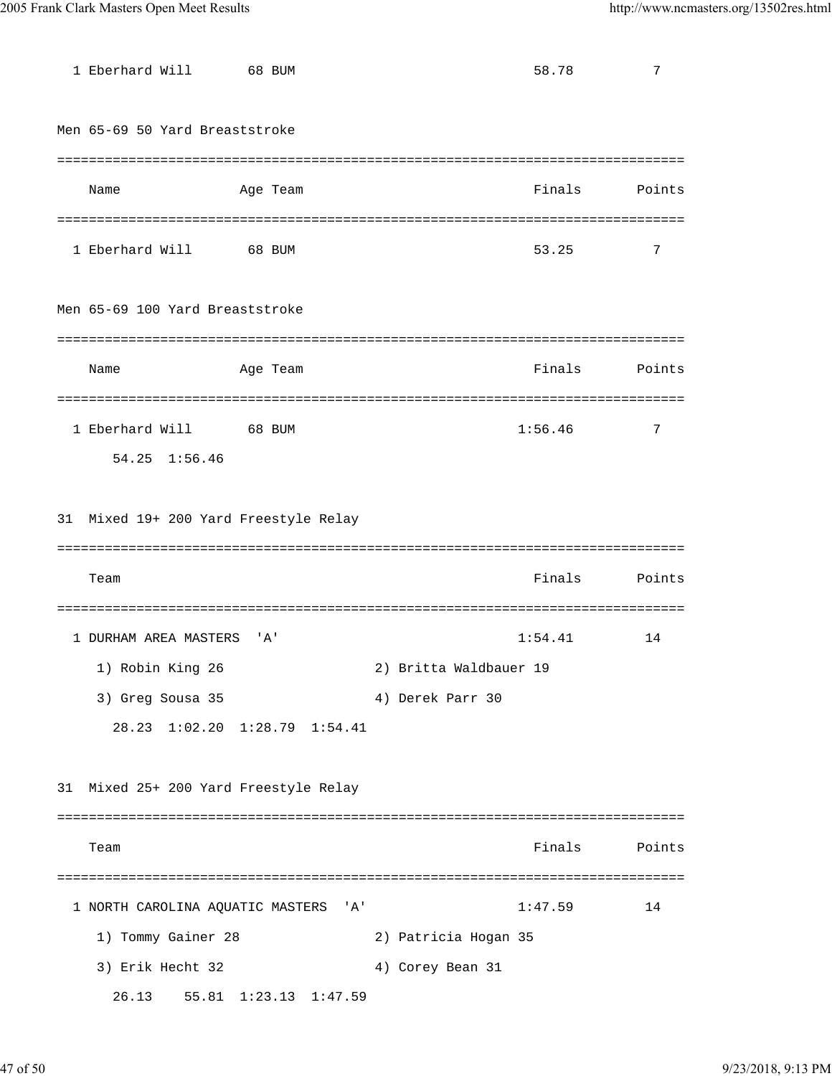| 1 Eberhard Will                       | 68 BUM                        |                        | 58.78   | 7      |
|---------------------------------------|-------------------------------|------------------------|---------|--------|
| Men 65-69 50 Yard Breaststroke        |                               |                        |         |        |
|                                       |                               |                        |         |        |
|                                       |                               |                        | Finals  |        |
| Name                                  | Age Team                      |                        |         | Points |
|                                       |                               |                        |         |        |
| 1 Eberhard Will                       | 68 BUM                        |                        | 53.25   | 7      |
| Men 65-69 100 Yard Breaststroke       |                               |                        |         |        |
| Name                                  | Age Team                      |                        | Finals  | Points |
|                                       |                               |                        |         |        |
| 1 Eberhard Will 68 BUM                |                               |                        | 1:56.46 | 7      |
| 54.25 1:56.46                         |                               |                        |         |        |
|                                       |                               |                        |         |        |
| 31 Mixed 19+ 200 Yard Freestyle Relay |                               |                        |         |        |
|                                       |                               |                        |         |        |
| Team                                  |                               |                        | Finals  | Points |
|                                       |                               |                        |         |        |
|                                       |                               |                        |         |        |
| 1 DURHAM AREA MASTERS                 | ' A'                          |                        | 1:54.41 | 14     |
| 1) Robin King 26                      |                               | 2) Britta Waldbauer 19 |         |        |
| 3) Greg Sousa 35                      |                               | 4) Derek Parr 30       |         |        |
|                                       | 28.23 1:02.20 1:28.79 1:54.41 |                        |         |        |
|                                       |                               |                        |         |        |
| 31 Mixed 25+ 200 Yard Freestyle Relay |                               |                        |         |        |
|                                       |                               |                        |         |        |
| Team                                  |                               |                        | Finals  | Points |
|                                       |                               |                        |         |        |
| 1 NORTH CAROLINA AQUATIC MASTERS 'A'  |                               |                        | 1:47.59 | 14     |
| 1) Tommy Gainer 28                    |                               | 2) Patricia Hogan 35   |         |        |
| 3) Erik Hecht 32                      |                               | 4) Corey Bean 31       |         |        |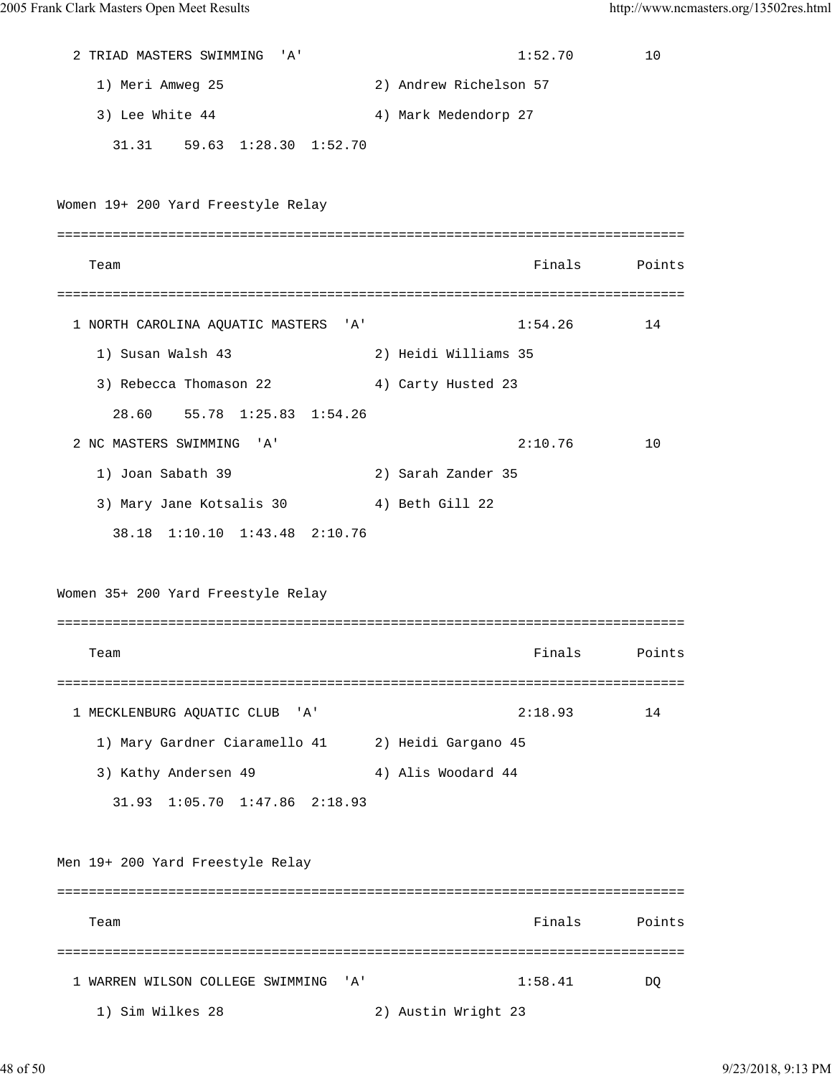2 TRIAD MASTERS SWIMMING 'A' 1:52.70 10 1) Meri Amweg 25 2) Andrew Richelson 57 3) Lee White 44 4 4 4 4 4 4 4 5 5 6 6 7 7 4 4 5 6 7 7 7 8 7 7 8 7 7 8 7 7 8 7 8 7 7 8 7 7 8 7 7 8 7 8 7 7 8 7 8 7 7 8 7 8 7 7 8 7 8 7 8 7 8 7 8 7 8 7 8 7 8 7 8 7 8 7 8 7 8 7 8 7 8 7 8 7 8 7 8 7 8 7 8 7 8 7 8 7 8 7 8 7 8 7 31.31 59.63 1:28.30 1:52.70 Women 19+ 200 Yard Freestyle Relay =============================================================================== Team **Finals** Points Points Points Points Points Points Points Points Points Points Points Points Points Points Points Points Points Points Points Points Points Points Points Points Points Points Points Points Points Point =============================================================================== 1 NORTH CAROLINA AQUATIC MASTERS 'A' 1:54.26 14 1) Susan Walsh 43 2) Heidi Williams 35 3) Rebecca Thomason 22 4) Carty Husted 23 28.60 55.78 1:25.83 1:54.26 2 NC MASTERS SWIMMING 'A' 2:10.76 10 1) Joan Sabath 39 2) Sarah Zander 35 3) Mary Jane Kotsalis 30 4) Beth Gill 22 38.18 1:10.10 1:43.48 2:10.76 Women 35+ 200 Yard Freestyle Relay =============================================================================== Team **Finals** Points Points Points Points Points Points Points Points Points Points Points Points Points Points Points Points Points Points Points Points Points Points Points Points Points Points Points Points Points Point =============================================================================== 1 MECKLENBURG AQUATIC CLUB 'A' 2:18.93 14 1) Mary Gardner Ciaramello 41 2) Heidi Gargano 45 3) Kathy Andersen 49 4) Alis Woodard 44 31.93 1:05.70 1:47.86 2:18.93 Men 19+ 200 Yard Freestyle Relay =============================================================================== Team **Finals** Points Points Points Points Points Points Points Points Points Points Points Points Points Points Points Points Points Points Points Points Points Points Points Points Points Points Points Points Points Point =============================================================================== 1 WARREN WILSON COLLEGE SWIMMING 'A' 1:58.41 DQ 1) Sim Wilkes 28 2) Austin Wright 23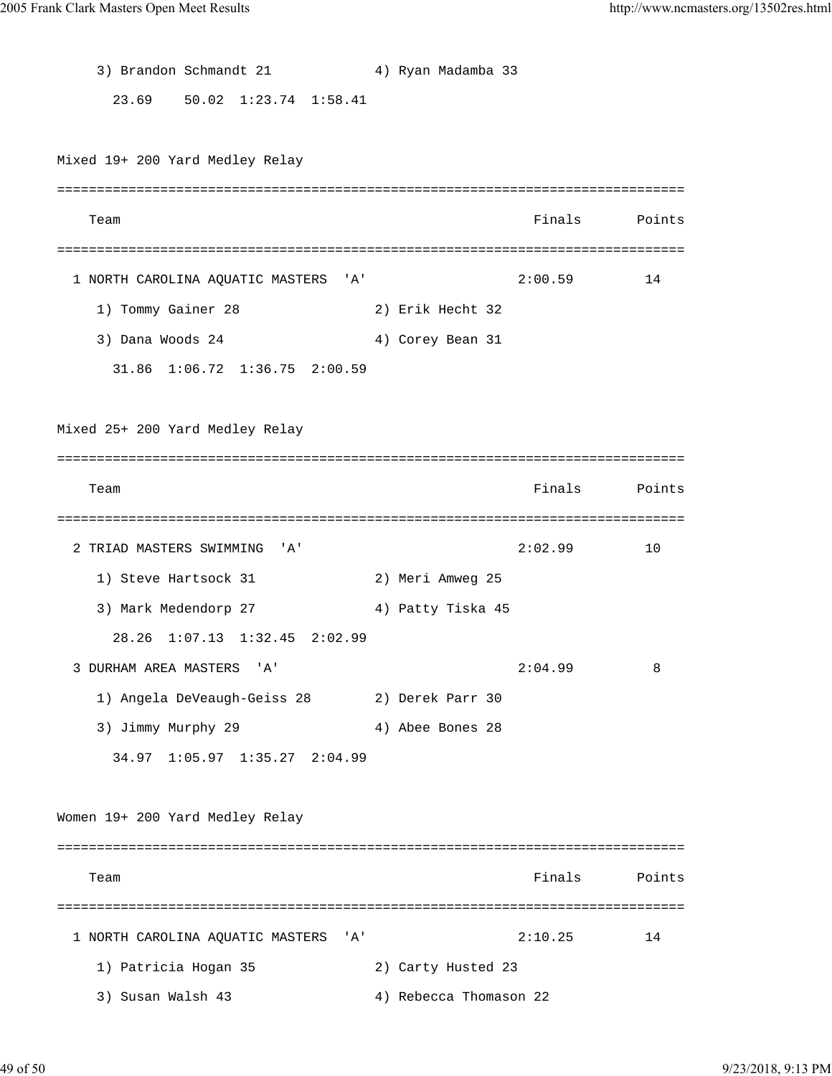3) Brandon Schmandt 21 4) Ryan Madamba 33 23.69 50.02 1:23.74 1:58.41 Mixed 19+ 200 Yard Medley Relay =============================================================================== Team **Finals** Points Points Points Points Points Points Points Points Points Points Points Points Points Points Points Points Points Points Points Points Points Points Points Points Points Points Points Points Points Point =============================================================================== 1 NORTH CAROLINA AQUATIC MASTERS 'A' 2:00.59 14 1) Tommy Gainer 28 2) Erik Hecht 32 3) Dana Woods 24 4) Corey Bean 31 31.86 1:06.72 1:36.75 2:00.59 Mixed 25+ 200 Yard Medley Relay =============================================================================== Team **Finals** Points Points Points Points Points Points Points Points Points Points Points Points Points Points Points Points Points Points Points Points Points Points Points Points Points Points Points Points Points Point =============================================================================== 2 TRIAD MASTERS SWIMMING 'A' 2:02.99 10 1) Steve Hartsock 31 2) Meri Amweg 25 3) Mark Medendorp 27 4) Patty Tiska 45 28.26 1:07.13 1:32.45 2:02.99 3 DURHAM AREA MASTERS 'A' 2:04.99 8 1) Angela DeVeaugh-Geiss 28 2) Derek Parr 30 3) Jimmy Murphy 29 4) Abee Bones 28 34.97 1:05.97 1:35.27 2:04.99 Women 19+ 200 Yard Medley Relay =============================================================================== Team and the contract of the contract of the contract of the contract of the contract of the contract of the contract of the contract of the contract of the contract of the contract of the contract of the contract of the c =============================================================================== 1 NORTH CAROLINA AQUATIC MASTERS 'A' 2:10.25 14 1) Patricia Hogan 35 2) Carty Husted 23 3) Susan Walsh 43 4) Rebecca Thomason 22